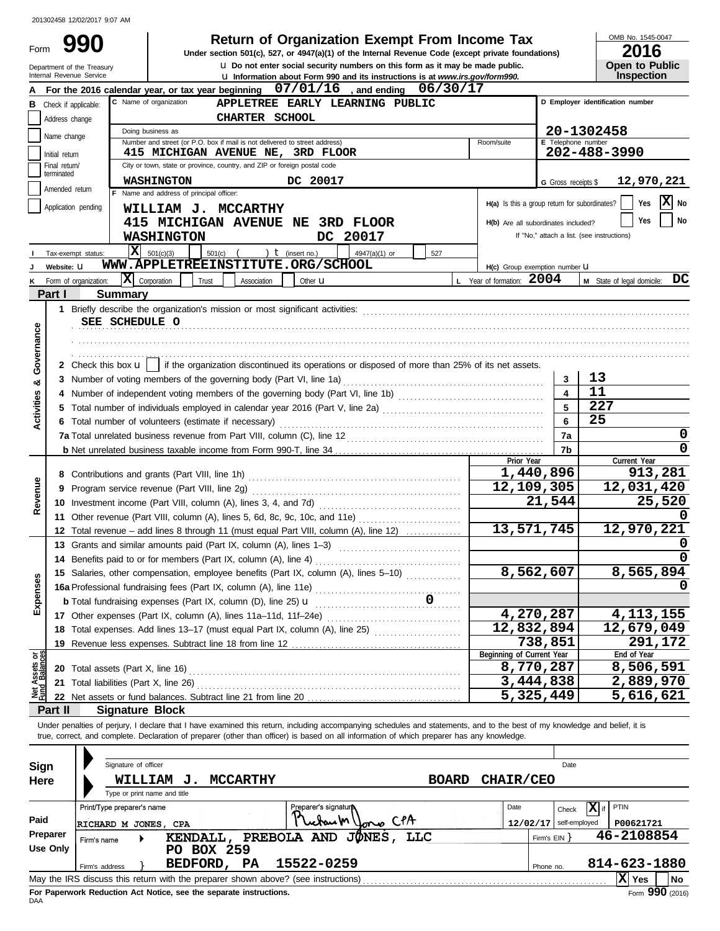#### **17** Other expenses (Part IX, column (A), lines 11a–11d, 11f–24e) .................................. **18** Total expenses. Add lines 13–17 (must equal Part IX, column (A), line 25) ..................... G Gross receipts \$ Check if applicable: **A** For the 2016 calendar year, or tax year beginning  $07/01/16$  , and ending Application pending City or town, state or province, country, and ZIP or foreign postal code Amended return terminated Number and street (or P.O. box if mail is not delivered to street address) Room/suite Initial return Name change Address change C Name of organization u **Information about Form 990 and its instructions is at** *www.irs.gov/form990.* Internal Revenue Service Department of the Treasury OMB No. 1545-0047 Form **E** Telephone number **B** Check if applicable: C Name of organization **APPLETREE EARLY LEARNING PUBLIC** DEMPLOYER **DEMPLOYER IDEMPLOYER u** Do not enter social security numbers on this form as it may be made public. **Open to Public 990 Return of Organization Exempt From Income Tax 1545-00 2016 2016 2016 Inspection** Doing business as Name and address of principal officer: **H(a)** Is this a group return for subordinates? **H(b)** Are all subordinates included? H(c) Group exemption number **U** If "No," attach a list. (see instructions) Yes **X** No **Yes No I J K** Tax-exempt status: **Website:** u Form of organization:  $\frac{1}{501(c)}$  ( ) **t** (insert no.)  $\frac{1}{527}$ **X** Corporation Trust Association Other **u L** Year of formation: **2004 M** State of legal domicile: **DC Part I Summary 1** Briefly describe the organization's mission or most significant activities: . . . . . . . . . . . . . . . . . . . . . . . . . . . . . . . . . . . . . . . . . . . . . . . . . . . . . . . . . . . . . . . . . . . . . . . . . . . . . . . . . . . **2** Check this box  $\mathbf{u}$  | if the organization discontinued its operations or disposed of more than 25% of its net assets. **3** Number of voting members of the governing body (Part VI, line 1a) . . . . . . . . . . . . . . . . . . . . . . . . . . . . . . . . . . . . . . . . . . . . . . . . . . . **4** Number of independent voting members of the governing body (Part VI, line 1b) . . . . . . . . . . . . . . . . . . . . . . . . . . . . . . . . . . . . . **5** Total number of individuals employed in calendar year 2016 (Part V, line 2a) . . . . . . . . . . . . . . . . . . . . . . . . . . . . . . . . . . . . . . . . . **6** Total number of volunteers (estimate if necessary) . . . . . . . . . . . . . . . . . . . . . . . . . . . . . . . . . . . . . . . . . . . . . . . . . . . . . . . . . . . . . . . . . . . **7a** Total unrelated business revenue from Part VIII, column (C), line 12 . . . . . . . . . . . . . . . . . . . . . . . . . . . . . . . . . . . . . . . . . . . . . . . . . . **b** Net unrelated business taxable income from Form 990-T, line 34 . . . . . . . . . . . . . . . . . . . . . . . . . . . . . . . . . . . . . . . . . . . . . . . . . . . . . **7b 7a 6 5 4 3** . . . . . . . . . . . . . . . . . . . . . . . . . . . . . . . . . . . . . . . . . . . . . . . . . . . . . . . . . . . . . . . . . . . . . . . . . . . . . . . . . . . . . . . . . . . . . . . . . . . . . . . . . . . . . . . . . . . . . . . . . . . . . . . . . . . . . . . . . . . . . . . . . . . . . . . . . . . . **8** Contributions and grants (Part VIII, line 1h) . . . . . . . . . . . . . . . . . . . . . . . . . . . . . . . . . . . . . . . . . . . . . . . . . . . . . . **9** Program service revenue (Part VIII, line 2g) . . . . . . . . . . . . . . . . . . . . . . . . . . . . . . . . . . . . . . . . . . . . . . . . . . . . . **10** Investment income (Part VIII, column (A), lines 3, 4, and 7d) . . . . . . . . . . . . . . . . . . . . . . . . . . . . . . . . . . . . **11** Other revenue (Part VIII, column (A), lines 5, 6d, 8c, 9c, 10c, and 11e) ........................... **12** Total revenue – add lines 8 through 11 (must equal Part VIII, column (A), line 12) .............. **Prior Year Current Year 13** Grants and similar amounts paid (Part IX, column (A), lines 1–3) . . . . . . . . . . . . . . . . . . . . . . . . . . . . . . . **14** Benefits paid to or for members (Part IX, column (A), line 4) . . . . . . . . . . . . . . . . . . . . . . . . . . . . . . . . . . . . . **15** Salaries, other compensation, employee benefits (Part IX, column (A), lines 5–10) ............. **16a b 19** Revenue less expenses. Subtract line 18 from line 12 . . . . . . . . . . . . . . . . . . . . . . . . . . . . . . . . . . . . . . . . . . . Professional fundraising fees (Part IX, column (A), line 11e)<br>Total fundraising expenses (Part IX, column (D), line 25)  $\mathbf u$ **20** Total assets (Part X, line 16) . . . . . . . . . . . . . . . . . . . . . . . . . . . . . . . . . . . . . . . . . . . . . . . . . . . . . . . . . . . . . . . . . . . . . **21** Total liabilities (Part X, line 26) . . . . . . . . . . . . . . . . . . . . . . . . . . . . . . . . . . . . . . . . . . . . . . . . . . . . . . . . . . . . . . . . . . . **22** Net assets or fund balances. Subtract line 21 from line 20 . . . . . . . . . . . . . . . . . . . . . . . . . . . . . . . . . . . . . . . **Beginning of Current Year End of Year Part II Signature Block** From the section of the opposition of excitation in contact of discussion of the section of the section of the section of the section of the section of the section of the section of the section of the section of the secti  $\overline{\mathbf{X}}$  501(c)(3) **Under section 501(c), 527, or 4947(a)(1) of the Internal Revenue Code (except private foundations)** Final return/ **07/01/16 06/30/17 CHARTER SCHOOL 415 MICHIGAN AVENUE NE, 3RD FLOOR WASHINGTON DC 20017 20-1302458 202-488-3990 WILLIAM J. MCCARTHY 415 MICHIGAN AVENUE NE 3RD FLOOR**  $W$ <sup>2</sup> $H$  **2005 12,970,221 WWW.APPLETREEINSTITUTE.ORG/SCHOOL**<br>Dn: **X** Corporation **T** Trust **T** Association **T** Other **u SEE SCHEDULE O 13 11 227 25 0 0 1,440,896 913,281 12,109,305 12,031,420 21,544 25,520** <u>0</u><br>12,970,221 **13,571,745 12,970,221 0 0 8,562,607 8,565,894 0 4,270,287 4,113,155 12,832,894 12,679,049 738,851 291,172 8,770,287 8,506,591 3,444,838 2,889,970 5,325,449 5,616,621** 201302458 12/02/2017 9:07 AM

Under penalties of perjury, I declare that I have examined this return, including accompanying schedules and statements, and to the best of my knowledge and belief, it is true, correct, and complete. Declaration of preparer (other than officer) is based on all information of which preparer has any knowledge.

| Sign<br>Here     | Signature of officer<br><b>WILLIAM</b><br>J.<br>Type or print name and title                                                                                                                    | <b>MCCARTHY</b>                                | <b>BOARD</b>                           | <b>CHAIR/CEO</b> | Date                                          |                                   |  |  |
|------------------|-------------------------------------------------------------------------------------------------------------------------------------------------------------------------------------------------|------------------------------------------------|----------------------------------------|------------------|-----------------------------------------------|-----------------------------------|--|--|
| Paid<br>Preparer | Print/Type preparer's name<br>RICHARD M JONES, CPA<br><b>KENDALL</b><br>Firm's name                                                                                                             | Preparer's signatura<br>Wetan M<br>PREBOLA AND | Yong CPA<br><b>JØNES</b><br><b>LLC</b> | Date<br>12/02/17 | ιx١<br>Check<br>self-employed<br>Firm's $EIN$ | I PTIN<br>P00621721<br>46-2108854 |  |  |
| Use Only         | PO.<br>BEDFORD,<br>Firm's address                                                                                                                                                               | <b>BOX 259</b><br>15522-0259<br><b>PA</b>      |                                        |                  | Phone no.                                     | 814-623-1880                      |  |  |
|                  | ıxl<br>No.<br>May the IRS discuss this return with the preparer shown above? (see instructions)<br>Yes<br>Form 990 (2016)<br>For Paperwork Reduction Act Notice, see the separate instructions. |                                                |                                        |                  |                                               |                                   |  |  |

DAA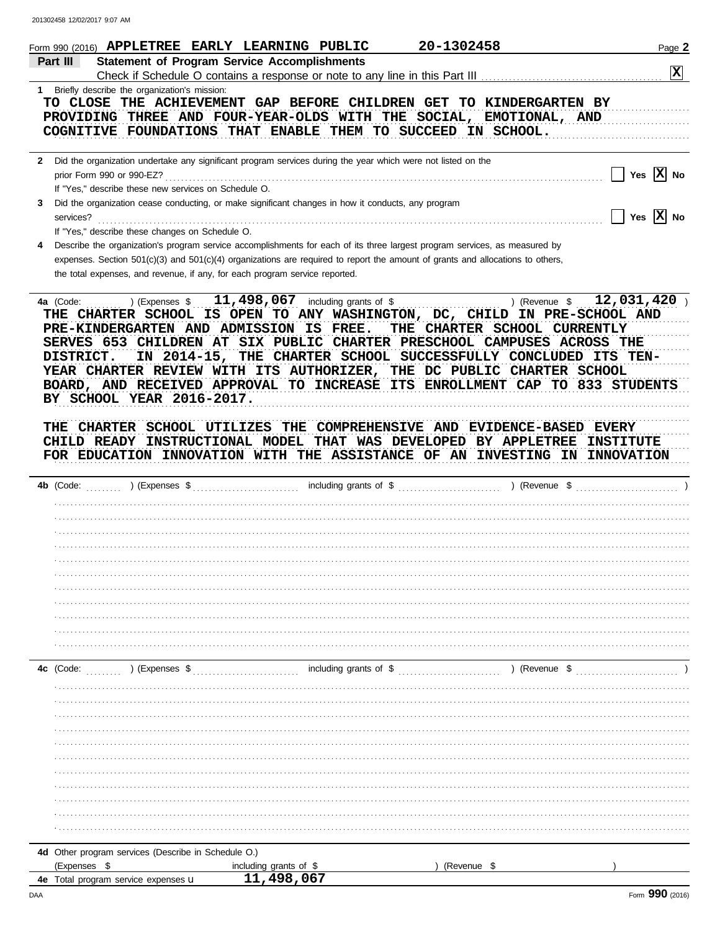|                           |                                                      | Form 990 (2016) APPLETREE EARLY LEARNING PUBLIC                                                                                                                                                                                                                                                                                                                                                                                                                                                                                                                                                             | 20-1302458                   | Page 2        |
|---------------------------|------------------------------------------------------|-------------------------------------------------------------------------------------------------------------------------------------------------------------------------------------------------------------------------------------------------------------------------------------------------------------------------------------------------------------------------------------------------------------------------------------------------------------------------------------------------------------------------------------------------------------------------------------------------------------|------------------------------|---------------|
| Part III                  |                                                      | <b>Statement of Program Service Accomplishments</b><br>Check if Schedule O contains a response or note to any line in this Part III                                                                                                                                                                                                                                                                                                                                                                                                                                                                         |                              | $\mathbf{x}$  |
|                           | 1 Briefly describe the organization's mission:       |                                                                                                                                                                                                                                                                                                                                                                                                                                                                                                                                                                                                             |                              |               |
|                           |                                                      | TO CLOSE THE ACHIEVEMENT GAP BEFORE CHILDREN GET TO KINDERGARTEN BY<br>PROVIDING THREE AND FOUR-YEAR-OLDS WITH THE SOCIAL, EMOTIONAL, AND                                                                                                                                                                                                                                                                                                                                                                                                                                                                   |                              |               |
|                           |                                                      | COGNITIVE FOUNDATIONS THAT ENABLE THEM TO SUCCEED IN SCHOOL.                                                                                                                                                                                                                                                                                                                                                                                                                                                                                                                                                |                              |               |
| prior Form 990 or 990-EZ? | If "Yes," describe these new services on Schedule O. | 2 Did the organization undertake any significant program services during the year which were not listed on the                                                                                                                                                                                                                                                                                                                                                                                                                                                                                              |                              | Yes $ X $ No  |
| 3<br>services?            |                                                      | Did the organization cease conducting, or make significant changes in how it conducts, any program                                                                                                                                                                                                                                                                                                                                                                                                                                                                                                          |                              | Yes $ X $ No  |
|                           | If "Yes," describe these changes on Schedule O.      |                                                                                                                                                                                                                                                                                                                                                                                                                                                                                                                                                                                                             |                              |               |
| 4                         |                                                      | Describe the organization's program service accomplishments for each of its three largest program services, as measured by<br>expenses. Section $501(c)(3)$ and $501(c)(4)$ organizations are required to report the amount of grants and allocations to others,<br>the total expenses, and revenue, if any, for each program service reported.                                                                                                                                                                                                                                                             |                              |               |
| DISTRICT.<br>4b (Code:    | BY SCHOOL YEAR 2016-2017.<br>$(Express \, $)$        | PRE-KINDERGARTEN AND ADMISSION IS FREE.<br>SERVES 653 CHILDREN AT SIX PUBLIC CHARTER PRESCHOOL CAMPUSES ACROSS THE<br>IN 2014-15, THE CHARTER SCHOOL SUCCESSFULLY CONCLUDED ITS TEN-<br>YEAR CHARTER REVIEW WITH ITS AUTHORIZER, THE DC PUBLIC CHARTER SCHOOL<br>BOARD, AND RECEIVED APPROVAL TO INCREASE ITS ENROLLMENT CAP TO 833 STUDENTS<br>THE CHARTER SCHOOL UTILIZES THE COMPREHENSIVE AND EVIDENCE-BASED EVERY<br>CHILD READY INSTRUCTIONAL MODEL THAT WAS DEVELOPED BY APPLETREE INSTITUTE<br>FOR EDUCATION INNOVATION WITH THE ASSISTANCE OF AN INVESTING IN INNOVATION<br>including grants of \$ | THE CHARTER SCHOOL CURRENTLY | ) (Revenue \$ |
| 4c (Code:                 |                                                      | including grants of \$                                                                                                                                                                                                                                                                                                                                                                                                                                                                                                                                                                                      |                              |               |
|                           | ) (Expenses \$                                       |                                                                                                                                                                                                                                                                                                                                                                                                                                                                                                                                                                                                             |                              | ) (Revenue \$ |
|                           |                                                      |                                                                                                                                                                                                                                                                                                                                                                                                                                                                                                                                                                                                             |                              |               |
|                           |                                                      |                                                                                                                                                                                                                                                                                                                                                                                                                                                                                                                                                                                                             |                              |               |
|                           |                                                      |                                                                                                                                                                                                                                                                                                                                                                                                                                                                                                                                                                                                             |                              |               |
|                           |                                                      |                                                                                                                                                                                                                                                                                                                                                                                                                                                                                                                                                                                                             |                              |               |
|                           |                                                      |                                                                                                                                                                                                                                                                                                                                                                                                                                                                                                                                                                                                             |                              |               |
|                           |                                                      |                                                                                                                                                                                                                                                                                                                                                                                                                                                                                                                                                                                                             |                              |               |
|                           |                                                      |                                                                                                                                                                                                                                                                                                                                                                                                                                                                                                                                                                                                             |                              |               |
|                           |                                                      |                                                                                                                                                                                                                                                                                                                                                                                                                                                                                                                                                                                                             |                              |               |
|                           |                                                      |                                                                                                                                                                                                                                                                                                                                                                                                                                                                                                                                                                                                             |                              |               |
|                           |                                                      |                                                                                                                                                                                                                                                                                                                                                                                                                                                                                                                                                                                                             |                              |               |
|                           | 4d Other program services (Describe in Schedule O.)  |                                                                                                                                                                                                                                                                                                                                                                                                                                                                                                                                                                                                             |                              |               |
| (Expenses \$              | 4e Total program service expenses u                  | including grants of \$<br>11,498,067                                                                                                                                                                                                                                                                                                                                                                                                                                                                                                                                                                        | (Revenue \$                  |               |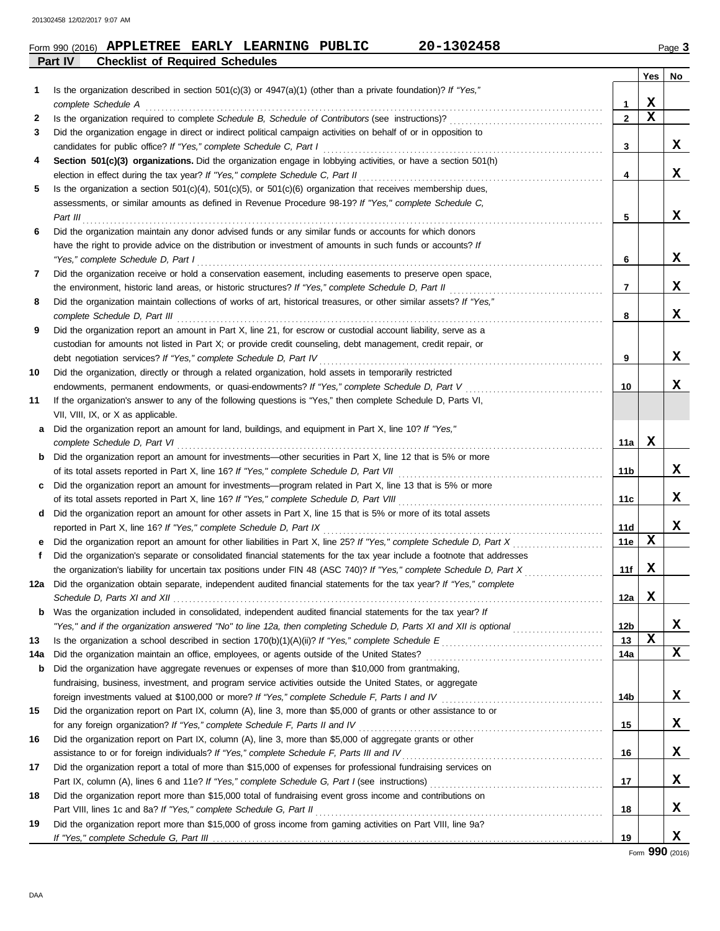### **Part IV Checklist of Required Schedules Form 990 (2016) APPLETREE EARLY LEARNING PUBLIC 20-1302458** Page 3

|     |                                                                                                                                                                              |              | Yes | No |
|-----|------------------------------------------------------------------------------------------------------------------------------------------------------------------------------|--------------|-----|----|
| 1   | Is the organization described in section $501(c)(3)$ or $4947(a)(1)$ (other than a private foundation)? If "Yes,"                                                            |              |     |    |
|     | complete Schedule A                                                                                                                                                          | 1            | x   |    |
| 2   |                                                                                                                                                                              | $\mathbf{2}$ | х   |    |
| 3   | Did the organization engage in direct or indirect political campaign activities on behalf of or in opposition to                                                             |              |     |    |
|     | candidates for public office? If "Yes," complete Schedule C, Part I                                                                                                          | 3            |     | X. |
| 4   | Section 501(c)(3) organizations. Did the organization engage in lobbying activities, or have a section 501(h)                                                                |              |     |    |
|     | election in effect during the tax year? If "Yes," complete Schedule C, Part II                                                                                               | 4            |     | X  |
| 5   | Is the organization a section $501(c)(4)$ , $501(c)(5)$ , or $501(c)(6)$ organization that receives membership dues,                                                         |              |     |    |
|     | assessments, or similar amounts as defined in Revenue Procedure 98-19? If "Yes," complete Schedule C,                                                                        |              |     |    |
|     | Part III                                                                                                                                                                     | 5            |     | x  |
| 6   | Did the organization maintain any donor advised funds or any similar funds or accounts for which donors                                                                      |              |     |    |
|     | have the right to provide advice on the distribution or investment of amounts in such funds or accounts? If                                                                  |              |     |    |
|     | "Yes," complete Schedule D, Part I                                                                                                                                           | 6            |     | x  |
| 7   | Did the organization receive or hold a conservation easement, including easements to preserve open space,                                                                    |              |     |    |
|     |                                                                                                                                                                              | 7            |     | x  |
| 8   | Did the organization maintain collections of works of art, historical treasures, or other similar assets? If "Yes,"                                                          |              |     | X  |
|     | complete Schedule D, Part III                                                                                                                                                | 8            |     |    |
| 9   | Did the organization report an amount in Part X, line 21, for escrow or custodial account liability, serve as a                                                              |              |     |    |
|     | custodian for amounts not listed in Part X; or provide credit counseling, debt management, credit repair, or                                                                 | 9            |     | x  |
|     | debt negotiation services? If "Yes," complete Schedule D, Part IV<br>Did the organization, directly or through a related organization, hold assets in temporarily restricted |              |     |    |
| 10  | endowments, permanent endowments, or quasi-endowments? If "Yes," complete Schedule D, Part V                                                                                 | 10           |     | X  |
| 11  | If the organization's answer to any of the following questions is "Yes," then complete Schedule D, Parts VI,                                                                 |              |     |    |
|     | VII, VIII, IX, or X as applicable.                                                                                                                                           |              |     |    |
| а   | Did the organization report an amount for land, buildings, and equipment in Part X, line 10? If "Yes,"                                                                       |              |     |    |
|     | complete Schedule D, Part VI                                                                                                                                                 | 11a          | х   |    |
| b   | Did the organization report an amount for investments—other securities in Part X, line 12 that is 5% or more                                                                 |              |     |    |
|     | of its total assets reported in Part X, line 16? If "Yes," complete Schedule D, Part VII                                                                                     | 11b          |     | x  |
| c   | Did the organization report an amount for investments—program related in Part X, line 13 that is 5% or more                                                                  |              |     |    |
|     | of its total assets reported in Part X, line 16? If "Yes," complete Schedule D, Part VIII                                                                                    | 11c          |     | x  |
| d   | Did the organization report an amount for other assets in Part X, line 15 that is 5% or more of its total assets                                                             |              |     |    |
|     | reported in Part X, line 16? If "Yes," complete Schedule D, Part IX                                                                                                          | 11d          |     | X  |
| е   | Did the organization report an amount for other liabilities in Part X, line 25? If "Yes," complete Schedule D, Part X                                                        | 11e          | x   |    |
| f.  | Did the organization's separate or consolidated financial statements for the tax year include a footnote that addresses                                                      |              |     |    |
|     | the organization's liability for uncertain tax positions under FIN 48 (ASC 740)? If "Yes," complete Schedule D, Part X                                                       | 11f          | x   |    |
| 12a | Did the organization obtain separate, independent audited financial statements for the tax year? If "Yes," complete                                                          |              |     |    |
|     | Schedule D, Parts XI and XII                                                                                                                                                 | 12a          | x   |    |
| b   | Was the organization included in consolidated, independent audited financial statements for the tax year? If                                                                 |              |     |    |
|     | "Yes," and if the organization answered "No" to line 12a, then completing Schedule D, Parts XI and XII is optional                                                           | 12b          |     | X. |
| 13  |                                                                                                                                                                              | 13           | X   |    |
| 14a | Did the organization maintain an office, employees, or agents outside of the United States?                                                                                  | 14a          |     | x  |
| b   | Did the organization have aggregate revenues or expenses of more than \$10,000 from grantmaking,                                                                             |              |     |    |
|     | fundraising, business, investment, and program service activities outside the United States, or aggregate                                                                    |              |     |    |
|     | foreign investments valued at \$100,000 or more? If "Yes," complete Schedule F, Parts I and IV [[[[[[[[[[[[[[[                                                               | 14b          |     | X. |
| 15  | Did the organization report on Part IX, column (A), line 3, more than \$5,000 of grants or other assistance to or                                                            |              |     |    |
|     | for any foreign organization? If "Yes," complete Schedule F, Parts II and IV                                                                                                 | 15           |     | X. |
| 16  | Did the organization report on Part IX, column (A), line 3, more than \$5,000 of aggregate grants or other                                                                   |              |     |    |
|     | assistance to or for foreign individuals? If "Yes," complete Schedule F, Parts III and IV [[[[[[[[[[[[[[[[[[[                                                                | 16           |     | X. |
| 17  | Did the organization report a total of more than \$15,000 of expenses for professional fundraising services on                                                               |              |     |    |
|     |                                                                                                                                                                              | 17           |     | X. |
| 18  | Did the organization report more than \$15,000 total of fundraising event gross income and contributions on                                                                  |              |     |    |
|     | Part VIII, lines 1c and 8a? If "Yes," complete Schedule G, Part II                                                                                                           | 18           |     | X. |
| 19  | Did the organization report more than \$15,000 of gross income from gaming activities on Part VIII, line 9a?                                                                 |              |     |    |
|     |                                                                                                                                                                              | 19           |     | X. |

Form **990** (2016)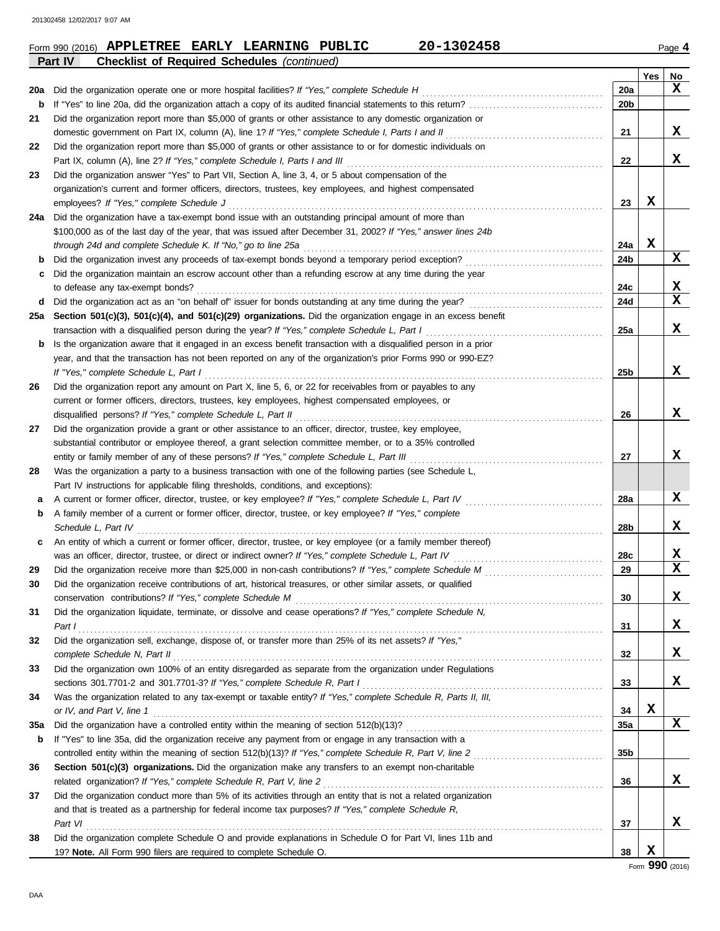| Yes<br>No |
|-----------|
|           |

|     |                                                                                                                  |                 | Yes | No          |
|-----|------------------------------------------------------------------------------------------------------------------|-----------------|-----|-------------|
| 20a | Did the organization operate one or more hospital facilities? If "Yes," complete Schedule H                      | 20a             |     | X           |
| b   | If "Yes" to line 20a, did the organization attach a copy of its audited financial statements to this return?     | 20b             |     |             |
| 21  | Did the organization report more than \$5,000 of grants or other assistance to any domestic organization or      |                 |     |             |
|     | domestic government on Part IX, column (A), line 1? If "Yes," complete Schedule I, Parts I and II                | 21              |     | X.          |
| 22  | Did the organization report more than \$5,000 of grants or other assistance to or for domestic individuals on    |                 |     |             |
|     | Part IX, column (A), line 2? If "Yes," complete Schedule I, Parts I and III                                      | 22              |     | x           |
| 23  | Did the organization answer "Yes" to Part VII, Section A, line 3, 4, or 5 about compensation of the              |                 |     |             |
|     | organization's current and former officers, directors, trustees, key employees, and highest compensated          |                 |     |             |
|     | employees? If "Yes," complete Schedule J                                                                         | 23              | х   |             |
| 24a | Did the organization have a tax-exempt bond issue with an outstanding principal amount of more than              |                 |     |             |
|     |                                                                                                                  |                 |     |             |
|     | \$100,000 as of the last day of the year, that was issued after December 31, 2002? If "Yes," answer lines 24b    |                 | x   |             |
|     | through 24d and complete Schedule K. If "No," go to line 25a                                                     | 24a             |     |             |
| b   | Did the organization invest any proceeds of tax-exempt bonds beyond a temporary period exception?                | 24b             |     | X           |
| c   | Did the organization maintain an escrow account other than a refunding escrow at any time during the year        |                 |     |             |
|     | to defease any tax-exempt bonds?                                                                                 | 24c             |     | X           |
| d   | Did the organization act as an "on behalf of" issuer for bonds outstanding at any time during the year?          | 24d             |     | $\mathbf x$ |
| 25a | Section 501(c)(3), 501(c)(4), and 501(c)(29) organizations. Did the organization engage in an excess benefit     |                 |     |             |
|     | transaction with a disqualified person during the year? If "Yes," complete Schedule L, Part I                    | 25a             |     | x           |
| b   | Is the organization aware that it engaged in an excess benefit transaction with a disqualified person in a prior |                 |     |             |
|     | year, and that the transaction has not been reported on any of the organization's prior Forms 990 or 990-EZ?     |                 |     |             |
|     | If "Yes," complete Schedule L, Part I                                                                            | 25b             |     | X           |
| 26  | Did the organization report any amount on Part X, line 5, 6, or 22 for receivables from or payables to any       |                 |     |             |
|     | current or former officers, directors, trustees, key employees, highest compensated employees, or                |                 |     |             |
|     | disqualified persons? If "Yes," complete Schedule L, Part II                                                     | 26              |     | X           |
| 27  | Did the organization provide a grant or other assistance to an officer, director, trustee, key employee,         |                 |     |             |
|     | substantial contributor or employee thereof, a grant selection committee member, or to a 35% controlled          |                 |     |             |
|     | entity or family member of any of these persons? If "Yes," complete Schedule L, Part III                         | 27              |     | x           |
|     |                                                                                                                  |                 |     |             |
| 28  | Was the organization a party to a business transaction with one of the following parties (see Schedule L,        |                 |     |             |
|     | Part IV instructions for applicable filing thresholds, conditions, and exceptions):                              |                 |     |             |
| а   | A current or former officer, director, trustee, or key employee? If "Yes," complete Schedule L, Part IV          | 28a             |     | X           |
| b   | A family member of a current or former officer, director, trustee, or key employee? If "Yes," complete           |                 |     |             |
|     | Schedule L, Part IV                                                                                              | 28b             |     | X.          |
| c   | An entity of which a current or former officer, director, trustee, or key employee (or a family member thereof)  |                 |     |             |
|     | was an officer, director, trustee, or direct or indirect owner? If "Yes," complete Schedule L, Part IV           | 28c             |     | x           |
| 29  |                                                                                                                  | 29              |     | X           |
| 30  | Did the organization receive contributions of art, historical treasures, or other similar assets, or qualified   |                 |     |             |
|     | conservation contributions? If "Yes," complete Schedule M                                                        | 30              |     | X           |
| 31  | Did the organization liquidate, terminate, or dissolve and cease operations? If "Yes," complete Schedule N,      |                 |     |             |
|     | Part I                                                                                                           | 31              |     | X           |
| 32  | Did the organization sell, exchange, dispose of, or transfer more than 25% of its net assets? If "Yes,"          |                 |     |             |
|     | complete Schedule N, Part II                                                                                     | 32              |     | X.          |
| 33  | Did the organization own 100% of an entity disregarded as separate from the organization under Regulations       |                 |     |             |
|     | sections 301.7701-2 and 301.7701-3? If "Yes," complete Schedule R, Part I                                        | 33              |     | X           |
| 34  | Was the organization related to any tax-exempt or taxable entity? If "Yes," complete Schedule R, Parts II, III,  |                 |     |             |
|     | or IV, and Part V, line 1                                                                                        | 34              | X   |             |
|     |                                                                                                                  | 35a             |     | X           |
| 35a |                                                                                                                  |                 |     |             |
| b   | If "Yes" to line 35a, did the organization receive any payment from or engage in any transaction with a          |                 |     |             |
|     |                                                                                                                  | 35 <sub>b</sub> |     |             |
| 36  | Section 501(c)(3) organizations. Did the organization make any transfers to an exempt non-charitable             |                 |     |             |
|     | related organization? If "Yes," complete Schedule R, Part V, line 2                                              | 36              |     | X           |
| 37  | Did the organization conduct more than 5% of its activities through an entity that is not a related organization |                 |     |             |
|     | and that is treated as a partnership for federal income tax purposes? If "Yes," complete Schedule R,             |                 |     |             |
|     | Part VI                                                                                                          | 37              |     | X           |
| 38  | Did the organization complete Schedule O and provide explanations in Schedule O for Part VI, lines 11b and       |                 |     |             |
|     | 19? Note. All Form 990 filers are required to complete Schedule O.                                               | 38              | x   |             |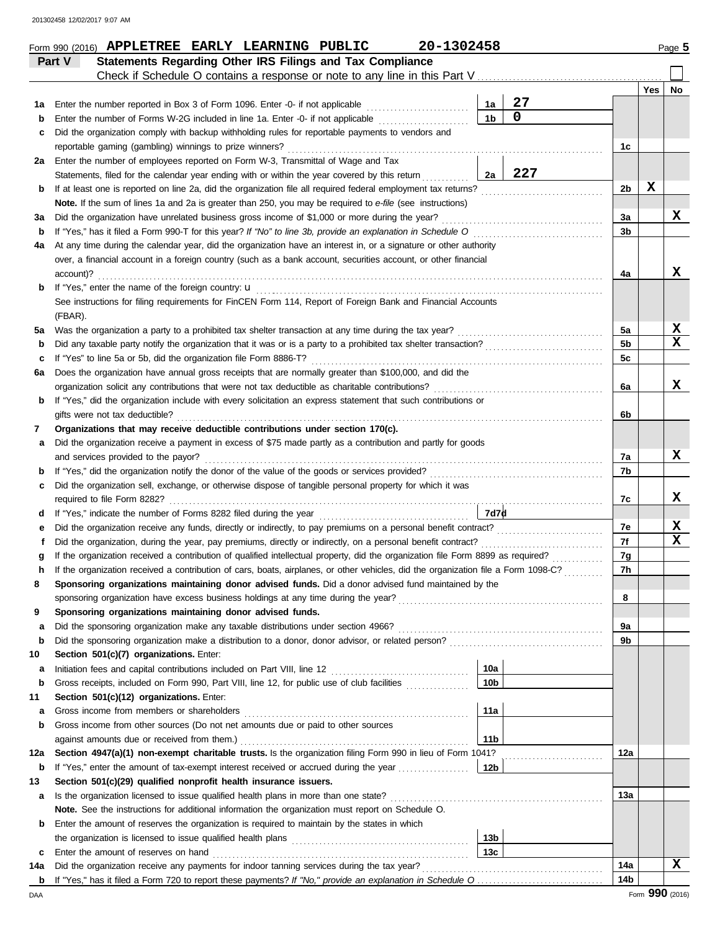|         | <b>Statements Regarding Other IRS Filings and Tax Compliance</b><br>Part V                                                                                                                                 |                        |     |                |     |                  |
|---------|------------------------------------------------------------------------------------------------------------------------------------------------------------------------------------------------------------|------------------------|-----|----------------|-----|------------------|
|         | Check if Schedule O contains a response or note to any line in this Part V                                                                                                                                 |                        |     |                | Yes | No               |
| 1a      | Enter the number reported in Box 3 of Form 1096. Enter -0- if not applicable                                                                                                                               | 1a                     | 27  |                |     |                  |
| b       | Enter the number of Forms W-2G included in line 1a. Enter -0- if not applicable                                                                                                                            | 1 <sub>b</sub>         | 0   |                |     |                  |
| c       | Did the organization comply with backup withholding rules for reportable payments to vendors and                                                                                                           |                        |     |                |     |                  |
|         | reportable gaming (gambling) winnings to prize winners?                                                                                                                                                    |                        |     | 1c             |     |                  |
| 2a      | Enter the number of employees reported on Form W-3, Transmittal of Wage and Tax                                                                                                                            |                        |     |                |     |                  |
|         | Statements, filed for the calendar year ending with or within the year covered by this return                                                                                                              | 2a                     | 227 |                |     |                  |
| b       | If at least one is reported on line 2a, did the organization file all required federal employment tax returns?                                                                                             |                        |     | 2b             | х   |                  |
|         | Note. If the sum of lines 1a and 2a is greater than 250, you may be required to e-file (see instructions)                                                                                                  |                        |     |                |     |                  |
| За      | Did the organization have unrelated business gross income of \$1,000 or more during the year?                                                                                                              |                        |     | 3a             |     | x                |
| b       | If "Yes," has it filed a Form 990-T for this year? If "No" to line 3b, provide an explanation in Schedule O                                                                                                |                        |     | 3b             |     |                  |
| 4a      | At any time during the calendar year, did the organization have an interest in, or a signature or other authority                                                                                          |                        |     |                |     |                  |
|         | over, a financial account in a foreign country (such as a bank account, securities account, or other financial                                                                                             |                        |     |                |     |                  |
|         | account)?                                                                                                                                                                                                  |                        |     | 4a             |     | x                |
| b       |                                                                                                                                                                                                            |                        |     |                |     |                  |
|         | See instructions for filing requirements for FinCEN Form 114, Report of Foreign Bank and Financial Accounts                                                                                                |                        |     |                |     |                  |
|         | (FBAR).                                                                                                                                                                                                    |                        |     |                |     |                  |
| 5a      | Was the organization a party to a prohibited tax shelter transaction at any time during the tax year?                                                                                                      |                        |     | 5a             |     | X<br>$\mathbf x$ |
| b       |                                                                                                                                                                                                            |                        |     | 5 <sub>b</sub> |     |                  |
| c       | If "Yes" to line 5a or 5b, did the organization file Form 8886-T?                                                                                                                                          |                        |     | 5c             |     |                  |
| 6a      | Does the organization have annual gross receipts that are normally greater than \$100,000, and did the<br>organization solicit any contributions that were not tax deductible as charitable contributions? |                        |     | 6a             |     | x                |
| b       | If "Yes," did the organization include with every solicitation an express statement that such contributions or                                                                                             |                        |     |                |     |                  |
|         | gifts were not tax deductible?                                                                                                                                                                             |                        |     | 6b             |     |                  |
| 7       | Organizations that may receive deductible contributions under section 170(c).                                                                                                                              |                        |     |                |     |                  |
| а       | Did the organization receive a payment in excess of \$75 made partly as a contribution and partly for goods                                                                                                |                        |     |                |     |                  |
|         | and services provided to the payor?                                                                                                                                                                        |                        |     | 7a             |     | x                |
| b       |                                                                                                                                                                                                            |                        |     | 7b             |     |                  |
| c       | Did the organization sell, exchange, or otherwise dispose of tangible personal property for which it was                                                                                                   |                        |     |                |     |                  |
|         |                                                                                                                                                                                                            |                        |     | 7c             |     | x                |
| d       |                                                                                                                                                                                                            | 7d7d                   |     |                |     |                  |
| е       |                                                                                                                                                                                                            |                        |     | 7e             |     | X                |
| f       | Did the organization, during the year, pay premiums, directly or indirectly, on a personal benefit contract?                                                                                               |                        |     | 7f             |     | $\mathbf{x}$     |
| g       | If the organization received a contribution of qualified intellectual property, did the organization file Form 8899 as required?                                                                           |                        |     | 7g             |     |                  |
| h       | If the organization received a contribution of cars, boats, airplanes, or other vehicles, did the organization file a Form 1098-C?                                                                         |                        |     | 7h             |     |                  |
|         | Sponsoring organizations maintaining donor advised funds. Did a donor advised fund maintained by the                                                                                                       |                        |     |                |     |                  |
|         |                                                                                                                                                                                                            |                        |     | 8              |     |                  |
| 9       | Sponsoring organizations maintaining donor advised funds.                                                                                                                                                  |                        |     |                |     |                  |
| а       |                                                                                                                                                                                                            |                        |     | 9a             |     |                  |
| b       |                                                                                                                                                                                                            |                        |     | 9b             |     |                  |
| 10      | Section 501(c)(7) organizations. Enter:                                                                                                                                                                    |                        |     |                |     |                  |
| а       | Gross receipts, included on Form 990, Part VIII, line 12, for public use of club facilities                                                                                                                | 10a<br>10 <sub>b</sub> |     |                |     |                  |
| b<br>11 | Section 501(c)(12) organizations. Enter:                                                                                                                                                                   |                        |     |                |     |                  |
| а       | Gross income from members or shareholders                                                                                                                                                                  | 11a                    |     |                |     |                  |
| b       | Gross income from other sources (Do not net amounts due or paid to other sources                                                                                                                           |                        |     |                |     |                  |
|         | against amounts due or received from them.)                                                                                                                                                                | 11 <sub>b</sub>        |     |                |     |                  |
| 12a     | Section 4947(a)(1) non-exempt charitable trusts. Is the organization filing Form 990 in lieu of Form 1041?                                                                                                 |                        |     | 12a            |     |                  |
| b       |                                                                                                                                                                                                            |                        |     |                |     |                  |
| 13      | Section 501(c)(29) qualified nonprofit health insurance issuers.                                                                                                                                           |                        |     |                |     |                  |
| а       | Is the organization licensed to issue qualified health plans in more than one state?                                                                                                                       |                        |     | 13а            |     |                  |
|         | Note. See the instructions for additional information the organization must report on Schedule O.                                                                                                          |                        |     |                |     |                  |
| b       | Enter the amount of reserves the organization is required to maintain by the states in which                                                                                                               |                        |     |                |     |                  |
|         |                                                                                                                                                                                                            | 13 <sub>b</sub>        |     |                |     |                  |
| c       | Enter the amount of reserves on hand                                                                                                                                                                       | 13 <sub>c</sub>        |     |                |     |                  |
| 14a     | Did the organization receive any payments for indoor tanning services during the tax year?                                                                                                                 |                        |     | 14a            |     | x                |
| b       |                                                                                                                                                                                                            |                        |     | 14b            |     |                  |

|  | 990 (2016)<br>Form | <b>APPLETREE</b> | <b>EARLY</b> | <b>LEARNING</b> | PUBLIC | 02458 | Page |
|--|--------------------|------------------|--------------|-----------------|--------|-------|------|
|--|--------------------|------------------|--------------|-----------------|--------|-------|------|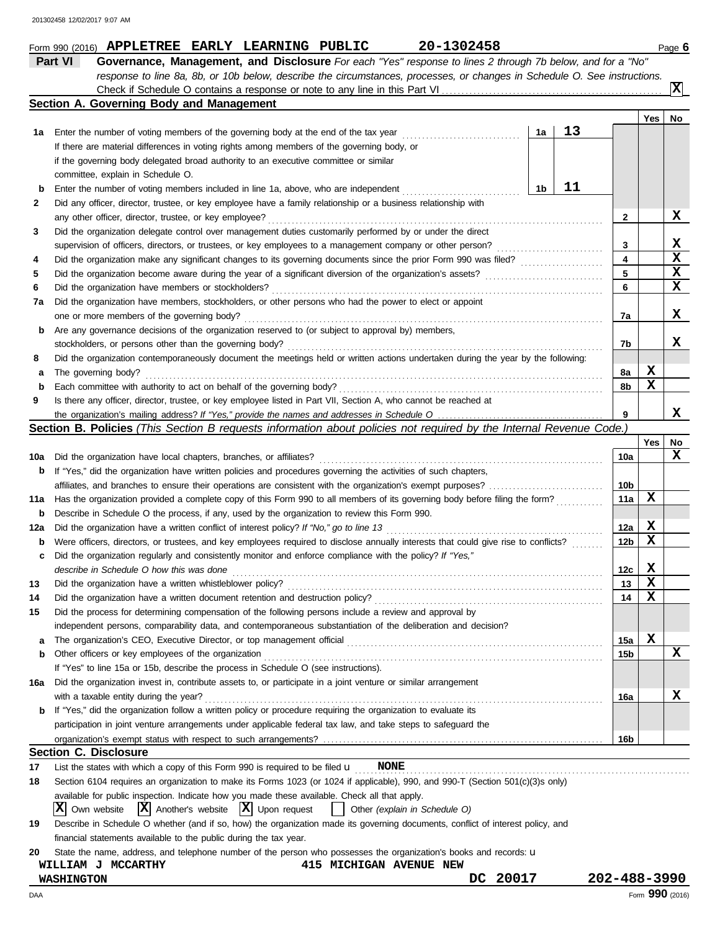#### **Form 990 (2016) APPLETREE EARLY LEARNING PUBLIC 20-1302458** Page 6

| Part VI | Governance, Management, and Disclosure For each "Yes" response to lines 2 through 7b below, and for a "No"                                                                                                                     |                     |
|---------|--------------------------------------------------------------------------------------------------------------------------------------------------------------------------------------------------------------------------------|---------------------|
|         | response to line 8a, 8b, or 10b below, describe the circumstances, processes, or changes in Schedule O. See instructions.                                                                                                      |                     |
|         | Check if Schedule O contains a response or note to any line in this Part VI Contained the Check of Schedule O contains a response or note to any line in this Part VI Contained the Schedule of the Schedule of the Schedule o | $\sqrt{\mathbf{x}}$ |
|         | Section A. Governing Body and Management                                                                                                                                                                                       |                     |

|    |                                                                                                                                   |    |    |    | Yes | No. |
|----|-----------------------------------------------------------------------------------------------------------------------------------|----|----|----|-----|-----|
| 1a | Enter the number of voting members of the governing body at the end of the tax year                                               | 1a | 13 |    |     |     |
|    | If there are material differences in voting rights among members of the governing body, or                                        |    |    |    |     |     |
|    | if the governing body delegated broad authority to an executive committee or similar                                              |    |    |    |     |     |
|    | committee, explain in Schedule O.                                                                                                 |    |    |    |     |     |
| b  | Enter the number of voting members included in line 1a, above, who are independent                                                | 1b | 11 |    |     |     |
| 2  | Did any officer, director, trustee, or key employee have a family relationship or a business relationship with                    |    |    |    |     |     |
|    | any other officer, director, trustee, or key employee?                                                                            |    |    | 2  |     | x   |
| 3  | Did the organization delegate control over management duties customarily performed by or under the direct                         |    |    |    |     |     |
|    | supervision of officers, directors, or trustees, or key employees to a management company or other person?                        |    |    | 3  |     | x   |
| 4  | Did the organization make any significant changes to its governing documents since the prior Form 990 was filed?                  |    |    | 4  |     | X   |
| 5  | Did the organization become aware during the year of a significant diversion of the organization's assets?                        |    |    | 5  |     | X   |
| 6  | Did the organization have members or stockholders?                                                                                |    |    | 6  |     | x   |
| 7a | Did the organization have members, stockholders, or other persons who had the power to elect or appoint                           |    |    |    |     |     |
|    | one or more members of the governing body?                                                                                        |    |    | 7a |     | x   |
| b  | Are any governance decisions of the organization reserved to (or subject to approval by) members,                                 |    |    |    |     |     |
|    | stockholders, or persons other than the governing body?                                                                           |    |    | 7b |     | x   |
| 8  | Did the organization contemporaneously document the meetings held or written actions undertaken during the year by the following: |    |    |    |     |     |
| a  | The governing body?                                                                                                               |    |    | 8a | x   |     |
| b  | Each committee with authority to act on behalf of the governing body?                                                             |    |    | 8b | X   |     |
| 9  | Is there any officer, director, trustee, or key employee listed in Part VII, Section A, who cannot be reached at                  |    |    |    |     |     |
|    |                                                                                                                                   |    |    | 9  |     | х   |

## **Section B. Policies** *(This Section B requests information about policies not required by the Internal Revenue Code.)*

|     |                                                                                                                                     |                 | <b>Yes</b>  | <b>No</b> |
|-----|-------------------------------------------------------------------------------------------------------------------------------------|-----------------|-------------|-----------|
| 10a | Did the organization have local chapters, branches, or affiliates?                                                                  | 10a             |             | X         |
| b   | If "Yes," did the organization have written policies and procedures governing the activities of such chapters,                      |                 |             |           |
|     | affiliates, and branches to ensure their operations are consistent with the organization's exempt purposes?                         | 10 <sub>b</sub> |             |           |
| 11a | Has the organization provided a complete copy of this Form 990 to all members of its governing body before filing the form?         | 11a             | $\mathbf x$ |           |
| b   | Describe in Schedule O the process, if any, used by the organization to review this Form 990.                                       |                 |             |           |
| 12a | Did the organization have a written conflict of interest policy? If "No," go to line 13                                             | 12a             | х           |           |
| b   | Were officers, directors, or trustees, and key employees required to disclose annually interests that could give rise to conflicts? | 12 <sub>b</sub> | X           |           |
| c   | Did the organization regularly and consistently monitor and enforce compliance with the policy? If "Yes,"                           |                 |             |           |
|     | describe in Schedule O how this was done                                                                                            | 12 <sub>c</sub> | x           |           |
| 13  | Did the organization have a written whistleblower policy?                                                                           | 13              | X           |           |
| 14  | Did the organization have a written document retention and destruction policy?                                                      | 14              | X           |           |
| 15  | Did the process for determining compensation of the following persons include a review and approval by                              |                 |             |           |
|     | independent persons, comparability data, and contemporaneous substantiation of the deliberation and decision?                       |                 |             |           |
| a   |                                                                                                                                     | 15a             | X           |           |
| b   | Other officers or key employees of the organization                                                                                 | 15 <sub>b</sub> |             | X         |
|     | If "Yes" to line 15a or 15b, describe the process in Schedule O (see instructions).                                                 |                 |             |           |
| 16a | Did the organization invest in, contribute assets to, or participate in a joint venture or similar arrangement                      |                 |             |           |
|     | with a taxable entity during the year?                                                                                              | 16a             |             | x         |
| b   | If "Yes," did the organization follow a written policy or procedure requiring the organization to evaluate its                      |                 |             |           |
|     | participation in joint venture arrangements under applicable federal tax law, and take steps to safeguard the                       |                 |             |           |
|     |                                                                                                                                     | 16b             |             |           |
|     | <b>Section C. Disclosure</b>                                                                                                        |                 |             |           |
| 17  | <b>NONE</b><br>List the states with which a copy of this Form 990 is required to be filed <b>u</b>                                  |                 |             |           |

| 18  | Section 6104 requires an organization to make its Forms 1023 (or 1024 if applicable), 990, and 990-T (Section 501(c)(3)s only)       |                 |
|-----|--------------------------------------------------------------------------------------------------------------------------------------|-----------------|
|     | available for public inspection. Indicate how you made these available. Check all that apply.                                        |                 |
|     | $\overline{X}$ Own website $\overline{X}$ Another's website $\overline{X}$ Upon request $\overline{X}$ Other (explain in Schedule O) |                 |
| 19  | Describe in Schedule O whether (and if so, how) the organization made its governing documents, conflict of interest policy, and      |                 |
|     | financial statements available to the public during the tax year.                                                                    |                 |
| 20  | State the name, address, and telephone number of the person who possesses the organization's books and records: <b>u</b>             |                 |
|     | WILLIAM J MCCARTHY<br>415 MICHIGAN AVENUE NEW                                                                                        |                 |
|     | DC 20017<br><b>WASHINGTON</b>                                                                                                        | 202-488-3990    |
| DAA |                                                                                                                                      | Form 990 (2016) |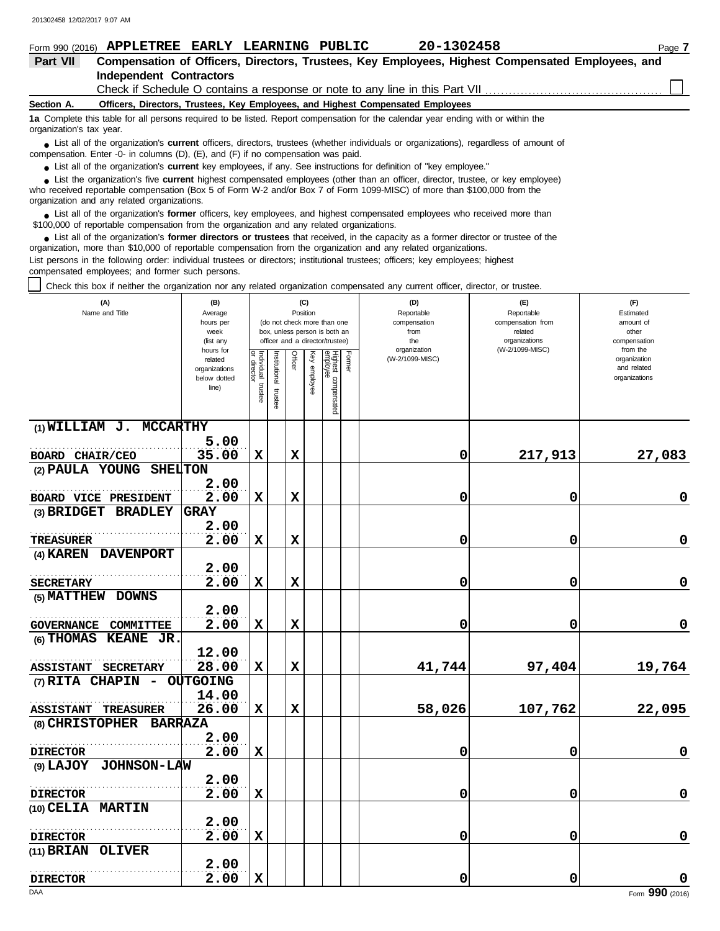| Form 990 (2016)                                                                               | 20-1302458<br>APPLETREE EARLY LEARNING PUBLIC                                                                                                                                                                               | Page 7 |  |  |  |  |  |  |
|-----------------------------------------------------------------------------------------------|-----------------------------------------------------------------------------------------------------------------------------------------------------------------------------------------------------------------------------|--------|--|--|--|--|--|--|
| <b>Part VII</b>                                                                               | Compensation of Officers, Directors, Trustees, Key Employees, Highest Compensated Employees, and                                                                                                                            |        |  |  |  |  |  |  |
|                                                                                               | Independent Contractors                                                                                                                                                                                                     |        |  |  |  |  |  |  |
|                                                                                               |                                                                                                                                                                                                                             |        |  |  |  |  |  |  |
| Officers, Directors, Trustees, Key Employees, and Highest Compensated Employees<br>Section A. |                                                                                                                                                                                                                             |        |  |  |  |  |  |  |
|                                                                                               | 1a Complete this table for all persons required to be listed. Report compensation for the calendar year ending with or within the<br>organization's tax year.                                                               |        |  |  |  |  |  |  |
|                                                                                               | • List all of the organization's current officers, directors, trustees (whether individuals or organizations), regardless of amount of<br>compensation. Enter -0- in columns (D), (E), and (F) if no compensation was paid. |        |  |  |  |  |  |  |

● List all of the organization's **current** key employees, if any. See instructions for definition of "key employee."

who received reportable compensation (Box 5 of Form W-2 and/or Box 7 of Form 1099-MISC) of more than \$100,000 from the organization and any related organizations. ■ List the organization's five **current** highest compensated employees (other than an officer, director, trustee, or key employee)<br> **•** Pregiund reportable compensation (Box 5 of Ferm W 2 and/or Box 7 of Ferm 1000 MISC) o

■ List all of the organization's **former** officers, key employees, and highest compensated employees who received more than<br> **•** 00.000 of reportable compensation from the examization and any related erganizations \$100,000 of reportable compensation from the organization and any related organizations.

■ List all of the organization's **former directors or trustees** that received, in the capacity as a former director or trustee of the practization more than \$10,000 of reportable compensation from the organization and any organization, more than \$10,000 of reportable compensation from the organization and any related organizations. List persons in the following order: individual trustees or directors; institutional trustees; officers; key employees; highest compensated employees; and former such persons.

Check this box if neither the organization nor any related organization compensated any current officer, director, or trustee.

| (A)<br>Name and Title                                    | (B)<br>Average<br>hours per<br>week<br>(list any               |                                      |                         | Position    | (C)          | (do not check more than one<br>box, unless person is both an<br>officer and a director/trustee) |        | (D)<br>(E)<br>Reportable<br>Reportable<br>compensation from<br>compensation<br>from<br>related<br>organizations<br>the<br>(W-2/1099-MISC)<br>organization |         | (F)<br>Estimated<br>amount of<br>other<br>compensation   |
|----------------------------------------------------------|----------------------------------------------------------------|--------------------------------------|-------------------------|-------------|--------------|-------------------------------------------------------------------------------------------------|--------|-----------------------------------------------------------------------------------------------------------------------------------------------------------|---------|----------------------------------------------------------|
|                                                          | hours for<br>related<br>organizations<br>below dotted<br>line) | Individual<br>or director<br>trustee | nstitutional<br>trustee | Officer     | Key employee | Highest compensated<br>employee                                                                 | Former | (W-2/1099-MISC)                                                                                                                                           |         | from the<br>organization<br>and related<br>organizations |
| $(1)$ WILLIAM J. MCCARTHY                                |                                                                |                                      |                         |             |              |                                                                                                 |        |                                                                                                                                                           |         |                                                          |
|                                                          | 5.00                                                           |                                      |                         |             |              |                                                                                                 |        |                                                                                                                                                           |         |                                                          |
| <b>BOARD CHAIR/CEO</b><br>(2) PAULA YOUNG SHELTON        | 35.00                                                          | x                                    |                         | $\mathbf x$ |              |                                                                                                 |        | 0                                                                                                                                                         | 217,913 | 27,083                                                   |
|                                                          | 2.00                                                           |                                      |                         |             |              |                                                                                                 |        |                                                                                                                                                           |         |                                                          |
| <b>BOARD VICE PRESIDENT</b>                              | 2.00                                                           | $\mathbf x$                          |                         | $\mathbf x$ |              |                                                                                                 |        | 0                                                                                                                                                         | 0       | 0                                                        |
| (3) BRIDGET BRADLEY                                      | <b>GRAY</b>                                                    |                                      |                         |             |              |                                                                                                 |        |                                                                                                                                                           |         |                                                          |
|                                                          | 2.00                                                           |                                      |                         |             |              |                                                                                                 |        |                                                                                                                                                           |         |                                                          |
| <b>TREASURER</b>                                         | 2.00                                                           | $\mathbf x$                          |                         | $\mathbf x$ |              |                                                                                                 |        | 0                                                                                                                                                         | 0       | $\mathbf 0$                                              |
| (4) KAREN DAVENPORT                                      |                                                                |                                      |                         |             |              |                                                                                                 |        |                                                                                                                                                           |         |                                                          |
|                                                          | 2.00                                                           |                                      |                         |             |              |                                                                                                 |        |                                                                                                                                                           |         |                                                          |
| <b>SECRETARY</b>                                         | 2.00                                                           | х                                    |                         | $\mathbf x$ |              |                                                                                                 |        | 0                                                                                                                                                         | 0       | 0                                                        |
| (5) MATTHEW DOWNS                                        |                                                                |                                      |                         |             |              |                                                                                                 |        |                                                                                                                                                           |         |                                                          |
|                                                          | 2.00                                                           |                                      |                         |             |              |                                                                                                 |        |                                                                                                                                                           |         |                                                          |
| GOVERNANCE COMMITTEE                                     | 2.00                                                           | X                                    |                         | $\mathbf x$ |              |                                                                                                 |        | 0                                                                                                                                                         | 0       | 0                                                        |
| (6) THOMAS KEANE JR.                                     |                                                                |                                      |                         |             |              |                                                                                                 |        |                                                                                                                                                           |         |                                                          |
|                                                          | 12.00                                                          |                                      |                         |             |              |                                                                                                 |        |                                                                                                                                                           |         |                                                          |
| <b>ASSISTANT SECRETARY</b><br>(7) RITA CHAPIN - OUTGOING | 28.00                                                          | х                                    |                         | $\mathbf x$ |              |                                                                                                 |        | 41,744                                                                                                                                                    | 97,404  | 19,764                                                   |
|                                                          | 14.00                                                          |                                      |                         |             |              |                                                                                                 |        |                                                                                                                                                           |         |                                                          |
| <b>ASSISTANT TREASURER</b>                               | 26.00                                                          | $\mathbf x$                          |                         | $\mathbf x$ |              |                                                                                                 |        | 58,026                                                                                                                                                    | 107,762 | 22,095                                                   |
| (8) CHRISTOPHER                                          | <b>BARRAZA</b>                                                 |                                      |                         |             |              |                                                                                                 |        |                                                                                                                                                           |         |                                                          |
|                                                          | 2.00                                                           |                                      |                         |             |              |                                                                                                 |        |                                                                                                                                                           |         |                                                          |
| <b>DIRECTOR</b>                                          | 2.00                                                           | x                                    |                         |             |              |                                                                                                 |        | 0                                                                                                                                                         | 0       | $\mathbf 0$                                              |
| (9) LAJOY JOHNSON-LAW                                    |                                                                |                                      |                         |             |              |                                                                                                 |        |                                                                                                                                                           |         |                                                          |
|                                                          | 2.00                                                           |                                      |                         |             |              |                                                                                                 |        |                                                                                                                                                           |         |                                                          |
| <b>DIRECTOR</b>                                          | 2.00                                                           | $\mathbf x$                          |                         |             |              |                                                                                                 |        | 0                                                                                                                                                         | 0       | 0                                                        |
| (10) CELIA MARTIN                                        |                                                                |                                      |                         |             |              |                                                                                                 |        |                                                                                                                                                           |         |                                                          |
|                                                          | 2.00                                                           |                                      |                         |             |              |                                                                                                 |        |                                                                                                                                                           |         |                                                          |
| <b>DIRECTOR</b>                                          | 2.00                                                           | X                                    |                         |             |              |                                                                                                 |        | 0                                                                                                                                                         | 0       | 0                                                        |
| (11) BRIAN OLIVER                                        |                                                                |                                      |                         |             |              |                                                                                                 |        |                                                                                                                                                           |         |                                                          |
|                                                          | 2.00<br>2.00                                                   | $\mathbf x$                          |                         |             |              |                                                                                                 |        | 0                                                                                                                                                         | 0       |                                                          |
| <b>DIRECTOR</b><br>DAA                                   |                                                                |                                      |                         |             |              |                                                                                                 |        |                                                                                                                                                           |         | O<br>Form 990 (2016)                                     |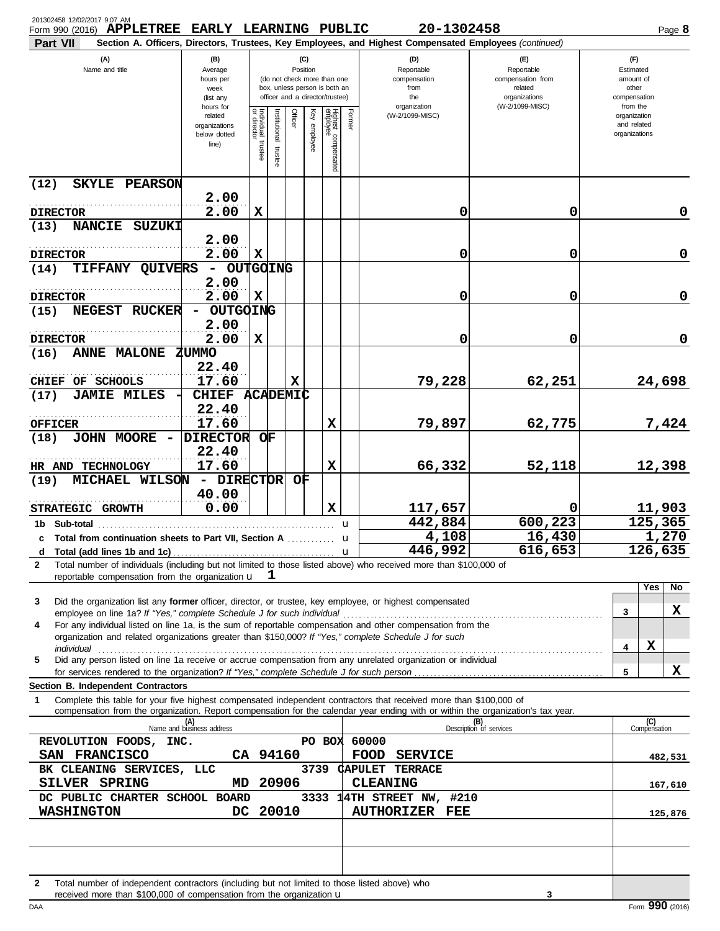| 201302458 12/02/2017 9:07 AM<br>Form 990 (2016) <b>APPLETREE</b>                                                                                                                                                                                            | <b>EARLY LEARNING PUBLIC</b>                                  |                                      |                         |         |                 |                                                                                                 |                  | 20-1302458                                                                                             |                                                                                       | Page 8                                                             |
|-------------------------------------------------------------------------------------------------------------------------------------------------------------------------------------------------------------------------------------------------------------|---------------------------------------------------------------|--------------------------------------|-------------------------|---------|-----------------|-------------------------------------------------------------------------------------------------|------------------|--------------------------------------------------------------------------------------------------------|---------------------------------------------------------------------------------------|--------------------------------------------------------------------|
| <b>Part VII</b>                                                                                                                                                                                                                                             |                                                               |                                      |                         |         |                 |                                                                                                 |                  | Section A. Officers, Directors, Trustees, Key Employees, and Highest Compensated Employees (continued) |                                                                                       |                                                                    |
| (A)<br>Name and title                                                                                                                                                                                                                                       | (B)<br>Average<br>hours per<br>week<br>(list any<br>hours for |                                      |                         |         | (C)<br>Position | (do not check more than one<br>box, unless person is both an<br>officer and a director/trustee) |                  | (D)<br>Reportable<br>compensation<br>from<br>the<br>organization                                       | (E)<br>Reportable<br>compensation from<br>related<br>organizations<br>(W-2/1099-MISC) | (F)<br>Estimated<br>amount of<br>other<br>compensation<br>from the |
|                                                                                                                                                                                                                                                             | related<br>organizations<br>below dotted<br>line)             | Individual<br>or director<br>trustee | nstitutional<br>trustee | Officer | Key<br>employee | Highest compensated<br>employee                                                                 | Former           | (W-2/1099-MISC)                                                                                        |                                                                                       | organization<br>and related<br>organizations                       |
| (12)<br>SKYLE PEARSON                                                                                                                                                                                                                                       | 2.00                                                          |                                      |                         |         |                 |                                                                                                 |                  |                                                                                                        |                                                                                       |                                                                    |
| <b>DIRECTOR</b>                                                                                                                                                                                                                                             | 2.00                                                          | x                                    |                         |         |                 |                                                                                                 |                  | 0                                                                                                      | 0                                                                                     | 0                                                                  |
| NANCIE SUZUKI<br>(13)                                                                                                                                                                                                                                       | 2.00                                                          |                                      |                         |         |                 |                                                                                                 |                  |                                                                                                        |                                                                                       |                                                                    |
| <b>DIRECTOR</b><br>(14)<br>TIFFANY QUIVERS                                                                                                                                                                                                                  | 2.00<br><b>OUTGOING</b>                                       | X                                    |                         |         |                 |                                                                                                 |                  | 0                                                                                                      | 0                                                                                     | 0                                                                  |
| <b>DIRECTOR</b>                                                                                                                                                                                                                                             | 2.00<br>2.00                                                  | X                                    |                         |         |                 |                                                                                                 |                  | 0                                                                                                      | 0                                                                                     | 0                                                                  |
| (15)<br><b>NEGEST RUCKER</b>                                                                                                                                                                                                                                | <b>OUTGOING</b><br>2.00                                       |                                      |                         |         |                 |                                                                                                 |                  |                                                                                                        |                                                                                       |                                                                    |
| <b>DIRECTOR</b>                                                                                                                                                                                                                                             | 2.00                                                          | x                                    |                         |         |                 |                                                                                                 |                  | 0                                                                                                      | 0                                                                                     | 0                                                                  |
| (16)<br><b>ANNE MALONE</b><br>CHIEF OF SCHOOLS                                                                                                                                                                                                              | <b>ZUMMO</b><br>22.40<br>17.60                                |                                      |                         | x       |                 |                                                                                                 |                  | 79,228                                                                                                 | 62,251                                                                                | 24,698                                                             |
| (17)<br><b>JAMIE MILES</b>                                                                                                                                                                                                                                  | CHIEF ACADEMIC                                                |                                      |                         |         |                 |                                                                                                 |                  |                                                                                                        |                                                                                       |                                                                    |
| <b>OFFICER</b>                                                                                                                                                                                                                                              | 22.40<br>17.60                                                |                                      |                         |         |                 | X                                                                                               |                  | 79,897                                                                                                 | 62,775                                                                                | 7,424                                                              |
| JOHN MOORE -<br>(18)                                                                                                                                                                                                                                        | <b>DIRECTOR</b>                                               | OF                                   |                         |         |                 |                                                                                                 |                  |                                                                                                        |                                                                                       |                                                                    |
| HR AND TECHNOLOGY                                                                                                                                                                                                                                           | 22.40<br>17.60                                                |                                      |                         |         |                 | X                                                                                               |                  | 66,332                                                                                                 | 52,118                                                                                | 12,398                                                             |
| MICHAEL WILSON<br>(19)                                                                                                                                                                                                                                      | - DIRECTOR<br>40.00                                           |                                      |                         | OF      |                 |                                                                                                 |                  |                                                                                                        |                                                                                       |                                                                    |
| <b>STRATEGIC</b><br><b>GROWTH</b>                                                                                                                                                                                                                           | 0.00                                                          |                                      |                         |         |                 | $\mathbf x$                                                                                     |                  | 117,657                                                                                                | 0                                                                                     | 11,903                                                             |
| 1b Sub-total                                                                                                                                                                                                                                                |                                                               |                                      |                         |         |                 |                                                                                                 | u                | 442,884<br>4,108                                                                                       | 600,223<br>16,430                                                                     | 125,365<br>1,270                                                   |
| c Total from continuation sheets to Part VII, Section A <i>Community</i><br>d                                                                                                                                                                               |                                                               |                                      |                         |         |                 |                                                                                                 | u<br>$\mathbf u$ | 446,992                                                                                                | 616,653                                                                               | 126,635                                                            |
| Total number of individuals (including but not limited to those listed above) who received more than \$100,000 of<br>$\mathbf{2}$                                                                                                                           |                                                               |                                      |                         |         |                 |                                                                                                 |                  |                                                                                                        |                                                                                       |                                                                    |
| reportable compensation from the organization u                                                                                                                                                                                                             |                                                               |                                      | $\perp$                 |         |                 |                                                                                                 |                  |                                                                                                        |                                                                                       | Yes<br>No                                                          |
| Did the organization list any <b>former</b> officer, director, or trustee, key employee, or highest compensated<br>3                                                                                                                                        |                                                               |                                      |                         |         |                 |                                                                                                 |                  |                                                                                                        |                                                                                       | X.<br>3                                                            |
| For any individual listed on line 1a, is the sum of reportable compensation and other compensation from the<br>4<br>organization and related organizations greater than \$150,000? If "Yes," complete Schedule J for such                                   |                                                               |                                      |                         |         |                 |                                                                                                 |                  |                                                                                                        |                                                                                       | х<br>4                                                             |
| Did any person listed on line 1a receive or accrue compensation from any unrelated organization or individual<br>5                                                                                                                                          |                                                               |                                      |                         |         |                 |                                                                                                 |                  |                                                                                                        |                                                                                       | X<br>5                                                             |
| Section B. Independent Contractors                                                                                                                                                                                                                          |                                                               |                                      |                         |         |                 |                                                                                                 |                  |                                                                                                        |                                                                                       |                                                                    |
| Complete this table for your five highest compensated independent contractors that received more than \$100,000 of<br>1<br>compensation from the organization. Report compensation for the calendar year ending with or within the organization's tax year. |                                                               |                                      |                         |         |                 |                                                                                                 |                  |                                                                                                        |                                                                                       |                                                                    |
| REVOLUTION FOODS, INC.                                                                                                                                                                                                                                      | (A)<br>Name and business address                              |                                      |                         |         |                 | PO BOX                                                                                          |                  | 60000                                                                                                  | (B)<br>Description of services                                                        | (C)<br>Compensation                                                |
| SAN FRANCISCO<br>BK CLEANING SERVICES, LLC                                                                                                                                                                                                                  |                                                               | CA 94160                             |                         |         | 3739            |                                                                                                 |                  | FOOD SERVICE<br><b>CAPULET TERRACE</b>                                                                 |                                                                                       | 482,531                                                            |
| SILVER SPRING                                                                                                                                                                                                                                               | MD.                                                           |                                      | 20906                   |         |                 |                                                                                                 |                  | <b>CLEANING</b>                                                                                        |                                                                                       | 167,610                                                            |
| DC PUBLIC CHARTER SCHOOL BOARD<br><b>WASHINGTON</b>                                                                                                                                                                                                         |                                                               | DC 20010                             |                         |         |                 |                                                                                                 |                  | 3333 14TH STREET NW, #210<br><b>AUTHORIZER FEE</b>                                                     |                                                                                       | 125,876                                                            |
|                                                                                                                                                                                                                                                             |                                                               |                                      |                         |         |                 |                                                                                                 |                  |                                                                                                        |                                                                                       |                                                                    |
|                                                                                                                                                                                                                                                             |                                                               |                                      |                         |         |                 |                                                                                                 |                  |                                                                                                        |                                                                                       |                                                                    |
| Total number of independent contractors (including but not limited to those listed above) who<br>2                                                                                                                                                          |                                                               |                                      |                         |         |                 |                                                                                                 |                  |                                                                                                        |                                                                                       |                                                                    |

received more than \$100,000 of compensation from the organization u

**3**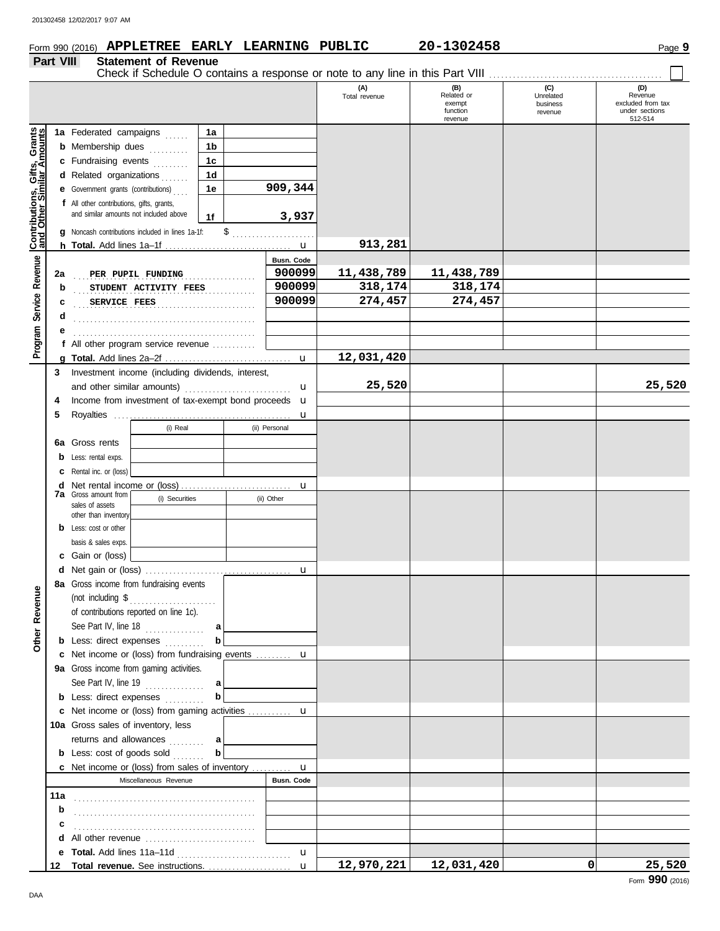# **Form 990 (2016) APPLETREE EARLY LEARNING PUBLIC 20-1302458** Page 9

## **Part VIII Statement of Revenue**

|                              |     | Check if Schedule O contains a response or note to any line in this Part VIII       |                |                                                     |                      |                                                    |                                         |                                                                  |
|------------------------------|-----|-------------------------------------------------------------------------------------|----------------|-----------------------------------------------------|----------------------|----------------------------------------------------|-----------------------------------------|------------------------------------------------------------------|
|                              |     |                                                                                     |                |                                                     | (A)<br>Total revenue | (B)<br>Related or<br>exempt<br>function<br>revenue | (C)<br>Unrelated<br>business<br>revenue | (D)<br>Revenue<br>excluded from tax<br>under sections<br>512-514 |
|                              |     | 1a Federated campaigns                                                              | 1a             |                                                     |                      |                                                    |                                         |                                                                  |
|                              |     | <b>b</b> Membership dues                                                            | 1b             |                                                     |                      |                                                    |                                         |                                                                  |
|                              |     | 1.1.1.1.1.1.1.1<br>c Fundraising events                                             | 1 <sub>c</sub> |                                                     |                      |                                                    |                                         |                                                                  |
|                              |     | d Related organizations                                                             | 1d             |                                                     |                      |                                                    |                                         |                                                                  |
|                              |     | <b>e</b> Government grants (contributions)                                          | 1е             | 909,344                                             |                      |                                                    |                                         |                                                                  |
|                              |     |                                                                                     |                |                                                     |                      |                                                    |                                         |                                                                  |
|                              |     | f All other contributions, gifts, grants,<br>and similar amounts not included above |                | 3,937                                               |                      |                                                    |                                         |                                                                  |
|                              |     |                                                                                     | 1f             | \$                                                  |                      |                                                    |                                         |                                                                  |
| Contributions, Gifts, Grants |     | g Noncash contributions included in lines 1a-1f:                                    |                | <u> 1986 - Johann Stoff, Amerikaansk kanton en </u> | 913,281              |                                                    |                                         |                                                                  |
|                              |     |                                                                                     |                | Busn. Code                                          |                      |                                                    |                                         |                                                                  |
| Service Revenue              | 2a  | PER PUPIL FUNDING                                                                   |                | 900099                                              | 11,438,789           | 11,438,789                                         |                                         |                                                                  |
|                              | b   | STUDENT ACTIVITY FEES                                                               |                | 900099                                              | 318,174              | 318,174                                            |                                         |                                                                  |
|                              | c   | SERVICE FEES                                                                        |                | 900099                                              | 274,457              | 274,457                                            |                                         |                                                                  |
|                              | d   |                                                                                     |                |                                                     |                      |                                                    |                                         |                                                                  |
|                              |     |                                                                                     |                |                                                     |                      |                                                    |                                         |                                                                  |
| Program :                    |     | f All other program service revenue $\ldots$                                        |                |                                                     |                      |                                                    |                                         |                                                                  |
|                              |     |                                                                                     |                | $\mathbf u$                                         | 12,031,420           |                                                    |                                         |                                                                  |
|                              | 3   | Investment income (including dividends, interest,                                   |                |                                                     |                      |                                                    |                                         |                                                                  |
|                              |     | and other similar amounts)                                                          |                | $\mathbf{u}$                                        | 25,520               |                                                    |                                         | 25,520                                                           |
|                              | 4   | Income from investment of tax-exempt bond proceeds <b>u</b>                         |                |                                                     |                      |                                                    |                                         |                                                                  |
|                              | 5   |                                                                                     |                | u                                                   |                      |                                                    |                                         |                                                                  |
|                              |     | (i) Real                                                                            |                | (ii) Personal                                       |                      |                                                    |                                         |                                                                  |
|                              |     | 6a Gross rents                                                                      |                |                                                     |                      |                                                    |                                         |                                                                  |
|                              | b   | Less: rental exps.                                                                  |                |                                                     |                      |                                                    |                                         |                                                                  |
|                              |     | Rental inc. or (loss)                                                               |                |                                                     |                      |                                                    |                                         |                                                                  |
|                              | d   |                                                                                     |                | u                                                   |                      |                                                    |                                         |                                                                  |
|                              | 7a  | Gross amount from<br>(i) Securities                                                 |                | (ii) Other                                          |                      |                                                    |                                         |                                                                  |
|                              |     | sales of assets<br>other than inventory                                             |                |                                                     |                      |                                                    |                                         |                                                                  |
|                              |     | <b>b</b> Less: cost or other                                                        |                |                                                     |                      |                                                    |                                         |                                                                  |
|                              |     | basis & sales exps.                                                                 |                |                                                     |                      |                                                    |                                         |                                                                  |
|                              |     | Gain or (loss)                                                                      |                |                                                     |                      |                                                    |                                         |                                                                  |
|                              |     |                                                                                     |                |                                                     |                      |                                                    |                                         |                                                                  |
|                              |     | 8a Gross income from fundraising events                                             |                |                                                     |                      |                                                    |                                         |                                                                  |
| ≌                            |     | (not including \$                                                                   |                |                                                     |                      |                                                    |                                         |                                                                  |
|                              |     | of contributions reported on line 1c).                                              |                |                                                     |                      |                                                    |                                         |                                                                  |
|                              |     | See Part IV, line 18 $\ldots$                                                       | a              |                                                     |                      |                                                    |                                         |                                                                  |
| Other Revenu                 |     | <b>b</b> Less: direct expenses                                                      | b              |                                                     |                      |                                                    |                                         |                                                                  |
|                              | c   | Net income or (loss) from fundraising events <b>u</b>                               |                |                                                     |                      |                                                    |                                         |                                                                  |
|                              |     | 9a Gross income from gaming activities.                                             |                |                                                     |                      |                                                    |                                         |                                                                  |
|                              |     | See Part IV, line 19                                                                | a              |                                                     |                      |                                                    |                                         |                                                                  |
|                              |     | <b>b</b> Less: direct expenses                                                      | b              |                                                     |                      |                                                    |                                         |                                                                  |
|                              | c   | Net income or (loss) from gaming activities  u                                      |                |                                                     |                      |                                                    |                                         |                                                                  |
|                              |     | 10a Gross sales of inventory, less                                                  |                |                                                     |                      |                                                    |                                         |                                                                  |
|                              |     | returns and allowances                                                              | а              |                                                     |                      |                                                    |                                         |                                                                  |
|                              |     | <b>b</b> Less: cost of goods sold                                                   | b              |                                                     |                      |                                                    |                                         |                                                                  |
|                              |     | <b>c</b> Net income or (loss) from sales of inventory <b>u</b>                      |                |                                                     |                      |                                                    |                                         |                                                                  |
|                              |     | Miscellaneous Revenue                                                               |                | Busn. Code                                          |                      |                                                    |                                         |                                                                  |
|                              | 11a |                                                                                     |                |                                                     |                      |                                                    |                                         |                                                                  |
|                              | b   |                                                                                     |                |                                                     |                      |                                                    |                                         |                                                                  |
|                              |     |                                                                                     |                |                                                     |                      |                                                    |                                         |                                                                  |
|                              | d   | All other revenue                                                                   |                |                                                     |                      |                                                    |                                         |                                                                  |
|                              | е   |                                                                                     |                | $\mathbf{u}$                                        |                      |                                                    |                                         |                                                                  |
|                              | 12  |                                                                                     |                | $\mathbf{u}$                                        | 12,970,221           | 12,031,420                                         | 0                                       | 25,520                                                           |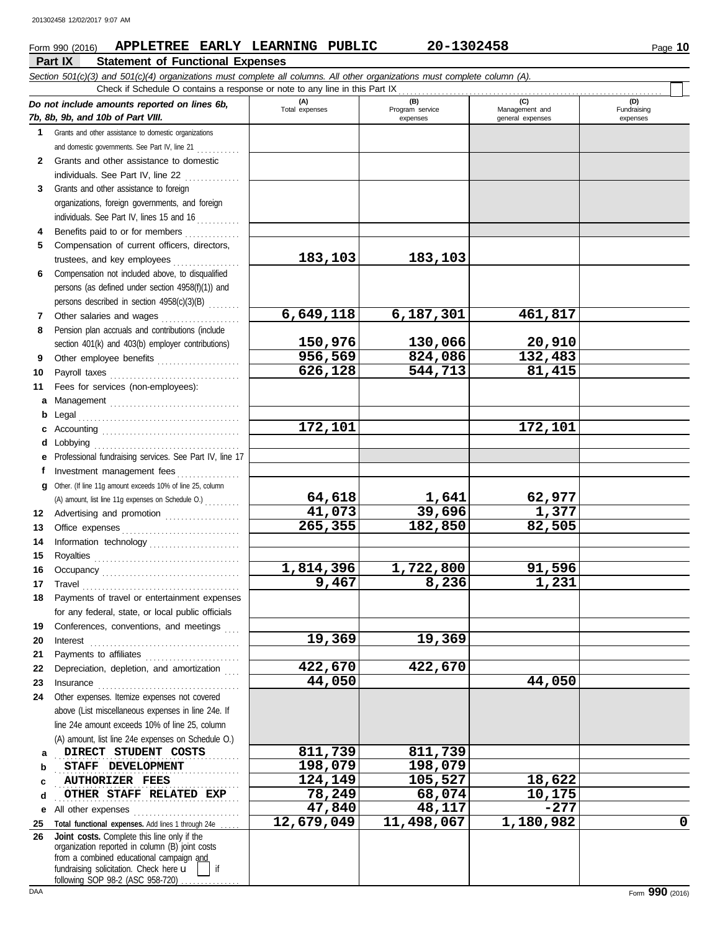## Form 990 (2016) Page **10 APPLETREE EARLY LEARNING PUBLIC 20-1302458**

|                  | Part IX<br><b>Statement of Functional Expenses</b>                                                                                                                                                                                  |                       |                         |                       |                    |
|------------------|-------------------------------------------------------------------------------------------------------------------------------------------------------------------------------------------------------------------------------------|-----------------------|-------------------------|-----------------------|--------------------|
|                  | Section 501(c)(3) and 501(c)(4) organizations must complete all columns. All other organizations must complete column (A).                                                                                                          |                       |                         |                       |                    |
|                  | Check if Schedule O contains a response or note to any line in this Part IX                                                                                                                                                         |                       |                         |                       |                    |
|                  | Do not include amounts reported on lines 6b,                                                                                                                                                                                        | (A)<br>Total expenses | (B)<br>Program service  | (C)<br>Management and | (D)<br>Fundraising |
|                  | 7b, 8b, 9b, and 10b of Part VIII.                                                                                                                                                                                                   |                       | expenses                | general expenses      | expenses           |
| 1.               | Grants and other assistance to domestic organizations                                                                                                                                                                               |                       |                         |                       |                    |
|                  | and domestic governments. See Part IV, line 21                                                                                                                                                                                      |                       |                         |                       |                    |
| $\mathbf{2}$     | Grants and other assistance to domestic                                                                                                                                                                                             |                       |                         |                       |                    |
|                  | individuals. See Part IV, line 22                                                                                                                                                                                                   |                       |                         |                       |                    |
| 3                | Grants and other assistance to foreign                                                                                                                                                                                              |                       |                         |                       |                    |
|                  | organizations, foreign governments, and foreign                                                                                                                                                                                     |                       |                         |                       |                    |
|                  | individuals. See Part IV, lines 15 and 16                                                                                                                                                                                           |                       |                         |                       |                    |
| 4                | Benefits paid to or for members                                                                                                                                                                                                     |                       |                         |                       |                    |
| 5                | Compensation of current officers, directors,                                                                                                                                                                                        |                       |                         |                       |                    |
|                  | trustees, and key employees                                                                                                                                                                                                         | 183,103               | 183,103                 |                       |                    |
| 6                | Compensation not included above, to disqualified                                                                                                                                                                                    |                       |                         |                       |                    |
|                  | persons (as defined under section 4958(f)(1)) and                                                                                                                                                                                   |                       |                         |                       |                    |
|                  | persons described in section 4958(c)(3)(B)                                                                                                                                                                                          | 6,649,118             | 6,187,301               | 461,817               |                    |
| 7                | Other salaries and wages<br>Pension plan accruals and contributions (include                                                                                                                                                        |                       |                         |                       |                    |
| 8                | section 401(k) and 403(b) employer contributions)                                                                                                                                                                                   | 150,976               | 130,066                 | 20,910                |                    |
| 9                | Other employee benefits                                                                                                                                                                                                             | 956,569               | 824,086                 | 132,483               |                    |
| 10               | Payroll taxes                                                                                                                                                                                                                       | 626,128               | 544,713                 | 81,415                |                    |
| 11               | Fees for services (non-employees):                                                                                                                                                                                                  |                       |                         |                       |                    |
| а                |                                                                                                                                                                                                                                     |                       |                         |                       |                    |
| b                | Legal                                                                                                                                                                                                                               |                       |                         |                       |                    |
| c                |                                                                                                                                                                                                                                     | 172,101               |                         | 172,101               |                    |
| d                | obbying                                                                                                                                                                                                                             |                       |                         |                       |                    |
| е                | Professional fundraising services. See Part IV, line 17                                                                                                                                                                             |                       |                         |                       |                    |
| f                | Investment management fees                                                                                                                                                                                                          |                       |                         |                       |                    |
| g                | Other. (If line 11g amount exceeds 10% of line 25, column                                                                                                                                                                           |                       |                         |                       |                    |
|                  | (A) amount, list line 11g expenses on Schedule O.)                                                                                                                                                                                  | 64,618                |                         | 62,977                |                    |
| 12               | Advertising and promotion                                                                                                                                                                                                           | 41,073                | $\frac{1,641}{39,696}$  | 1,377                 |                    |
| 13               | Office expenses                                                                                                                                                                                                                     | 265,355               | 182,850                 | 82,505                |                    |
| 14               | Information technology                                                                                                                                                                                                              |                       |                         |                       |                    |
| 15               |                                                                                                                                                                                                                                     |                       |                         |                       |                    |
| 16               |                                                                                                                                                                                                                                     | 1,814,396             | 1,722,800               | 91,596                |                    |
| 17 <sup>17</sup> | Travel                                                                                                                                                                                                                              | 9,467                 | 8,236                   | 1,231                 |                    |
| 18               | Payments of travel or entertainment expenses                                                                                                                                                                                        |                       |                         |                       |                    |
|                  | for any federal, state, or local public officials                                                                                                                                                                                   |                       |                         |                       |                    |
| 19               | Conferences, conventions, and meetings                                                                                                                                                                                              |                       |                         |                       |                    |
| 20               | $\blacksquare$                                                                                                                                                                                                                      | 19,369                | 19,369                  |                       |                    |
| 21               | Payments to affiliates                                                                                                                                                                                                              |                       |                         |                       |                    |
| 22               | Depreciation, depletion, and amortization                                                                                                                                                                                           | 422,670               | 422,670                 |                       |                    |
| 23               | Insurance <b>continuous</b> contains a series of the series of the series of the series of the series of the series of the series of the series of the series of the series of the series of the series of the series of the series | 44,050                |                         | 44,050                |                    |
| 24               | Other expenses. Itemize expenses not covered                                                                                                                                                                                        |                       |                         |                       |                    |
|                  | above (List miscellaneous expenses in line 24e. If                                                                                                                                                                                  |                       |                         |                       |                    |
|                  | line 24e amount exceeds 10% of line 25, column                                                                                                                                                                                      |                       |                         |                       |                    |
|                  | (A) amount, list line 24e expenses on Schedule O.)                                                                                                                                                                                  |                       |                         |                       |                    |
| а                | DIRECT STUDENT COSTS                                                                                                                                                                                                                | 811,739               | 811,739                 |                       |                    |
| b                | STAFF DEVELOPMENT                                                                                                                                                                                                                   | 198,079               | 198,079                 |                       |                    |
| c                | <b>AUTHORIZER FEES</b>                                                                                                                                                                                                              | 124,149               | 105,527                 | 18,622                |                    |
| d                | OTHER STAFF RELATED EXP                                                                                                                                                                                                             | 78,249                | 68,074                  | 10,175                |                    |
| е                | All other expenses                                                                                                                                                                                                                  | 47,840                | 48,117                  | $-277$                |                    |
| 25               | Total functional expenses. Add lines 1 through 24e                                                                                                                                                                                  | 12,679,049            | $\overline{11,498,067}$ | 1,180,982             | 0                  |
| 26               | Joint costs. Complete this line only if the<br>organization reported in column (B) joint costs                                                                                                                                      |                       |                         |                       |                    |
|                  | from a combined educational campaign and                                                                                                                                                                                            |                       |                         |                       |                    |
|                  | fundraising solicitation. Check here u                                                                                                                                                                                              |                       |                         |                       |                    |

following SOP 98-2 (ASC 958-720) ................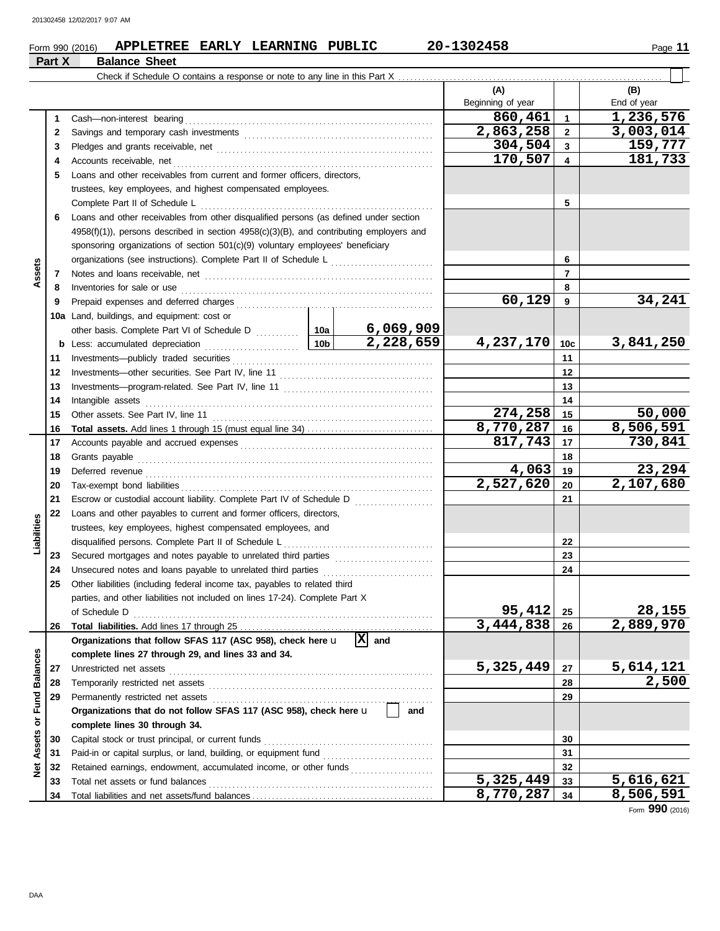## **Form 990 (2016) APPLETREE EARLY LEARNING PUBLIC 20-1302458** 2001 2001 2001 2008 2011 **Part X Balance Sheet**

|                      |    | Check if Schedule O contains a response or note to any line in this Part X                                                                                 |                 |                    |                          |                |                    |
|----------------------|----|------------------------------------------------------------------------------------------------------------------------------------------------------------|-----------------|--------------------|--------------------------|----------------|--------------------|
|                      |    |                                                                                                                                                            |                 |                    | (A)<br>Beginning of year |                | (B)<br>End of year |
|                      | 1  | Cash-non-interest bearing                                                                                                                                  |                 |                    | 860,461                  | $\mathbf{1}$   | 1,236,576          |
|                      | 2  |                                                                                                                                                            |                 |                    | 2,863,258                | $\overline{2}$ | 3,003,014          |
|                      | 3  |                                                                                                                                                            |                 |                    | 304,504                  | 3              | 159,777            |
|                      | 4  | Accounts receivable, net                                                                                                                                   |                 |                    | 170,507                  | $\overline{4}$ | 181,733            |
|                      | 5  | Loans and other receivables from current and former officers, directors,                                                                                   |                 |                    |                          |                |                    |
|                      |    | trustees, key employees, and highest compensated employees.                                                                                                |                 |                    |                          |                |                    |
|                      |    | Complete Part II of Schedule L                                                                                                                             |                 |                    |                          | 5              |                    |
|                      | 6  | Loans and other receivables from other disqualified persons (as defined under section                                                                      |                 |                    |                          |                |                    |
|                      |    | $4958(f)(1)$ ), persons described in section $4958(c)(3)(B)$ , and contributing employers and                                                              |                 |                    |                          |                |                    |
|                      |    | sponsoring organizations of section 501(c)(9) voluntary employees' beneficiary                                                                             |                 |                    |                          |                |                    |
|                      |    |                                                                                                                                                            |                 | 6                  |                          |                |                    |
| Assets               | 7  |                                                                                                                                                            |                 |                    |                          | $\overline{7}$ |                    |
|                      | 8  | Inventories for sale or use                                                                                                                                |                 | 8                  |                          |                |                    |
|                      | 9  | Prepaid expenses and deferred charges                                                                                                                      |                 |                    | 60,129                   | 9              | 34,241             |
|                      |    | 10a Land, buildings, and equipment: cost or                                                                                                                |                 |                    |                          |                |                    |
|                      |    |                                                                                                                                                            |                 | 6,069,909          |                          |                |                    |
|                      | b  | Less: accumulated depreciation                                                                                                                             | 10 <sub>b</sub> | 2,228,659          | 4,237,170                | 10c            | 3,841,250          |
|                      | 11 | Investments-publicly traded securities                                                                                                                     |                 |                    | 11                       |                |                    |
|                      | 12 | Investments—other securities. See Part IV, line 11                                                                                                         |                 |                    | 12                       |                |                    |
|                      | 13 |                                                                                                                                                            |                 | 13                 |                          |                |                    |
|                      | 14 | Intangible assets                                                                                                                                          |                 | 14                 |                          |                |                    |
|                      | 15 | Other assets. See Part IV, line 11                                                                                                                         |                 |                    | 274,258                  | 15             | 50,000             |
|                      | 16 |                                                                                                                                                            | 8,770,287       | 16                 | 8,506,591                |                |                    |
|                      | 17 |                                                                                                                                                            |                 | 817,743            | 17                       | 730,841        |                    |
|                      | 18 | Grants payable                                                                                                                                             |                 |                    | 18                       |                |                    |
|                      | 19 | Deferred revenue                                                                                                                                           |                 |                    | 4,063                    | 19             | 23,294             |
|                      | 20 |                                                                                                                                                            |                 |                    | 2,527,620                | 20             | 2,107,680          |
|                      | 21 | Escrow or custodial account liability. Complete Part IV of Schedule D                                                                                      |                 |                    |                          | 21             |                    |
|                      | 22 | Loans and other payables to current and former officers, directors,                                                                                        |                 |                    |                          |                |                    |
| Liabilities          |    | trustees, key employees, highest compensated employees, and                                                                                                |                 |                    |                          |                |                    |
|                      |    | disqualified persons. Complete Part II of Schedule L                                                                                                       |                 |                    |                          | 22             |                    |
|                      | 23 | Secured mortgages and notes payable to unrelated third parties                                                                                             |                 |                    |                          | 23             |                    |
|                      | 24 | Unsecured notes and loans payable to unrelated third parties                                                                                               |                 |                    |                          | 24             |                    |
|                      | 25 | Other liabilities (including federal income tax, payables to related third<br>parties, and other liabilities not included on lines 17-24). Complete Part X |                 |                    |                          |                |                    |
|                      |    | of Schedule D                                                                                                                                              |                 |                    | 95,412                   | 25             | 28,155             |
|                      | 26 |                                                                                                                                                            |                 |                    | 3,444,838                | 26             | 2,889,970          |
|                      |    | Organizations that follow SFAS 117 (ASC 958), check here u                                                                                                 |                 | $\overline{X}$ and |                          |                |                    |
|                      |    | complete lines 27 through 29, and lines 33 and 34.                                                                                                         |                 |                    |                          |                |                    |
|                      | 27 | Unrestricted net assets                                                                                                                                    |                 |                    | 5,325,449                | 27             | 5,614,121          |
|                      | 28 | Temporarily restricted net assets                                                                                                                          |                 |                    |                          | 28             | 2,500              |
|                      | 29 | Permanently restricted net assets                                                                                                                          |                 |                    |                          | 29             |                    |
| <b>Fund Balances</b> |    | Organizations that do not follow SFAS 117 (ASC 958), check here u                                                                                          |                 | and                |                          |                |                    |
| ŏ                    |    | complete lines 30 through 34.                                                                                                                              |                 |                    |                          |                |                    |
|                      | 30 | Capital stock or trust principal, or current funds                                                                                                         |                 | 30                 |                          |                |                    |
| Assets               | 31 |                                                                                                                                                            |                 |                    |                          | 31             |                    |
| ğ                    | 32 | Retained earnings, endowment, accumulated income, or other funds                                                                                           |                 |                    |                          | 32             |                    |
|                      | 33 | Total net assets or fund balances                                                                                                                          |                 |                    | 5,325,449                | 33             | 5,616,621          |
|                      | 34 |                                                                                                                                                            |                 |                    | 8,770,287                | 34             | 8,506,591          |

Form **990** (2016)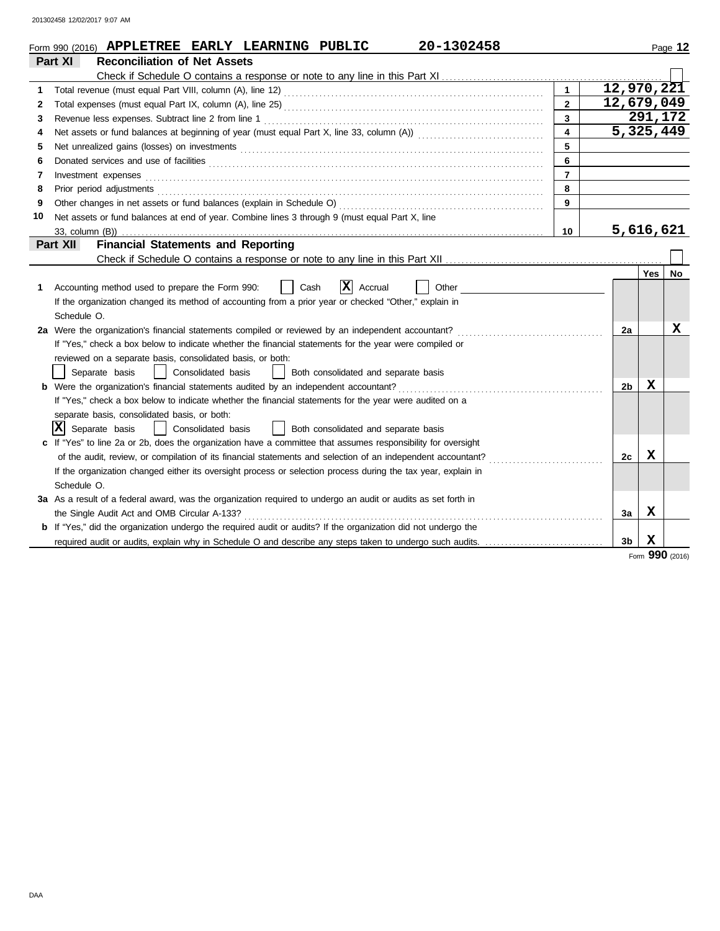|    | 20-1302458<br>Form 990 (2016) APPLETREE EARLY LEARNING PUBLIC                                                                                                                                                                                                                               |                |                |            | Page 12   |
|----|---------------------------------------------------------------------------------------------------------------------------------------------------------------------------------------------------------------------------------------------------------------------------------------------|----------------|----------------|------------|-----------|
|    | Part XI<br><b>Reconciliation of Net Assets</b>                                                                                                                                                                                                                                              |                |                |            |           |
|    |                                                                                                                                                                                                                                                                                             |                |                |            |           |
| 1  |                                                                                                                                                                                                                                                                                             | $\mathbf{1}$   | 12,970,221     |            |           |
| 2  |                                                                                                                                                                                                                                                                                             | $\overline{2}$ | 12,679,049     |            |           |
| 3  | Revenue less expenses. Subtract line 2 from line 1                                                                                                                                                                                                                                          | 3              |                | 291,172    |           |
| 4  |                                                                                                                                                                                                                                                                                             | $\overline{4}$ | 5,325,449      |            |           |
| 5  |                                                                                                                                                                                                                                                                                             | 5              |                |            |           |
| 6  | Donated services and use of facilities <b>constructs</b> and the service of facilities <b>constructs</b> and use of facilities                                                                                                                                                              | 6              |                |            |           |
| 7  | Investment expenses                                                                                                                                                                                                                                                                         | $\overline{7}$ |                |            |           |
| 8  | Prior period adjustments <b>constructs</b> and <b>constructs</b> and <b>constructs</b> and <b>constructs</b> and <b>constructs</b> and <b>constructs</b> and <b>constructs</b> and <b>constructs</b> and <b>constructs</b> and <b>constructs</b> and <b>constructs</b> and <b>construct</b> | 8              |                |            |           |
| 9  |                                                                                                                                                                                                                                                                                             | 9              |                |            |           |
| 10 | Net assets or fund balances at end of year. Combine lines 3 through 9 (must equal Part X, line                                                                                                                                                                                              |                |                |            |           |
|    |                                                                                                                                                                                                                                                                                             | 10             | 5,616,621      |            |           |
|    | <b>Financial Statements and Reporting</b><br>Part XII                                                                                                                                                                                                                                       |                |                |            |           |
|    |                                                                                                                                                                                                                                                                                             |                |                |            |           |
|    |                                                                                                                                                                                                                                                                                             |                |                | <b>Yes</b> | <b>No</b> |
| 1. | X<br>Other<br>Accounting method used to prepare the Form 990:<br>Cash<br>Accrual                                                                                                                                                                                                            |                |                |            |           |
|    | If the organization changed its method of accounting from a prior year or checked "Other," explain in                                                                                                                                                                                       |                |                |            |           |
|    | Schedule O.                                                                                                                                                                                                                                                                                 |                |                |            |           |
|    | 2a Were the organization's financial statements compiled or reviewed by an independent accountant?                                                                                                                                                                                          |                | 2a             |            | x         |
|    | If "Yes," check a box below to indicate whether the financial statements for the year were compiled or                                                                                                                                                                                      |                |                |            |           |
|    | reviewed on a separate basis, consolidated basis, or both:                                                                                                                                                                                                                                  |                |                |            |           |
|    | Separate basis<br>Consolidated basis<br>Both consolidated and separate basis                                                                                                                                                                                                                |                |                |            |           |
|    | <b>b</b> Were the organization's financial statements audited by an independent accountant?                                                                                                                                                                                                 |                | 2b             | x          |           |
|    | If "Yes," check a box below to indicate whether the financial statements for the year were audited on a                                                                                                                                                                                     |                |                |            |           |
|    | separate basis, consolidated basis, or both:                                                                                                                                                                                                                                                |                |                |            |           |
|    | x <br>Separate basis<br>Consolidated basis<br>Both consolidated and separate basis                                                                                                                                                                                                          |                |                |            |           |
|    | c If "Yes" to line 2a or 2b, does the organization have a committee that assumes responsibility for oversight                                                                                                                                                                               |                |                |            |           |
|    | of the audit, review, or compilation of its financial statements and selection of an independent accountant?                                                                                                                                                                                |                | 2c             | x          |           |
|    | If the organization changed either its oversight process or selection process during the tax year, explain in                                                                                                                                                                               |                |                |            |           |
|    | Schedule O.                                                                                                                                                                                                                                                                                 |                |                |            |           |
|    | 3a As a result of a federal award, was the organization required to undergo an audit or audits as set forth in                                                                                                                                                                              |                |                |            |           |
|    | the Single Audit Act and OMB Circular A-133?                                                                                                                                                                                                                                                |                | За             | X          |           |
|    | b If "Yes," did the organization undergo the required audit or audits? If the organization did not undergo the                                                                                                                                                                              |                |                |            |           |
|    |                                                                                                                                                                                                                                                                                             |                | 3 <sub>b</sub> | X          |           |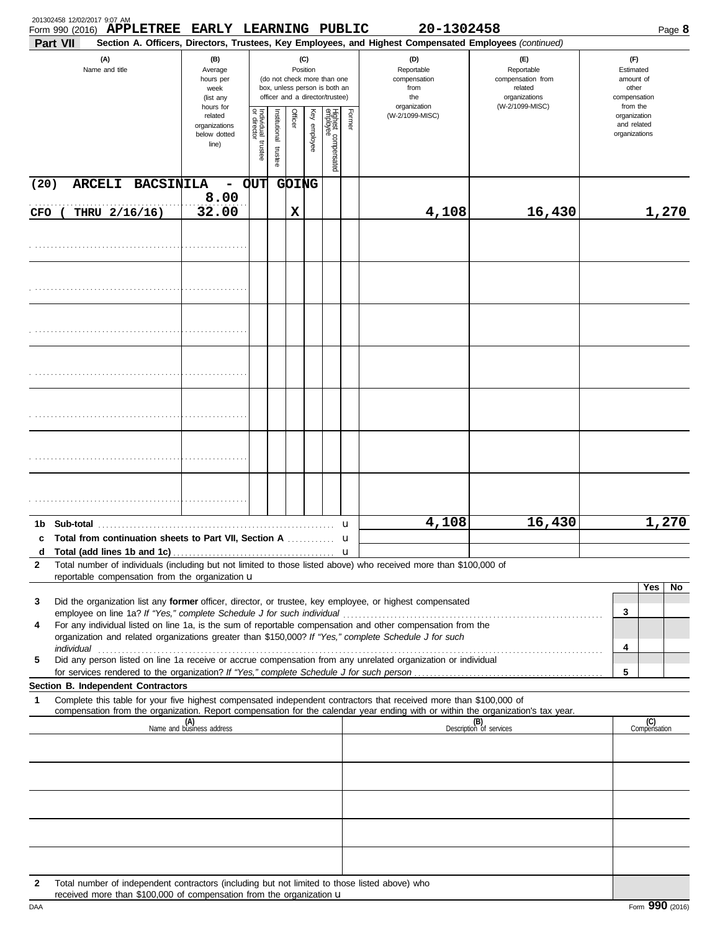| Part VII    | Form 990 (2016) <b>APPLETREE</b>                                                                                                                                      | <b>EARLY LEARNING PUBLIC</b>                                   |                       |                      |              |                 |                                                                                                 |             | 20-1302458<br>Section A. Officers, Directors, Trustees, Key Employees, and Highest Compensated Employees (continued)                                                                                                                                                                                                                                                                                                                              |                                                                    | Page 8                                                   |
|-------------|-----------------------------------------------------------------------------------------------------------------------------------------------------------------------|----------------------------------------------------------------|-----------------------|----------------------|--------------|-----------------|-------------------------------------------------------------------------------------------------|-------------|---------------------------------------------------------------------------------------------------------------------------------------------------------------------------------------------------------------------------------------------------------------------------------------------------------------------------------------------------------------------------------------------------------------------------------------------------|--------------------------------------------------------------------|----------------------------------------------------------|
|             | (A)<br>Name and title                                                                                                                                                 | (B)<br>Average<br>hours per<br>week<br>(list any               |                       |                      |              | (C)<br>Position | (do not check more than one<br>box, unless person is both an<br>officer and a director/trustee) |             | (D)<br>Reportable<br>compensation<br>from<br>the                                                                                                                                                                                                                                                                                                                                                                                                  | (E)<br>Reportable<br>compensation from<br>related<br>organizations | (F)<br>Estimated<br>amount of<br>other<br>compensation   |
|             |                                                                                                                                                                       | hours for<br>related<br>organizations<br>below dotted<br>line) | Individual<br>trustee | nstitutional trustee | Officer      | Key employee    | Highest compensated<br>amployee                                                                 | Former      | organization<br>(W-2/1099-MISC)                                                                                                                                                                                                                                                                                                                                                                                                                   | (W-2/1099-MISC)                                                    | from the<br>organization<br>and related<br>organizations |
| (20)        | <b>ARCELI</b><br><b>BACSINILA</b>                                                                                                                                     |                                                                | <b>OUT</b>            |                      | <b>GOING</b> |                 |                                                                                                 |             |                                                                                                                                                                                                                                                                                                                                                                                                                                                   |                                                                    |                                                          |
| CFO         | THRU 2/16/16)                                                                                                                                                         | 8.00<br>32.00                                                  |                       |                      | X            |                 |                                                                                                 |             | 4,108                                                                                                                                                                                                                                                                                                                                                                                                                                             | 16,430                                                             | 1,270                                                    |
|             |                                                                                                                                                                       |                                                                |                       |                      |              |                 |                                                                                                 |             |                                                                                                                                                                                                                                                                                                                                                                                                                                                   |                                                                    |                                                          |
|             |                                                                                                                                                                       |                                                                |                       |                      |              |                 |                                                                                                 |             |                                                                                                                                                                                                                                                                                                                                                                                                                                                   |                                                                    |                                                          |
|             |                                                                                                                                                                       |                                                                |                       |                      |              |                 |                                                                                                 |             |                                                                                                                                                                                                                                                                                                                                                                                                                                                   |                                                                    |                                                          |
|             |                                                                                                                                                                       |                                                                |                       |                      |              |                 |                                                                                                 |             |                                                                                                                                                                                                                                                                                                                                                                                                                                                   |                                                                    |                                                          |
|             |                                                                                                                                                                       |                                                                |                       |                      |              |                 |                                                                                                 |             |                                                                                                                                                                                                                                                                                                                                                                                                                                                   |                                                                    |                                                          |
|             |                                                                                                                                                                       |                                                                |                       |                      |              |                 |                                                                                                 |             |                                                                                                                                                                                                                                                                                                                                                                                                                                                   |                                                                    |                                                          |
|             |                                                                                                                                                                       |                                                                |                       |                      |              |                 |                                                                                                 |             |                                                                                                                                                                                                                                                                                                                                                                                                                                                   |                                                                    |                                                          |
| 1b.<br>c    | Total from continuation sheets to Part VII, Section A                                                                                                                 |                                                                |                       |                      |              |                 |                                                                                                 | u<br>u      | 4,108                                                                                                                                                                                                                                                                                                                                                                                                                                             | 16,430                                                             | 1,270                                                    |
| d<br>2      |                                                                                                                                                                       |                                                                |                       |                      |              |                 |                                                                                                 | $\mathbf u$ | Total number of individuals (including but not limited to those listed above) who received more than \$100,000 of                                                                                                                                                                                                                                                                                                                                 |                                                                    |                                                          |
| 3<br>4<br>5 | reportable compensation from the organization u                                                                                                                       |                                                                |                       |                      |              |                 |                                                                                                 |             | Did the organization list any former officer, director, or trustee, key employee, or highest compensated<br>For any individual listed on line 1a, is the sum of reportable compensation and other compensation from the<br>organization and related organizations greater than \$150,000? If "Yes," complete Schedule J for such<br>Did any person listed on line 1a receive or accrue compensation from any unrelated organization or individual |                                                                    | Yes<br>No<br>3<br>4<br>5                                 |
|             | Section B. Independent Contractors                                                                                                                                    |                                                                |                       |                      |              |                 |                                                                                                 |             |                                                                                                                                                                                                                                                                                                                                                                                                                                                   |                                                                    |                                                          |
| 1           |                                                                                                                                                                       |                                                                |                       |                      |              |                 |                                                                                                 |             | Complete this table for your five highest compensated independent contractors that received more than \$100,000 of<br>compensation from the organization. Report compensation for the calendar year ending with or within the organization's tax year.                                                                                                                                                                                            |                                                                    |                                                          |
|             |                                                                                                                                                                       | (A)<br>Name and business address                               |                       |                      |              |                 |                                                                                                 |             |                                                                                                                                                                                                                                                                                                                                                                                                                                                   | (B)<br>Description of services                                     | (C)<br>Compensation                                      |
|             |                                                                                                                                                                       |                                                                |                       |                      |              |                 |                                                                                                 |             |                                                                                                                                                                                                                                                                                                                                                                                                                                                   |                                                                    |                                                          |
|             |                                                                                                                                                                       |                                                                |                       |                      |              |                 |                                                                                                 |             |                                                                                                                                                                                                                                                                                                                                                                                                                                                   |                                                                    |                                                          |
|             |                                                                                                                                                                       |                                                                |                       |                      |              |                 |                                                                                                 |             |                                                                                                                                                                                                                                                                                                                                                                                                                                                   |                                                                    |                                                          |
| 2           | Total number of independent contractors (including but not limited to those listed above) who<br>received more than \$100,000 of compensation from the organization u |                                                                |                       |                      |              |                 |                                                                                                 |             |                                                                                                                                                                                                                                                                                                                                                                                                                                                   |                                                                    |                                                          |

| I |  |  |
|---|--|--|
|   |  |  |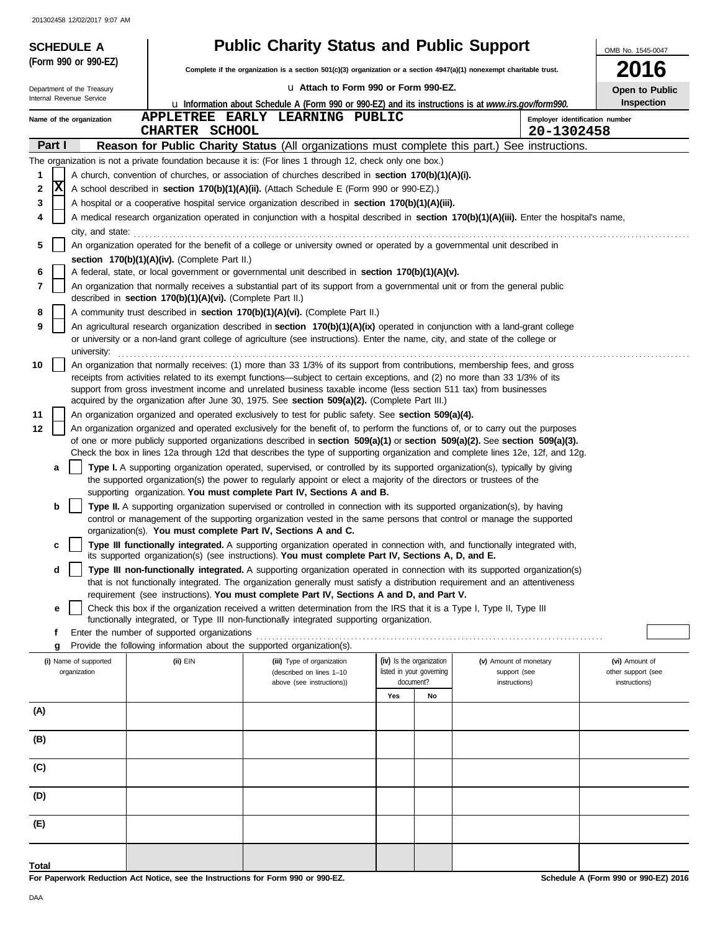| <b>SCHEDULE A</b>          |                                                                                                                           | <b>Public Charity Status and Public Support</b>                                                                                                                                                                                                                 |                                       |                               |                                              |  |  |  |  |  |  |  |  |
|----------------------------|---------------------------------------------------------------------------------------------------------------------------|-----------------------------------------------------------------------------------------------------------------------------------------------------------------------------------------------------------------------------------------------------------------|---------------------------------------|-------------------------------|----------------------------------------------|--|--|--|--|--|--|--|--|
| (Form 990 or 990-EZ)       |                                                                                                                           | Complete if the organization is a section 501(c)(3) organization or a section $4947(a)(1)$ nonexempt charitable trust.                                                                                                                                          |                                       |                               | 2016                                         |  |  |  |  |  |  |  |  |
| Department of the Treasury |                                                                                                                           | La Attach to Form 990 or Form 990-EZ.                                                                                                                                                                                                                           |                                       |                               | Open to Public                               |  |  |  |  |  |  |  |  |
| Internal Revenue Service   |                                                                                                                           | u Information about Schedule A (Form 990 or 990-EZ) and its instructions is at www.irs.gov/form990.                                                                                                                                                             |                                       |                               | Inspection                                   |  |  |  |  |  |  |  |  |
| Name of the organization   | CHARTER SCHOOL                                                                                                            | APPLETREE EARLY LEARNING PUBLIC                                                                                                                                                                                                                                 |                                       |                               | Employer identification number<br>20-1302458 |  |  |  |  |  |  |  |  |
| Part I                     |                                                                                                                           | Reason for Public Charity Status (All organizations must complete this part.) See instructions.                                                                                                                                                                 |                                       |                               |                                              |  |  |  |  |  |  |  |  |
|                            |                                                                                                                           | The organization is not a private foundation because it is: (For lines 1 through 12, check only one box.)                                                                                                                                                       |                                       |                               |                                              |  |  |  |  |  |  |  |  |
| 1<br>x<br>$\mathbf{2}$     |                                                                                                                           | A church, convention of churches, or association of churches described in section 170(b)(1)(A)(i).<br>A school described in section 170(b)(1)(A)(ii). (Attach Schedule E (Form 990 or 990-EZ).)                                                                 |                                       |                               |                                              |  |  |  |  |  |  |  |  |
| 3                          |                                                                                                                           | A hospital or a cooperative hospital service organization described in section 170(b)(1)(A)(iii).                                                                                                                                                               |                                       |                               |                                              |  |  |  |  |  |  |  |  |
| 4                          |                                                                                                                           | A medical research organization operated in conjunction with a hospital described in section 170(b)(1)(A)(iii). Enter the hospital's name,                                                                                                                      |                                       |                               |                                              |  |  |  |  |  |  |  |  |
| city, and state:           |                                                                                                                           |                                                                                                                                                                                                                                                                 |                                       |                               |                                              |  |  |  |  |  |  |  |  |
| 5                          | An organization operated for the benefit of a college or university owned or operated by a governmental unit described in |                                                                                                                                                                                                                                                                 |                                       |                               |                                              |  |  |  |  |  |  |  |  |
| 6                          | section 170(b)(1)(A)(iv). (Complete Part II.)                                                                             | A federal, state, or local government or governmental unit described in section 170(b)(1)(A)(v).                                                                                                                                                                |                                       |                               |                                              |  |  |  |  |  |  |  |  |
| 7                          |                                                                                                                           | An organization that normally receives a substantial part of its support from a governmental unit or from the general public                                                                                                                                    |                                       |                               |                                              |  |  |  |  |  |  |  |  |
|                            | described in section 170(b)(1)(A)(vi). (Complete Part II.)                                                                |                                                                                                                                                                                                                                                                 |                                       |                               |                                              |  |  |  |  |  |  |  |  |
| 8<br>9                     |                                                                                                                           | A community trust described in section 170(b)(1)(A)(vi). (Complete Part II.)<br>An agricultural research organization described in section 170(b)(1)(A)(ix) operated in conjunction with a land-grant college                                                   |                                       |                               |                                              |  |  |  |  |  |  |  |  |
| university:                |                                                                                                                           | or university or a non-land grant college of agriculture (see instructions). Enter the name, city, and state of the college or                                                                                                                                  |                                       |                               |                                              |  |  |  |  |  |  |  |  |
| 10                         |                                                                                                                           | An organization that normally receives: (1) more than 33 1/3% of its support from contributions, membership fees, and gross                                                                                                                                     |                                       |                               |                                              |  |  |  |  |  |  |  |  |
|                            |                                                                                                                           | receipts from activities related to its exempt functions—subject to certain exceptions, and (2) no more than 33 1/3% of its<br>support from gross investment income and unrelated business taxable income (less section 511 tax) from businesses                |                                       |                               |                                              |  |  |  |  |  |  |  |  |
|                            |                                                                                                                           | acquired by the organization after June 30, 1975. See section 509(a)(2). (Complete Part III.)                                                                                                                                                                   |                                       |                               |                                              |  |  |  |  |  |  |  |  |
| 11                         |                                                                                                                           | An organization organized and operated exclusively to test for public safety. See section 509(a)(4).                                                                                                                                                            |                                       |                               |                                              |  |  |  |  |  |  |  |  |
| 12                         |                                                                                                                           | An organization organized and operated exclusively for the benefit of, to perform the functions of, or to carry out the purposes<br>of one or more publicly supported organizations described in section 509(a)(1) or section 509(a)(2). See section 509(a)(3). |                                       |                               |                                              |  |  |  |  |  |  |  |  |
|                            |                                                                                                                           | Check the box in lines 12a through 12d that describes the type of supporting organization and complete lines 12e, 12f, and 12g.                                                                                                                                 |                                       |                               |                                              |  |  |  |  |  |  |  |  |
| a                          |                                                                                                                           | Type I. A supporting organization operated, supervised, or controlled by its supported organization(s), typically by giving                                                                                                                                     |                                       |                               |                                              |  |  |  |  |  |  |  |  |
|                            |                                                                                                                           | the supported organization(s) the power to regularly appoint or elect a majority of the directors or trustees of the<br>supporting organization. You must complete Part IV, Sections A and B.                                                                   |                                       |                               |                                              |  |  |  |  |  |  |  |  |
| b                          |                                                                                                                           | Type II. A supporting organization supervised or controlled in connection with its supported organization(s), by having                                                                                                                                         |                                       |                               |                                              |  |  |  |  |  |  |  |  |
|                            |                                                                                                                           | control or management of the supporting organization vested in the same persons that control or manage the supported                                                                                                                                            |                                       |                               |                                              |  |  |  |  |  |  |  |  |
| c                          |                                                                                                                           | organization(s). You must complete Part IV, Sections A and C.<br>Type III functionally integrated. A supporting organization operated in connection with, and functionally integrated with,                                                                     |                                       |                               |                                              |  |  |  |  |  |  |  |  |
|                            |                                                                                                                           | its supported organization(s) (see instructions). You must complete Part IV, Sections A, D, and E.                                                                                                                                                              |                                       |                               |                                              |  |  |  |  |  |  |  |  |
| d                          |                                                                                                                           | Type III non-functionally integrated. A supporting organization operated in connection with its supported organization(s)                                                                                                                                       |                                       |                               |                                              |  |  |  |  |  |  |  |  |
|                            |                                                                                                                           | that is not functionally integrated. The organization generally must satisfy a distribution requirement and an attentiveness<br>requirement (see instructions). You must complete Part IV, Sections A and D, and Part V.                                        |                                       |                               |                                              |  |  |  |  |  |  |  |  |
| е                          |                                                                                                                           | Check this box if the organization received a written determination from the IRS that it is a Type I, Type II, Type III                                                                                                                                         |                                       |                               |                                              |  |  |  |  |  |  |  |  |
| f                          | Enter the number of supported organizations                                                                               | functionally integrated, or Type III non-functionally integrated supporting organization.                                                                                                                                                                       |                                       |                               |                                              |  |  |  |  |  |  |  |  |
| g                          | Provide the following information about the supported organization(s).                                                    |                                                                                                                                                                                                                                                                 |                                       |                               |                                              |  |  |  |  |  |  |  |  |
| (i) Name of supported      | (ii) EIN                                                                                                                  | (iii) Type of organization                                                                                                                                                                                                                                      | (iv) Is the organization              | (v) Amount of monetary        | (vi) Amount of                               |  |  |  |  |  |  |  |  |
| organization               |                                                                                                                           | (described on lines 1-10<br>above (see instructions))                                                                                                                                                                                                           | listed in your governing<br>document? | support (see<br>instructions) | other support (see<br>instructions)          |  |  |  |  |  |  |  |  |
|                            |                                                                                                                           |                                                                                                                                                                                                                                                                 | Yes<br>No                             |                               |                                              |  |  |  |  |  |  |  |  |
| (A)                        |                                                                                                                           |                                                                                                                                                                                                                                                                 |                                       |                               |                                              |  |  |  |  |  |  |  |  |
|                            |                                                                                                                           |                                                                                                                                                                                                                                                                 |                                       |                               |                                              |  |  |  |  |  |  |  |  |
| (B)                        |                                                                                                                           |                                                                                                                                                                                                                                                                 |                                       |                               |                                              |  |  |  |  |  |  |  |  |
| (C)                        |                                                                                                                           |                                                                                                                                                                                                                                                                 |                                       |                               |                                              |  |  |  |  |  |  |  |  |
| (D)                        |                                                                                                                           |                                                                                                                                                                                                                                                                 |                                       |                               |                                              |  |  |  |  |  |  |  |  |
| (E)                        |                                                                                                                           |                                                                                                                                                                                                                                                                 |                                       |                               |                                              |  |  |  |  |  |  |  |  |
|                            |                                                                                                                           |                                                                                                                                                                                                                                                                 |                                       |                               |                                              |  |  |  |  |  |  |  |  |
| Total                      |                                                                                                                           |                                                                                                                                                                                                                                                                 |                                       |                               | 0.00E2000                                    |  |  |  |  |  |  |  |  |

**For Paperwork Reduction Act Notice, see the Instructions for Form 990 or 990-EZ.**

**Schedule A (Form 990 or 990-EZ) 2016**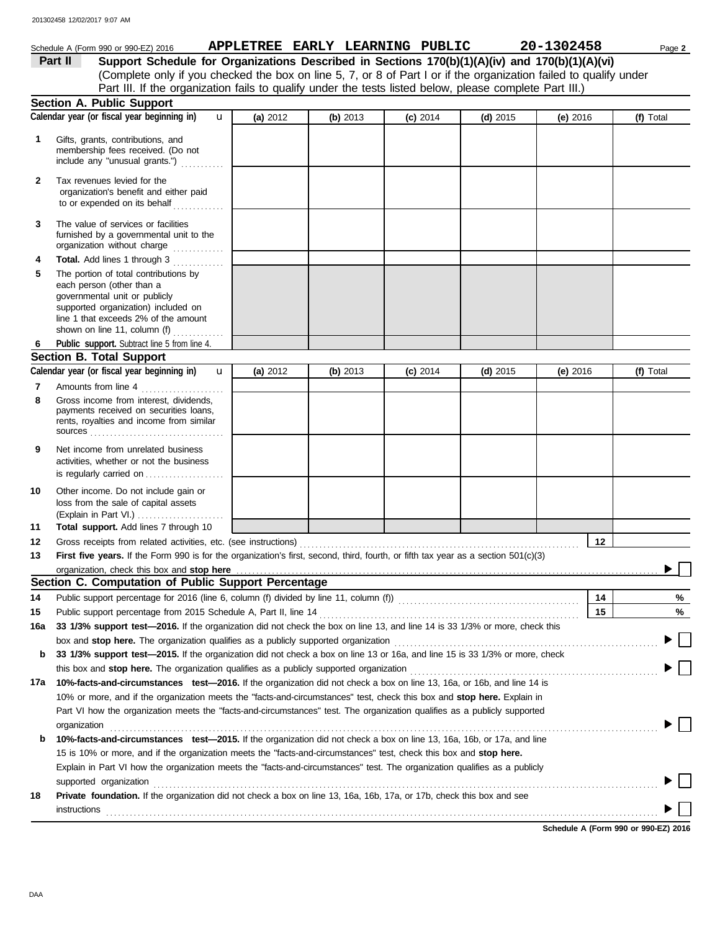#### (Explain in Part VI.) . . . . . . . . . . . . . . . . . . . . . . governmental unit or publicly **Section A. Public Support Total support.** Add lines 7 through 10 loss from the sale of capital assets Other income. Do not include gain or is regularly carried on . . . . . . . . . . . . . . . . . . . . activities, whether or not the business Net income from unrelated business rents, royalties and income from similar payments received on securities loans. Gross income from interest, dividends, line 1 that exceeds 2% of the amount supported organization) included on each person (other than a The portion of total contributions by **Total.** Add lines 1 through 3 .............. The value of services or facilities to or expended on its behalf ............. organization's benefit and either paid Tax revenues levied for the **First five years.** If the Form 990 is for the organization's first, second, third, fourth, or fifth tax year as a section 501(c)(3) Gross receipts from related activities, etc. (see instructions) . . . . . . . . . . . . . . . . . . . . . . . . . . . . . . . . . . . . . . . . . . . . . . . . . . . . . . . . . . . . . . . . . . . . . . . Amounts from line 4 . . . . . . . . . . . . . . . . . . . . . **Public support.** Subtract line 5 from line 4. include any "unusual grants.") . . . . . . . . . . . membership fees received. (Do not Gifts, grants, contributions, and Schedule A (Form 990 or 990-EZ) 2016 **APPLETREE EARLY LEARNING PUBLIC** 20-1302458 Page 2 **13 12 11 9 8 6 4 3 2 1 (a)** 2012 **(b)** 2013 **(c)** 2014 **(d)** 2015 **(e)** 2016 (Complete only if you checked the box on line 5, 7, or 8 of Part I or if the organization failed to qualify under **Part II Support Schedule for Organizations Described in Sections 170(b)(1)(A)(iv) and 170(b)(1)(A)(vi)** Calendar year (or fiscal year beginning in) **(a)** 2012 **(b)** 2013 **(c)** 2014 **(d)** 2015 **(e)** 2016 **(f)** Total furnished by a governmental unit to the organization without charge .............. **5 Section B. Total Support 7** sources . . . . . . . . . . . . . . . . . . . . . . . . . . . . . . . . . . **10** organization, check this box and stop here **12** Calendar year (or fiscal year beginning in)  $\bf{u}$  (a) 2012 (b) 2013 (c) 2014 (d) 2015 (e) 2016 (f) Total Part III. If the organization fails to qualify under the tests listed below, please complete Part III.) **(a)** 2012 shown on line 11, column  $(f)$   $\ldots$   $\ldots$  . . . . . . . u **(b)** 2013 **(c)** 2014 **(d)** 2015 **(e)** 2016 u 201302458 12/02/2017 9:07 AM

|     | <u>organization, check this box and stop nere measure the control control control of the control of the control of the control of the control of the control of the control of the control of the control of the control of the </u><br>Section C. Computation of Public Support Percentage |    |   |  |  |  |  |  |  |  |  |
|-----|---------------------------------------------------------------------------------------------------------------------------------------------------------------------------------------------------------------------------------------------------------------------------------------------|----|---|--|--|--|--|--|--|--|--|
| 14  |                                                                                                                                                                                                                                                                                             | 14 | % |  |  |  |  |  |  |  |  |
| 15  |                                                                                                                                                                                                                                                                                             | 15 | % |  |  |  |  |  |  |  |  |
| 16a | 33 1/3% support test-2016. If the organization did not check the box on line 13, and line 14 is 33 1/3% or more, check this                                                                                                                                                                 |    |   |  |  |  |  |  |  |  |  |
|     | box and <b>stop here.</b> The organization qualifies as a publicly supported organization                                                                                                                                                                                                   |    |   |  |  |  |  |  |  |  |  |
| b   | 33 1/3% support test—2015. If the organization did not check a box on line 13 or 16a, and line 15 is 33 1/3% or more, check                                                                                                                                                                 |    |   |  |  |  |  |  |  |  |  |
|     | this box and <b>stop here.</b> The organization qualifies as a publicly supported organization                                                                                                                                                                                              |    |   |  |  |  |  |  |  |  |  |
| 17a | 10%-facts-and-circumstances test-2016. If the organization did not check a box on line 13, 16a, or 16b, and line 14 is                                                                                                                                                                      |    |   |  |  |  |  |  |  |  |  |
|     | 10% or more, and if the organization meets the "facts-and-circumstances" test, check this box and <b>stop here.</b> Explain in                                                                                                                                                              |    |   |  |  |  |  |  |  |  |  |
|     | Part VI how the organization meets the "facts-and-circumstances" test. The organization qualifies as a publicly supported<br>organization                                                                                                                                                   |    |   |  |  |  |  |  |  |  |  |
| b   | 10%-facts-and-circumstances test-2015. If the organization did not check a box on line 13, 16a, 16b, or 17a, and line                                                                                                                                                                       |    |   |  |  |  |  |  |  |  |  |
|     | 15 is 10% or more, and if the organization meets the "facts-and-circumstances" test, check this box and <b>stop here.</b>                                                                                                                                                                   |    |   |  |  |  |  |  |  |  |  |
|     | Explain in Part VI how the organization meets the "facts-and-circumstances" test. The organization qualifies as a publicly                                                                                                                                                                  |    |   |  |  |  |  |  |  |  |  |
|     | supported organization                                                                                                                                                                                                                                                                      |    |   |  |  |  |  |  |  |  |  |
| 18  | <b>Private foundation.</b> If the organization did not check a box on line 13, 16a, 16b, 17a, or 17b, check this box and see                                                                                                                                                                |    |   |  |  |  |  |  |  |  |  |
|     | instructions                                                                                                                                                                                                                                                                                |    |   |  |  |  |  |  |  |  |  |

**Schedule A (Form 990 or 990-EZ) 2016**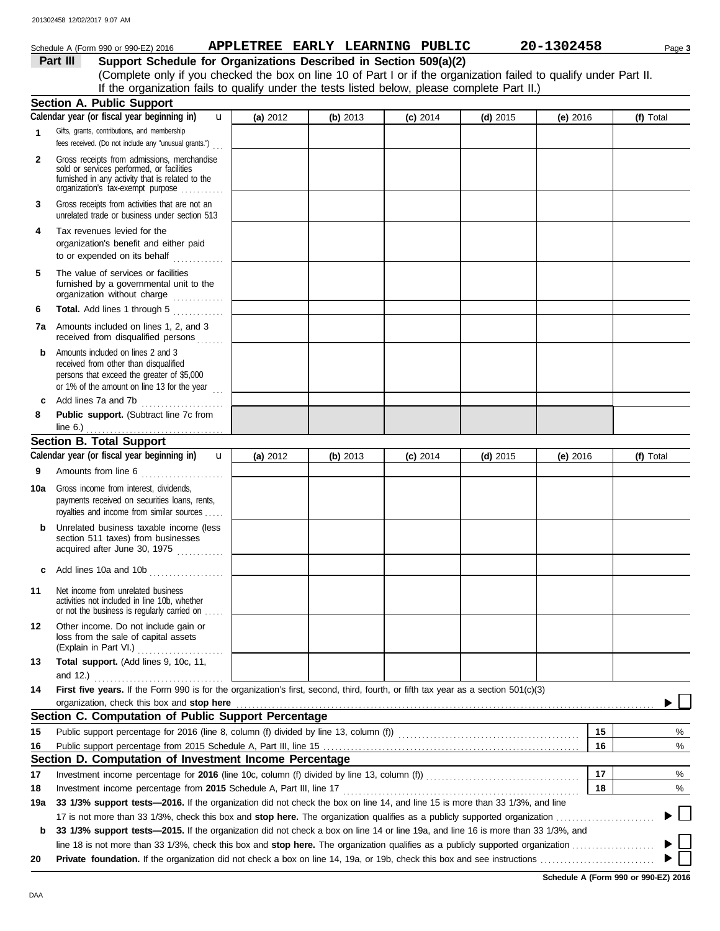## Schedule A (Form 990 or 990-EZ) 2016 **APPLETREE EARLY LEARNING PUBLIC** 20-1302458 Page 3

### **Part III Support Schedule for Organizations Described in Section 509(a)(2)**

(Complete only if you checked the box on line 10 of Part I or if the organization failed to qualify under Part II. If the organization fails to qualify under the tests listed below, please complete Part II.)

|     | <b>Section A. Public Support</b>                                                                                                                                                      |            |            |            |            |          |           |
|-----|---------------------------------------------------------------------------------------------------------------------------------------------------------------------------------------|------------|------------|------------|------------|----------|-----------|
|     | Calendar year (or fiscal year beginning in)<br>$\mathbf{u}$                                                                                                                           | (a) 2012   | (b) 2013   | $(c)$ 2014 | $(d)$ 2015 | (e) 2016 | (f) Total |
| 1   | Gifts, grants, contributions, and membership<br>fees received. (Do not include any "unusual grants.")                                                                                 |            |            |            |            |          |           |
| 2   | Gross receipts from admissions, merchandise<br>sold or services performed, or facilities<br>furnished in any activity that is related to the<br>organization's tax-exempt purpose     |            |            |            |            |          |           |
| 3   | Gross receipts from activities that are not an<br>unrelated trade or business under section 513                                                                                       |            |            |            |            |          |           |
| 4   | Tax revenues levied for the<br>organization's benefit and either paid<br>to or expended on its behalf                                                                                 |            |            |            |            |          |           |
| 5   | The value of services or facilities<br>furnished by a governmental unit to the<br>organization without charge                                                                         |            |            |            |            |          |           |
| 6   | <b>Total.</b> Add lines 1 through 5<br>.                                                                                                                                              |            |            |            |            |          |           |
|     | <b>7a</b> Amounts included on lines 1, 2, and 3<br>received from disqualified persons                                                                                                 |            |            |            |            |          |           |
| b   | Amounts included on lines 2 and 3<br>received from other than disqualified<br>persons that exceed the greater of \$5,000<br>or 1% of the amount on line 13 for the year<br>$\sim 100$ |            |            |            |            |          |           |
| c   | Add lines 7a and 7b<br>.                                                                                                                                                              |            |            |            |            |          |           |
| 8   | Public support. (Subtract line 7c from                                                                                                                                                |            |            |            |            |          |           |
|     | line 6.) $\frac{1}{2}$                                                                                                                                                                |            |            |            |            |          |           |
|     | <b>Section B. Total Support</b><br>Calendar year (or fiscal year beginning in)                                                                                                        |            |            |            |            |          |           |
|     | $\mathbf{u}$                                                                                                                                                                          | (a) $2012$ | (b) $2013$ | $(c)$ 2014 | $(d)$ 2015 | (e) 2016 | (f) Total |
| 9   | Amounts from line 6                                                                                                                                                                   |            |            |            |            |          |           |
| 10a | Gross income from interest, dividends,<br>payments received on securities loans, rents,<br>royalties and income from similar sources                                                  |            |            |            |            |          |           |
| b   | Unrelated business taxable income (less<br>section 511 taxes) from businesses<br>acquired after June 30, 1975                                                                         |            |            |            |            |          |           |
| c   | Add lines 10a and 10b                                                                                                                                                                 |            |            |            |            |          |           |
| 11  | Net income from unrelated business<br>activities not included in line 10b, whether<br>or not the business is regularly carried on                                                     |            |            |            |            |          |           |
|     | 12 Other income. Do not include gain or<br>loss from the sale of capital assets<br>(Explain in Part VI.)                                                                              |            |            |            |            |          |           |
| 13  | Total support. (Add lines 9, 10c, 11,<br>and 12.)                                                                                                                                     |            |            |            |            |          |           |
| 14  | .<br>First five years. If the Form 990 is for the organization's first, second, third, fourth, or fifth tax year as a section 501(c)(3)                                               |            |            |            |            |          |           |
|     | organization, check this box and stop here                                                                                                                                            |            |            |            |            |          |           |
|     | Section C. Computation of Public Support Percentage                                                                                                                                   |            |            |            |            |          |           |
| 15  | Public support percentage for 2016 (line 8, column (f) divided by line 13, column (f)) [[[[[[[[[[[[[[[[[[[[[[                                                                         |            |            |            |            | 15       | %         |
| 16  |                                                                                                                                                                                       |            |            |            |            | 16       | %         |
|     | Section D. Computation of Investment Income Percentage                                                                                                                                |            |            |            |            |          |           |
| 17  |                                                                                                                                                                                       |            |            |            |            | 17       | %         |
| 18  | Investment income percentage from 2015 Schedule A, Part III, line 17                                                                                                                  |            |            |            |            | 18       | %         |
| 19a | 33 1/3% support tests—2016. If the organization did not check the box on line 14, and line 15 is more than 33 1/3%, and line                                                          |            |            |            |            |          |           |
|     |                                                                                                                                                                                       |            |            |            |            |          | l.        |
| b   | 33 1/3% support tests-2015. If the organization did not check a box on line 14 or line 19a, and line 16 is more than 33 1/3%, and                                                     |            |            |            |            |          |           |
|     |                                                                                                                                                                                       |            |            |            |            |          |           |
| 20  |                                                                                                                                                                                       |            |            |            |            |          |           |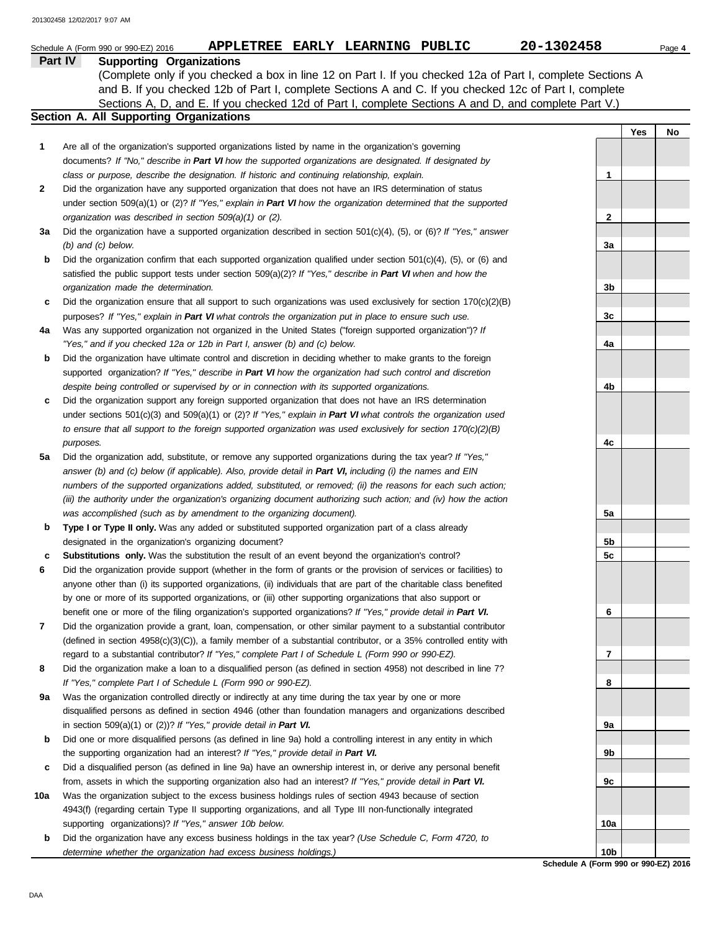|     | APPLETREE EARLY LEARNING PUBLIC<br>Schedule A (Form 990 or 990-EZ) 2016                                                                                                                                                                   | 20-1302458      |     | Page 4 |
|-----|-------------------------------------------------------------------------------------------------------------------------------------------------------------------------------------------------------------------------------------------|-----------------|-----|--------|
|     | <b>Supporting Organizations</b><br>Part IV                                                                                                                                                                                                |                 |     |        |
|     | (Complete only if you checked a box in line 12 on Part I. If you checked 12a of Part I, complete Sections A                                                                                                                               |                 |     |        |
|     | and B. If you checked 12b of Part I, complete Sections A and C. If you checked 12c of Part I, complete                                                                                                                                    |                 |     |        |
|     | Sections A, D, and E. If you checked 12d of Part I, complete Sections A and D, and complete Part V.)                                                                                                                                      |                 |     |        |
|     | Section A. All Supporting Organizations                                                                                                                                                                                                   |                 |     |        |
|     |                                                                                                                                                                                                                                           |                 | Yes | No     |
| 1   | Are all of the organization's supported organizations listed by name in the organization's governing<br>documents? If "No," describe in Part VI how the supported organizations are designated. If designated by                          |                 |     |        |
|     | class or purpose, describe the designation. If historic and continuing relationship, explain.                                                                                                                                             | 1               |     |        |
| 2   | Did the organization have any supported organization that does not have an IRS determination of status                                                                                                                                    |                 |     |        |
|     | under section $509(a)(1)$ or (2)? If "Yes," explain in Part VI how the organization determined that the supported                                                                                                                         |                 |     |        |
|     | organization was described in section 509(a)(1) or (2).                                                                                                                                                                                   | $\mathbf{2}$    |     |        |
| За  | Did the organization have a supported organization described in section $501(c)(4)$ , (5), or (6)? If "Yes," answer                                                                                                                       |                 |     |        |
|     | $(b)$ and $(c)$ below.                                                                                                                                                                                                                    | 3a              |     |        |
| b   | Did the organization confirm that each supported organization qualified under section 501(c)(4), (5), or (6) and                                                                                                                          |                 |     |        |
|     | satisfied the public support tests under section $509(a)(2)?$ If "Yes," describe in Part VI when and how the                                                                                                                              |                 |     |        |
|     | organization made the determination.                                                                                                                                                                                                      | 3b              |     |        |
| c   | Did the organization ensure that all support to such organizations was used exclusively for section $170(c)(2)(B)$                                                                                                                        |                 |     |        |
|     | purposes? If "Yes," explain in Part VI what controls the organization put in place to ensure such use.                                                                                                                                    | 3c              |     |        |
| 4a  | Was any supported organization not organized in the United States ("foreign supported organization")? If                                                                                                                                  |                 |     |        |
|     | "Yes," and if you checked 12a or 12b in Part I, answer (b) and (c) below.                                                                                                                                                                 | 4a              |     |        |
| b   | Did the organization have ultimate control and discretion in deciding whether to make grants to the foreign                                                                                                                               |                 |     |        |
|     | supported organization? If "Yes," describe in Part VI how the organization had such control and discretion                                                                                                                                |                 |     |        |
|     | despite being controlled or supervised by or in connection with its supported organizations.                                                                                                                                              | 4b              |     |        |
| c   | Did the organization support any foreign supported organization that does not have an IRS determination                                                                                                                                   |                 |     |        |
|     | under sections $501(c)(3)$ and $509(a)(1)$ or $(2)?$ If "Yes," explain in Part VI what controls the organization used<br>to ensure that all support to the foreign supported organization was used exclusively for section $170(c)(2)(B)$ |                 |     |        |
|     | purposes.                                                                                                                                                                                                                                 | 4c              |     |        |
| 5a  | Did the organization add, substitute, or remove any supported organizations during the tax year? If "Yes,"                                                                                                                                |                 |     |        |
|     | answer (b) and (c) below (if applicable). Also, provide detail in Part VI, including (i) the names and EIN                                                                                                                                |                 |     |        |
|     | numbers of the supported organizations added, substituted, or removed; (ii) the reasons for each such action;                                                                                                                             |                 |     |        |
|     | (iii) the authority under the organization's organizing document authorizing such action; and (iv) how the action                                                                                                                         |                 |     |        |
|     | was accomplished (such as by amendment to the organizing document).                                                                                                                                                                       | 5а              |     |        |
| b   | Type I or Type II only. Was any added or substituted supported organization part of a class already                                                                                                                                       |                 |     |        |
|     | designated in the organization's organizing document?                                                                                                                                                                                     | 5b              |     |        |
| c   | Substitutions only. Was the substitution the result of an event beyond the organization's control?                                                                                                                                        | 5c              |     |        |
| 6   | Did the organization provide support (whether in the form of grants or the provision of services or facilities) to                                                                                                                        |                 |     |        |
|     | anyone other than (i) its supported organizations, (ii) individuals that are part of the charitable class benefited                                                                                                                       |                 |     |        |
|     | by one or more of its supported organizations, or (iii) other supporting organizations that also support or                                                                                                                               |                 |     |        |
|     | benefit one or more of the filing organization's supported organizations? If "Yes," provide detail in Part VI.                                                                                                                            | 6               |     |        |
| 7   | Did the organization provide a grant, loan, compensation, or other similar payment to a substantial contributor<br>(defined in section 4958(c)(3)(C)), a family member of a substantial contributor, or a 35% controlled entity with      |                 |     |        |
|     | regard to a substantial contributor? If "Yes," complete Part I of Schedule L (Form 990 or 990-EZ).                                                                                                                                        | 7               |     |        |
| 8   | Did the organization make a loan to a disqualified person (as defined in section 4958) not described in line 7?                                                                                                                           |                 |     |        |
|     | If "Yes," complete Part I of Schedule L (Form 990 or 990-EZ).                                                                                                                                                                             | 8               |     |        |
| 9а  | Was the organization controlled directly or indirectly at any time during the tax year by one or more                                                                                                                                     |                 |     |        |
|     | disqualified persons as defined in section 4946 (other than foundation managers and organizations described                                                                                                                               |                 |     |        |
|     | in section $509(a)(1)$ or $(2)$ ? If "Yes," provide detail in Part VI.                                                                                                                                                                    | 9a              |     |        |
| b   | Did one or more disqualified persons (as defined in line 9a) hold a controlling interest in any entity in which                                                                                                                           |                 |     |        |
|     | the supporting organization had an interest? If "Yes," provide detail in Part VI.                                                                                                                                                         | 9b              |     |        |
| c   | Did a disqualified person (as defined in line 9a) have an ownership interest in, or derive any personal benefit                                                                                                                           |                 |     |        |
|     | from, assets in which the supporting organization also had an interest? If "Yes," provide detail in Part VI.                                                                                                                              | 9с              |     |        |
| 10a | Was the organization subject to the excess business holdings rules of section 4943 because of section                                                                                                                                     |                 |     |        |
|     | 4943(f) (regarding certain Type II supporting organizations, and all Type III non-functionally integrated                                                                                                                                 |                 |     |        |
|     | supporting organizations)? If "Yes," answer 10b below.                                                                                                                                                                                    | 10a             |     |        |
| b   | Did the organization have any excess business holdings in the tax year? (Use Schedule C, Form 4720, to<br>determine whether the organization had excess business holdings.)                                                               | 10 <sub>b</sub> |     |        |
|     |                                                                                                                                                                                                                                           |                 |     |        |

**Schedule A (Form 990 or 990-EZ) 2016**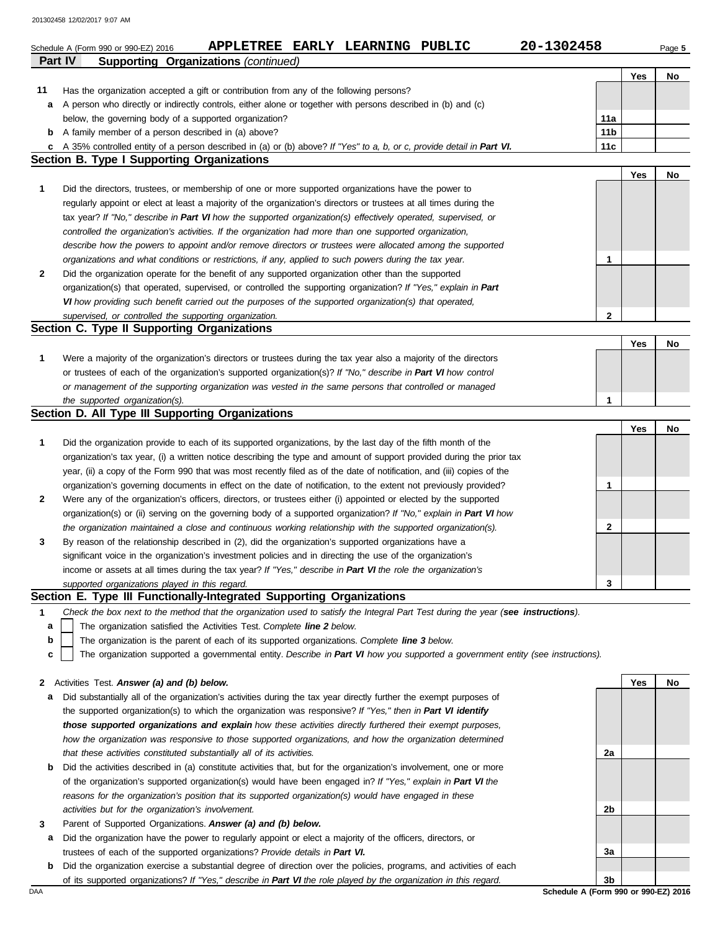|         | 20-1302458<br>APPLETREE EARLY LEARNING PUBLIC<br>Schedule A (Form 990 or 990-EZ) 2016                                             |                 |     | Page 5 |
|---------|-----------------------------------------------------------------------------------------------------------------------------------|-----------------|-----|--------|
| Part IV | <b>Supporting Organizations (continued)</b>                                                                                       |                 |     |        |
|         |                                                                                                                                   |                 | Yes | No     |
| 11      | Has the organization accepted a gift or contribution from any of the following persons?                                           |                 |     |        |
| а       | A person who directly or indirectly controls, either alone or together with persons described in (b) and (c)                      |                 |     |        |
|         | below, the governing body of a supported organization?                                                                            | 11a             |     |        |
| b       | A family member of a person described in (a) above?                                                                               | 11 <sub>b</sub> |     |        |
| c       | A 35% controlled entity of a person described in (a) or (b) above? If "Yes" to a, b, or c, provide detail in Part VI.             | 11c             |     |        |
|         | <b>Section B. Type I Supporting Organizations</b>                                                                                 |                 |     |        |
|         |                                                                                                                                   |                 | Yes | No     |
| 1       | Did the directors, trustees, or membership of one or more supported organizations have the power to                               |                 |     |        |
|         | regularly appoint or elect at least a majority of the organization's directors or trustees at all times during the                |                 |     |        |
|         | tax year? If "No," describe in Part VI how the supported organization(s) effectively operated, supervised, or                     |                 |     |        |
|         | controlled the organization's activities. If the organization had more than one supported organization,                           |                 |     |        |
|         | describe how the powers to appoint and/or remove directors or trustees were allocated among the supported                         |                 |     |        |
|         | organizations and what conditions or restrictions, if any, applied to such powers during the tax year.                            | 1               |     |        |
| 2       | Did the organization operate for the benefit of any supported organization other than the supported                               |                 |     |        |
|         | organization(s) that operated, supervised, or controlled the supporting organization? If "Yes," explain in Part                   |                 |     |        |
|         | VI how providing such benefit carried out the purposes of the supported organization(s) that operated,                            |                 |     |        |
|         | supervised, or controlled the supporting organization.                                                                            | $\mathbf{2}$    |     |        |
|         | Section C. Type II Supporting Organizations                                                                                       |                 |     |        |
|         |                                                                                                                                   |                 | Yes | No     |
| 1       | Were a majority of the organization's directors or trustees during the tax year also a majority of the directors                  |                 |     |        |
|         | or trustees of each of the organization's supported organization(s)? If "No," describe in Part VI how control                     |                 |     |        |
|         | or management of the supporting organization was vested in the same persons that controlled or managed                            |                 |     |        |
|         | the supported organization(s).                                                                                                    | 1               |     |        |
|         | Section D. All Type III Supporting Organizations                                                                                  |                 |     |        |
|         |                                                                                                                                   |                 | Yes | No     |
| 1       | Did the organization provide to each of its supported organizations, by the last day of the fifth month of the                    |                 |     |        |
|         | organization's tax year, (i) a written notice describing the type and amount of support provided during the prior tax             |                 |     |        |
|         | year, (ii) a copy of the Form 990 that was most recently filed as of the date of notification, and (iii) copies of the            |                 |     |        |
|         | organization's governing documents in effect on the date of notification, to the extent not previously provided?                  | 1               |     |        |
| 2       | Were any of the organization's officers, directors, or trustees either (i) appointed or elected by the supported                  |                 |     |        |
|         | organization(s) or (ii) serving on the governing body of a supported organization? If "No," explain in Part VI how                |                 |     |        |
|         |                                                                                                                                   |                 |     |        |
|         | the organization maintained a close and continuous working relationship with the supported organization(s).                       | 2               |     |        |
| 3       | By reason of the relationship described in (2), did the organization's supported organizations have a                             |                 |     |        |
|         | significant voice in the organization's investment policies and in directing the use of the organization's                        |                 |     |        |
|         | income or assets at all times during the tax year? If "Yes," describe in Part VI the role the organization's                      |                 |     |        |
|         | supported organizations played in this regard.<br>Section E. Type III Functionally-Integrated Supporting Organizations            | 3               |     |        |
|         |                                                                                                                                   |                 |     |        |
| 1       | Check the box next to the method that the organization used to satisfy the Integral Part Test during the year (see instructions). |                 |     |        |
| a       | The organization satisfied the Activities Test. Complete line 2 below.                                                            |                 |     |        |
| b       | The organization is the parent of each of its supported organizations. Complete line 3 below.                                     |                 |     |        |
| c       | The organization supported a governmental entity. Describe in Part VI how you supported a government entity (see instructions).   |                 |     |        |
|         |                                                                                                                                   |                 |     |        |
| 2       | Activities Test. Answer (a) and (b) below.                                                                                        |                 | Yes | No     |
| а       | Did substantially all of the organization's activities during the tax year directly further the exempt purposes of                |                 |     |        |
|         | the supported organization(s) to which the organization was responsive? If "Yes," then in Part VI identify                        |                 |     |        |
|         | those supported organizations and explain how these activities directly furthered their exempt purposes,                          |                 |     |        |
|         | how the organization was responsive to those supported organizations, and how the organization determined                         |                 |     |        |
|         | that these activities constituted substantially all of its activities.                                                            | 2a              |     |        |
| b       | Did the activities described in (a) constitute activities that, but for the organization's involvement, one or more               |                 |     |        |
|         | of the organization's supported organization(s) would have been engaged in? If "Yes," explain in Part VI the                      |                 |     |        |
|         | reasons for the organization's position that its supported organization(s) would have engaged in these                            |                 |     |        |
|         | activities but for the organization's involvement.                                                                                | 2b              |     |        |
| 3       | Parent of Supported Organizations. Answer (a) and (b) below.                                                                      |                 |     |        |
| а       | Did the organization have the power to regularly appoint or elect a majority of the officers, directors, or                       |                 |     |        |
|         | trustees of each of the supported organizations? Provide details in Part VI.                                                      | За              |     |        |
| b       | Did the organization exercise a substantial degree of direction over the policies, programs, and activities of each               |                 |     |        |
|         | of its supported organizations? If "Yes," describe in Part VI the role played by the organization in this regard.                 | 3b              |     |        |

DAA **Schedule A (Form 990 or 990-EZ) 2016**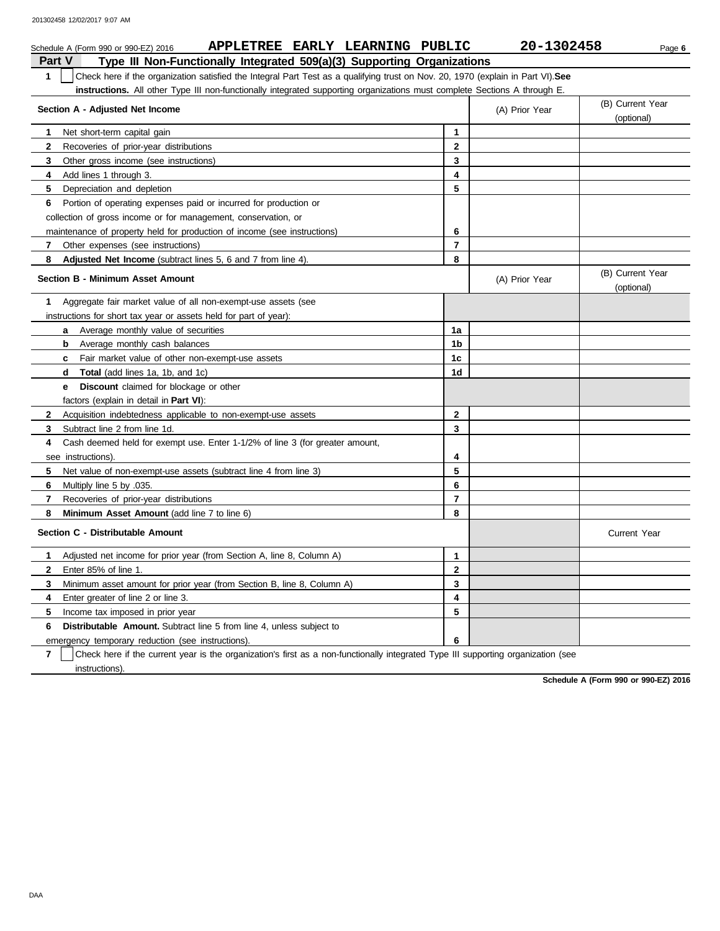| APPLETREE EARLY LEARNING PUBLIC<br>Schedule A (Form 990 or 990-EZ) 2016                                                               |                | 20-1302458     | Page 6                         |
|---------------------------------------------------------------------------------------------------------------------------------------|----------------|----------------|--------------------------------|
| <b>Part V</b><br>Type III Non-Functionally Integrated 509(a)(3) Supporting Organizations                                              |                |                |                                |
| 1<br>Check here if the organization satisfied the Integral Part Test as a qualifying trust on Nov. 20, 1970 (explain in Part VI). See |                |                |                                |
| <b>instructions.</b> All other Type III non-functionally integrated supporting organizations must complete Sections A through E.      |                |                |                                |
| Section A - Adjusted Net Income                                                                                                       |                | (A) Prior Year | (B) Current Year<br>(optional) |
| Net short-term capital gain<br>1                                                                                                      | 1              |                |                                |
| $\mathbf{2}$<br>Recoveries of prior-year distributions                                                                                | $\mathbf{2}$   |                |                                |
| 3<br>Other gross income (see instructions)                                                                                            | 3              |                |                                |
| 4<br>Add lines 1 through 3.                                                                                                           | 4              |                |                                |
| 5<br>Depreciation and depletion                                                                                                       | 5              |                |                                |
| Portion of operating expenses paid or incurred for production or<br>6                                                                 |                |                |                                |
| collection of gross income or for management, conservation, or                                                                        |                |                |                                |
| maintenance of property held for production of income (see instructions)                                                              | 6              |                |                                |
| $\mathbf{7}$<br>Other expenses (see instructions)                                                                                     | $\overline{7}$ |                |                                |
| 8<br>Adjusted Net Income (subtract lines 5, 6 and 7 from line 4).                                                                     | 8              |                |                                |
| Section B - Minimum Asset Amount                                                                                                      |                | (A) Prior Year | (B) Current Year<br>(optional) |
| Aggregate fair market value of all non-exempt-use assets (see<br>1                                                                    |                |                |                                |
| instructions for short tax year or assets held for part of year):                                                                     |                |                |                                |
| Average monthly value of securities<br>a                                                                                              | 1a             |                |                                |
| b<br>Average monthly cash balances                                                                                                    | 1b             |                |                                |
| Fair market value of other non-exempt-use assets<br>c                                                                                 | 1c             |                |                                |
| <b>Total</b> (add lines 1a, 1b, and 1c)<br>d                                                                                          | 1d             |                |                                |
| Discount claimed for blockage or other<br>е                                                                                           |                |                |                                |
| factors (explain in detail in <b>Part VI)</b> :                                                                                       |                |                |                                |
| $\mathbf{2}$<br>Acquisition indebtedness applicable to non-exempt-use assets                                                          | $\mathbf{2}$   |                |                                |
| 3<br>Subtract line 2 from line 1d.                                                                                                    | 3              |                |                                |
| Cash deemed held for exempt use. Enter 1-1/2% of line 3 (for greater amount,<br>4                                                     |                |                |                                |
| see instructions).                                                                                                                    | 4              |                |                                |
| 5<br>Net value of non-exempt-use assets (subtract line 4 from line 3)                                                                 | 5              |                |                                |
| Multiply line 5 by .035.<br>6                                                                                                         | 6              |                |                                |
| 7<br>Recoveries of prior-year distributions                                                                                           | $\overline{7}$ |                |                                |
| 8<br>Minimum Asset Amount (add line 7 to line 6)                                                                                      | 8              |                |                                |
| Section C - Distributable Amount                                                                                                      |                |                | <b>Current Year</b>            |
| Adjusted net income for prior year (from Section A, line 8, Column A)<br>1                                                            | 1              |                |                                |
| $\mathbf{2}$<br>Enter 85% of line 1.                                                                                                  | $\mathbf 2$    |                |                                |
| 3<br>Minimum asset amount for prior year (from Section B, line 8, Column A)                                                           | 3              |                |                                |
| 4<br>Enter greater of line 2 or line 3.                                                                                               | 4              |                |                                |
| 5<br>Income tax imposed in prior year                                                                                                 | 5              |                |                                |
| 6<br><b>Distributable Amount.</b> Subtract line 5 from line 4, unless subject to                                                      |                |                |                                |
| emergency temporary reduction (see instructions).                                                                                     | 6              |                |                                |

**7** | Check here if the current year is the organization's first as a non-functionally integrated Type III supporting organization (see instructions).

**Schedule A (Form 990 or 990-EZ) 2016**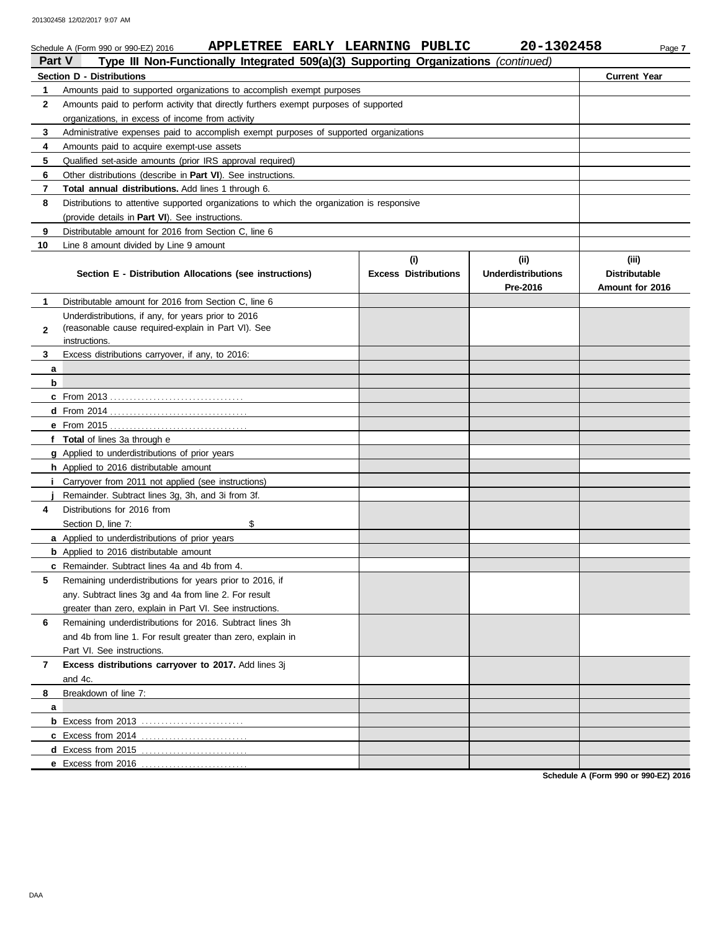|               | APPLETREE EARLY LEARNING PUBLIC<br>Schedule A (Form 990 or 990-EZ) 2016                                         |                                    | 20-1302458                         | Page 7                        |
|---------------|-----------------------------------------------------------------------------------------------------------------|------------------------------------|------------------------------------|-------------------------------|
| <b>Part V</b> | Type III Non-Functionally Integrated 509(a)(3) Supporting Organizations (continued)                             |                                    |                                    |                               |
|               | <b>Section D - Distributions</b>                                                                                |                                    |                                    | <b>Current Year</b>           |
| 1             | Amounts paid to supported organizations to accomplish exempt purposes                                           |                                    |                                    |                               |
| $\mathbf{2}$  | Amounts paid to perform activity that directly furthers exempt purposes of supported                            |                                    |                                    |                               |
|               | organizations, in excess of income from activity                                                                |                                    |                                    |                               |
| 3             | Administrative expenses paid to accomplish exempt purposes of supported organizations                           |                                    |                                    |                               |
| 4             | Amounts paid to acquire exempt-use assets                                                                       |                                    |                                    |                               |
| 5             | Qualified set-aside amounts (prior IRS approval required)                                                       |                                    |                                    |                               |
| 6             | Other distributions (describe in <b>Part VI</b> ). See instructions.                                            |                                    |                                    |                               |
| 7             | <b>Total annual distributions.</b> Add lines 1 through 6.                                                       |                                    |                                    |                               |
| 8             | Distributions to attentive supported organizations to which the organization is responsive                      |                                    |                                    |                               |
|               | (provide details in <b>Part VI</b> ). See instructions.                                                         |                                    |                                    |                               |
| 9             | Distributable amount for 2016 from Section C, line 6                                                            |                                    |                                    |                               |
| 10            | Line 8 amount divided by Line 9 amount                                                                          |                                    |                                    |                               |
|               | Section E - Distribution Allocations (see instructions)                                                         | (i)<br><b>Excess Distributions</b> | (iii)<br><b>Underdistributions</b> | (iii)<br><b>Distributable</b> |
|               |                                                                                                                 |                                    | Pre-2016                           | Amount for 2016               |
| 1             | Distributable amount for 2016 from Section C, line 6                                                            |                                    |                                    |                               |
|               | Underdistributions, if any, for years prior to 2016                                                             |                                    |                                    |                               |
| $\mathbf{2}$  | (reasonable cause required-explain in Part VI). See                                                             |                                    |                                    |                               |
|               | instructions.                                                                                                   |                                    |                                    |                               |
| 3             | Excess distributions carryover, if any, to 2016:                                                                |                                    |                                    |                               |
| a             |                                                                                                                 |                                    |                                    |                               |
| b             |                                                                                                                 |                                    |                                    |                               |
|               |                                                                                                                 |                                    |                                    |                               |
|               | $d$ From 2014                                                                                                   |                                    |                                    |                               |
|               |                                                                                                                 |                                    |                                    |                               |
|               | f Total of lines 3a through e                                                                                   |                                    |                                    |                               |
|               | g Applied to underdistributions of prior years                                                                  |                                    |                                    |                               |
|               | h Applied to 2016 distributable amount                                                                          |                                    |                                    |                               |
| Ť.            | Carryover from 2011 not applied (see instructions)                                                              |                                    |                                    |                               |
|               | Remainder. Subtract lines 3g, 3h, and 3i from 3f.                                                               |                                    |                                    |                               |
| 4             | Distributions for 2016 from                                                                                     |                                    |                                    |                               |
|               | Section D, line 7:<br>\$                                                                                        |                                    |                                    |                               |
|               | a Applied to underdistributions of prior years                                                                  |                                    |                                    |                               |
|               | <b>b</b> Applied to 2016 distributable amount                                                                   |                                    |                                    |                               |
| 5             | <b>c</b> Remainder. Subtract lines 4a and 4b from 4<br>Remaining underdistributions for years prior to 2016, if |                                    |                                    |                               |
|               | any. Subtract lines 3g and 4a from line 2. For result                                                           |                                    |                                    |                               |
|               | greater than zero, explain in Part VI. See instructions.                                                        |                                    |                                    |                               |
| 6             | Remaining underdistributions for 2016. Subtract lines 3h                                                        |                                    |                                    |                               |
|               | and 4b from line 1. For result greater than zero, explain in                                                    |                                    |                                    |                               |
|               | Part VI. See instructions.                                                                                      |                                    |                                    |                               |
| 7             | Excess distributions carryover to 2017. Add lines 3j                                                            |                                    |                                    |                               |
|               | and 4c.                                                                                                         |                                    |                                    |                               |
| 8             | Breakdown of line 7:                                                                                            |                                    |                                    |                               |
| a             |                                                                                                                 |                                    |                                    |                               |
|               |                                                                                                                 |                                    |                                    |                               |
|               | c Excess from 2014                                                                                              |                                    |                                    |                               |
|               | d Excess from 2015                                                                                              |                                    |                                    |                               |
|               | e Excess from 2016                                                                                              |                                    |                                    |                               |

**Schedule A (Form 990 or 990-EZ) 2016**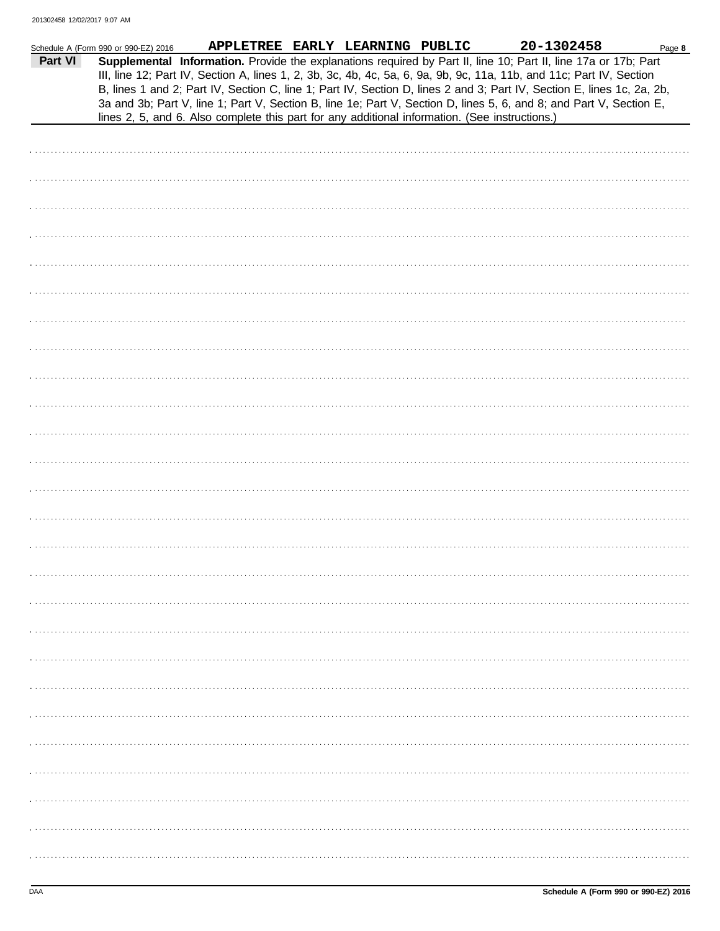| Part VI | Schedule A (Form 990 or 990-EZ) 2016 |  | APPLETREE EARLY LEARNING PUBLIC | lines 2, 5, and 6. Also complete this part for any additional information. (See instructions.) | 20-1302458<br>Supplemental Information. Provide the explanations required by Part II, line 10; Part II, line 17a or 17b; Part<br>III, line 12; Part IV, Section A, lines 1, 2, 3b, 3c, 4b, 4c, 5a, 6, 9a, 9b, 9c, 11a, 11b, and 11c; Part IV, Section<br>B, lines 1 and 2; Part IV, Section C, line 1; Part IV, Section D, lines 2 and 3; Part IV, Section E, lines 1c, 2a, 2b,<br>3a and 3b; Part V, line 1; Part V, Section B, line 1e; Part V, Section D, lines 5, 6, and 8; and Part V, Section E, | Page 8 |
|---------|--------------------------------------|--|---------------------------------|------------------------------------------------------------------------------------------------|--------------------------------------------------------------------------------------------------------------------------------------------------------------------------------------------------------------------------------------------------------------------------------------------------------------------------------------------------------------------------------------------------------------------------------------------------------------------------------------------------------|--------|
|         |                                      |  |                                 |                                                                                                |                                                                                                                                                                                                                                                                                                                                                                                                                                                                                                        |        |
|         |                                      |  |                                 |                                                                                                |                                                                                                                                                                                                                                                                                                                                                                                                                                                                                                        |        |
|         |                                      |  |                                 |                                                                                                |                                                                                                                                                                                                                                                                                                                                                                                                                                                                                                        |        |
|         |                                      |  |                                 |                                                                                                |                                                                                                                                                                                                                                                                                                                                                                                                                                                                                                        |        |
|         |                                      |  |                                 |                                                                                                |                                                                                                                                                                                                                                                                                                                                                                                                                                                                                                        |        |
|         |                                      |  |                                 |                                                                                                |                                                                                                                                                                                                                                                                                                                                                                                                                                                                                                        |        |
|         |                                      |  |                                 |                                                                                                |                                                                                                                                                                                                                                                                                                                                                                                                                                                                                                        |        |
|         |                                      |  |                                 |                                                                                                |                                                                                                                                                                                                                                                                                                                                                                                                                                                                                                        |        |
|         |                                      |  |                                 |                                                                                                |                                                                                                                                                                                                                                                                                                                                                                                                                                                                                                        |        |
|         |                                      |  |                                 |                                                                                                |                                                                                                                                                                                                                                                                                                                                                                                                                                                                                                        |        |
|         |                                      |  |                                 |                                                                                                |                                                                                                                                                                                                                                                                                                                                                                                                                                                                                                        |        |
|         |                                      |  |                                 |                                                                                                |                                                                                                                                                                                                                                                                                                                                                                                                                                                                                                        |        |
|         |                                      |  |                                 |                                                                                                |                                                                                                                                                                                                                                                                                                                                                                                                                                                                                                        |        |
|         |                                      |  |                                 |                                                                                                |                                                                                                                                                                                                                                                                                                                                                                                                                                                                                                        |        |
|         |                                      |  |                                 |                                                                                                |                                                                                                                                                                                                                                                                                                                                                                                                                                                                                                        |        |
|         |                                      |  |                                 |                                                                                                |                                                                                                                                                                                                                                                                                                                                                                                                                                                                                                        |        |
|         |                                      |  |                                 |                                                                                                |                                                                                                                                                                                                                                                                                                                                                                                                                                                                                                        |        |
|         |                                      |  |                                 |                                                                                                |                                                                                                                                                                                                                                                                                                                                                                                                                                                                                                        |        |
|         |                                      |  |                                 |                                                                                                |                                                                                                                                                                                                                                                                                                                                                                                                                                                                                                        |        |
|         |                                      |  |                                 |                                                                                                |                                                                                                                                                                                                                                                                                                                                                                                                                                                                                                        | .      |
|         |                                      |  |                                 |                                                                                                |                                                                                                                                                                                                                                                                                                                                                                                                                                                                                                        |        |
|         |                                      |  |                                 |                                                                                                |                                                                                                                                                                                                                                                                                                                                                                                                                                                                                                        |        |
|         |                                      |  |                                 |                                                                                                |                                                                                                                                                                                                                                                                                                                                                                                                                                                                                                        | .      |
|         |                                      |  |                                 |                                                                                                |                                                                                                                                                                                                                                                                                                                                                                                                                                                                                                        |        |
|         |                                      |  |                                 |                                                                                                |                                                                                                                                                                                                                                                                                                                                                                                                                                                                                                        |        |
|         |                                      |  |                                 |                                                                                                |                                                                                                                                                                                                                                                                                                                                                                                                                                                                                                        |        |
|         |                                      |  |                                 |                                                                                                |                                                                                                                                                                                                                                                                                                                                                                                                                                                                                                        |        |
|         |                                      |  |                                 |                                                                                                |                                                                                                                                                                                                                                                                                                                                                                                                                                                                                                        |        |
|         |                                      |  |                                 |                                                                                                |                                                                                                                                                                                                                                                                                                                                                                                                                                                                                                        |        |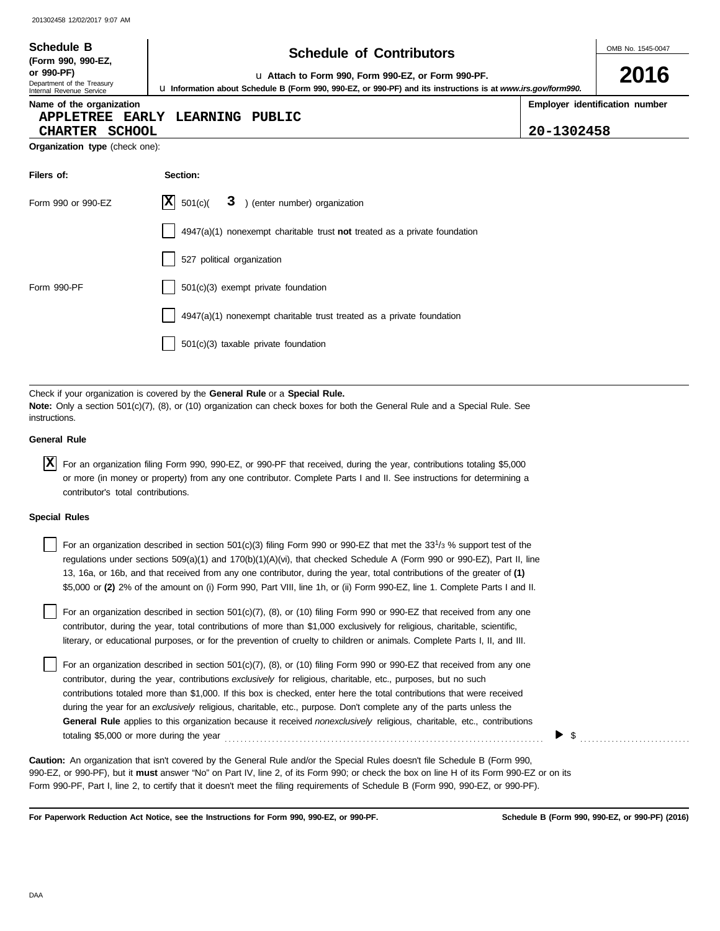| <b>Schedule B</b>                                                                                                                           | <b>Schedule of Contributors</b>                                                                                                                                                                                                                                                                                                                                                                                                                                                                                                   |  | OMB No. 1545-0047 |  |  |  |  |
|---------------------------------------------------------------------------------------------------------------------------------------------|-----------------------------------------------------------------------------------------------------------------------------------------------------------------------------------------------------------------------------------------------------------------------------------------------------------------------------------------------------------------------------------------------------------------------------------------------------------------------------------------------------------------------------------|--|-------------------|--|--|--|--|
| (Form 990, 990-EZ,<br>or 990-PF)<br>Department of the Treasury<br>Internal Revenue Service                                                  | u Attach to Form 990, Form 990-EZ, or Form 990-PF.<br><b>U Information about Schedule B (Form 990, 990-EZ, or 990-PF) and its instructions is at www.irs.gov/form990.</b>                                                                                                                                                                                                                                                                                                                                                         |  |                   |  |  |  |  |
| Employer identification number<br>Name of the organization<br><b>APPLETREE EARLY LEARNING PUBLIC</b><br>20-1302458<br><b>CHARTER SCHOOL</b> |                                                                                                                                                                                                                                                                                                                                                                                                                                                                                                                                   |  |                   |  |  |  |  |
| Organization type (check one):                                                                                                              |                                                                                                                                                                                                                                                                                                                                                                                                                                                                                                                                   |  |                   |  |  |  |  |
| Filers of:                                                                                                                                  | Section:                                                                                                                                                                                                                                                                                                                                                                                                                                                                                                                          |  |                   |  |  |  |  |
| Form 990 or 990-EZ                                                                                                                          | ΙX<br>501(c)<br>3 ) (enter number) organization                                                                                                                                                                                                                                                                                                                                                                                                                                                                                   |  |                   |  |  |  |  |
|                                                                                                                                             | $4947(a)(1)$ nonexempt charitable trust not treated as a private foundation                                                                                                                                                                                                                                                                                                                                                                                                                                                       |  |                   |  |  |  |  |
|                                                                                                                                             | 527 political organization                                                                                                                                                                                                                                                                                                                                                                                                                                                                                                        |  |                   |  |  |  |  |
| Form 990-PF                                                                                                                                 | $501(c)(3)$ exempt private foundation                                                                                                                                                                                                                                                                                                                                                                                                                                                                                             |  |                   |  |  |  |  |
|                                                                                                                                             | 4947(a)(1) nonexempt charitable trust treated as a private foundation                                                                                                                                                                                                                                                                                                                                                                                                                                                             |  |                   |  |  |  |  |
|                                                                                                                                             | 501(c)(3) taxable private foundation                                                                                                                                                                                                                                                                                                                                                                                                                                                                                              |  |                   |  |  |  |  |
|                                                                                                                                             |                                                                                                                                                                                                                                                                                                                                                                                                                                                                                                                                   |  |                   |  |  |  |  |
| instructions.                                                                                                                               | Check if your organization is covered by the General Rule or a Special Rule.<br>Note: Only a section 501(c)(7), (8), or (10) organization can check boxes for both the General Rule and a Special Rule. See                                                                                                                                                                                                                                                                                                                       |  |                   |  |  |  |  |
| <b>General Rule</b>                                                                                                                         |                                                                                                                                                                                                                                                                                                                                                                                                                                                                                                                                   |  |                   |  |  |  |  |
| X<br>contributor's total contributions.                                                                                                     | For an organization filing Form 990, 990-EZ, or 990-PF that received, during the year, contributions totaling \$5,000<br>or more (in money or property) from any one contributor. Complete Parts I and II. See instructions for determining a                                                                                                                                                                                                                                                                                     |  |                   |  |  |  |  |
| <b>Special Rules</b>                                                                                                                        |                                                                                                                                                                                                                                                                                                                                                                                                                                                                                                                                   |  |                   |  |  |  |  |
|                                                                                                                                             | For an organization described in section 501(c)(3) filing Form 990 or 990-EZ that met the 33 <sup>1</sup> / <sub>3</sub> % support test of the<br>regulations under sections 509(a)(1) and 170(b)(1)(A)(vi), that checked Schedule A (Form 990 or 990-EZ), Part II, line<br>13, 16a, or 16b, and that received from any one contributor, during the year, total contributions of the greater of (1)<br>\$5,000 or (2) 2% of the amount on (i) Form 990, Part VIII, line 1h, or (ii) Form 990-EZ, line 1. Complete Parts I and II. |  |                   |  |  |  |  |
|                                                                                                                                             | For an organization described in section 501(c)(7), (8), or (10) filing Form 990 or 990-EZ that received from any one<br>contributor, during the year, total contributions of more than \$1,000 exclusively for religious, charitable, scientific,                                                                                                                                                                                                                                                                                |  |                   |  |  |  |  |

|                                                                                                                            | a se estado en el control de la control de la control de la control de la control de la control de la control d |  |
|----------------------------------------------------------------------------------------------------------------------------|-----------------------------------------------------------------------------------------------------------------|--|
| literary, or educational purposes, or for the prevention of cruelty to children or animals. Complete Parts I, II, and III. |                                                                                                                 |  |

For an organization described in section 501(c)(7), (8), or (10) filing Form 990 or 990-EZ that received from any one contributor, during the year, contributions *exclusively* for religious, charitable, etc., purposes, but no such contributions totaled more than \$1,000. If this box is checked, enter here the total contributions that were received during the year for an *exclusively* religious, charitable, etc., purpose. Don't complete any of the parts unless the **General Rule** applies to this organization because it received *nonexclusively* religious, charitable, etc., contributions totaling \$5,000 or more during the year . . . . . . . . . . . . . . . . . . . . . . . . . . . . . . . . . . . . . . . . . . . . . . . . . . . . . . . . . . . . . . . . . . . . . . . . . . . . . . . . .

990-EZ, or 990-PF), but it **must** answer "No" on Part IV, line 2, of its Form 990; or check the box on line H of its Form 990-EZ or on its Form 990-PF, Part I, line 2, to certify that it doesn't meet the filing requirements of Schedule B (Form 990, 990-EZ, or 990-PF). **Caution:** An organization that isn't covered by the General Rule and/or the Special Rules doesn't file Schedule B (Form 990,

**For Paperwork Reduction Act Notice, see the Instructions for Form 990, 990-EZ, or 990-PF.**

**Schedule B (Form 990, 990-EZ, or 990-PF) (2016)**

 $\triangleright$  \$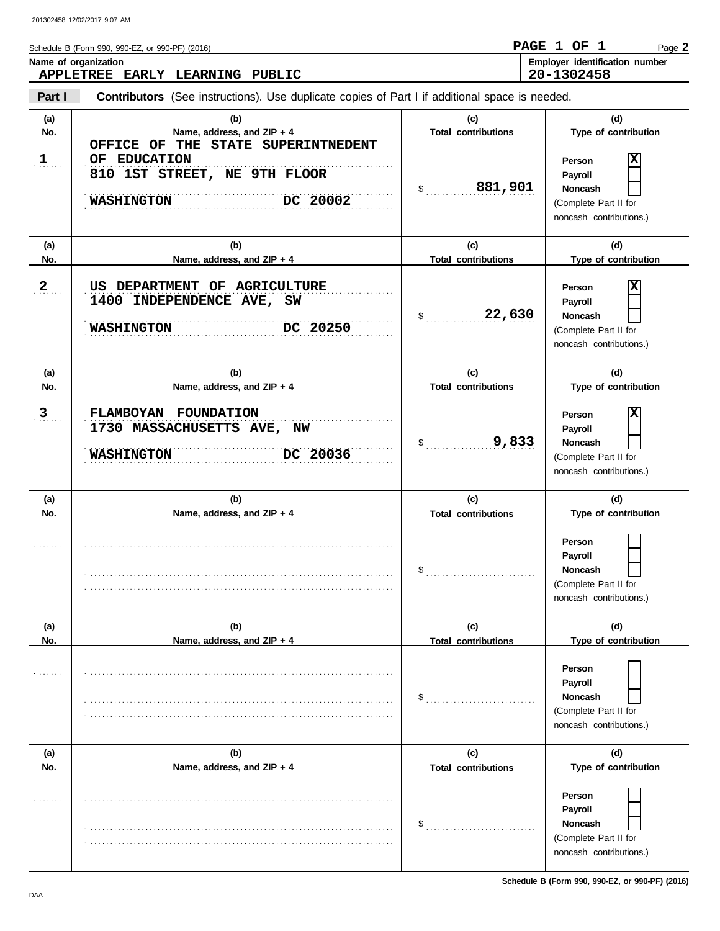Schedule B (Form 990, 990-EZ, or 990-PF) (2016)

| PAGE |  |     | - הרי |
|------|--|-----|-------|
|      |  | --- |       |

**20-1302458**

#### **Name of organization Employer identification Employer identification Employer identification Employer identification Employer APPLETREE EARLY LEARNING PUBLIC**

**Part I Contributors** (See instructions). Use duplicate copies of Part I if additional space is needed.

| (a)<br>No.   | (b)<br>Name, address, and ZIP + 4                                                                                      | (c)<br><b>Total contributions</b> | (d)<br>Type of contribution                                                                                     |
|--------------|------------------------------------------------------------------------------------------------------------------------|-----------------------------------|-----------------------------------------------------------------------------------------------------------------|
| 1            | THE STATE SUPERINTNEDENT<br>OFFICE OF<br>OF EDUCATION<br>810 1ST STREET, NE 9TH FLOOR<br>DC 20002<br><b>WASHINGTON</b> | 881,901<br>\$                     | Person<br>Payroll<br>Noncash<br>(Complete Part II for<br>noncash contributions.)                                |
| (a)<br>No.   | (b)<br>Name, address, and ZIP + 4                                                                                      | (c)<br><b>Total contributions</b> | (d)<br>Type of contribution                                                                                     |
| $\mathbf{2}$ | US DEPARTMENT OF AGRICULTURE<br>1400 INDEPENDENCE AVE, SW<br>DC 20250<br><b>WASHINGTON</b>                             | 22,630<br>\$                      | Person<br>Payroll<br>Noncash<br>(Complete Part II for<br>noncash contributions.)                                |
| (a)<br>No.   | (b)<br>Name, address, and ZIP + 4                                                                                      | (c)<br><b>Total contributions</b> | (d)<br>Type of contribution                                                                                     |
| 3            | FLAMBOYAN FOUNDATION<br>1730 MASSACHUSETTS AVE, NW<br>DC 20036<br><b>WASHINGTON</b>                                    | 9,833<br>\$                       | Person<br>Payroll<br><b>Noncash</b><br>(Complete Part II for<br>noncash contributions.)                         |
| (a)<br>No.   | (b)<br>Name, address, and ZIP + 4                                                                                      | (c)<br><b>Total contributions</b> | (d)<br>Type of contribution                                                                                     |
|              |                                                                                                                        | \$                                | Person<br>Payroll<br>Noncash<br>(Complete Part II for<br>noncash contributions.)                                |
| (a)          |                                                                                                                        |                                   |                                                                                                                 |
| No.          | (b)                                                                                                                    | (c)                               | (d)                                                                                                             |
|              | Name, address, and ZIP + 4                                                                                             | <b>Total contributions</b><br>\$  | Type of contribution<br>Person<br>Payroll<br><b>Noncash</b><br>(Complete Part II for<br>noncash contributions.) |
| (a)<br>No.   | (b)<br>Name, address, and ZIP + 4                                                                                      | (c)<br><b>Total contributions</b> | (d)<br>Type of contribution                                                                                     |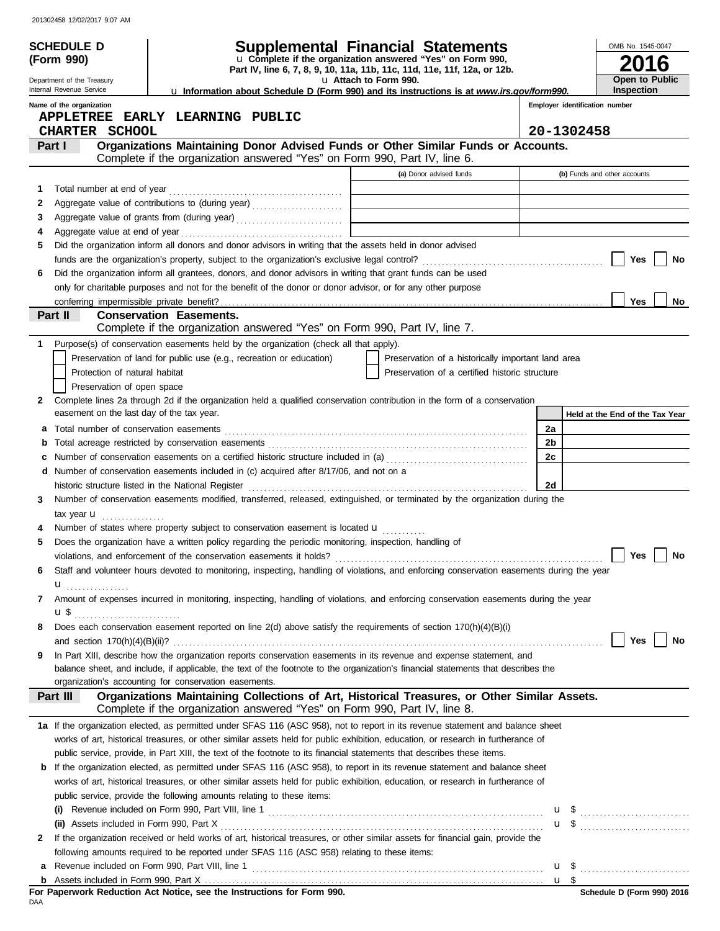|        | <b>SCHEDULE D</b>                                                                                                      |                                                                                                                                                                            |  | <b>Supplemental Financial Statements</b>                                                          |  |                |                                |  | OMB No. 1545-0047 |                                 |
|--------|------------------------------------------------------------------------------------------------------------------------|----------------------------------------------------------------------------------------------------------------------------------------------------------------------------|--|---------------------------------------------------------------------------------------------------|--|----------------|--------------------------------|--|-------------------|---------------------------------|
|        | u Complete if the organization answered "Yes" on Form 990,<br>(Form 990)                                               |                                                                                                                                                                            |  |                                                                                                   |  |                |                                |  |                   |                                 |
|        | Department of the Treasury                                                                                             |                                                                                                                                                                            |  | Part IV, line 6, 7, 8, 9, 10, 11a, 11b, 11c, 11d, 11e, 11f, 12a, or 12b.<br>u Attach to Form 990. |  |                |                                |  |                   | Open to Public                  |
|        | Internal Revenue Service<br>La Information about Schedule D (Form 990) and its instructions is at www.irs.gov/form990. |                                                                                                                                                                            |  |                                                                                                   |  |                |                                |  | <b>Inspection</b> |                                 |
|        | Name of the organization                                                                                               |                                                                                                                                                                            |  |                                                                                                   |  |                | Employer identification number |  |                   |                                 |
|        | <b>APPLETREE EARLY LEARNING PUBLIC</b>                                                                                 |                                                                                                                                                                            |  |                                                                                                   |  |                |                                |  |                   |                                 |
|        | 20-1302458<br><b>CHARTER</b><br><b>SCHOOL</b>                                                                          |                                                                                                                                                                            |  |                                                                                                   |  |                |                                |  |                   |                                 |
|        | Part I                                                                                                                 | Organizations Maintaining Donor Advised Funds or Other Similar Funds or Accounts.                                                                                          |  |                                                                                                   |  |                |                                |  |                   |                                 |
|        | Complete if the organization answered "Yes" on Form 990, Part IV, line 6.                                              |                                                                                                                                                                            |  |                                                                                                   |  |                |                                |  |                   |                                 |
|        |                                                                                                                        |                                                                                                                                                                            |  | (a) Donor advised funds                                                                           |  |                | (b) Funds and other accounts   |  |                   |                                 |
| 1      |                                                                                                                        | Total number at end of year<br>[100]<br>100]                                                                                                                               |  |                                                                                                   |  |                |                                |  |                   |                                 |
| 2      |                                                                                                                        |                                                                                                                                                                            |  |                                                                                                   |  |                |                                |  |                   |                                 |
| 3<br>4 |                                                                                                                        |                                                                                                                                                                            |  |                                                                                                   |  |                |                                |  |                   |                                 |
| 5      |                                                                                                                        | Did the organization inform all donors and donor advisors in writing that the assets held in donor advised                                                                 |  |                                                                                                   |  |                |                                |  |                   |                                 |
|        |                                                                                                                        |                                                                                                                                                                            |  |                                                                                                   |  |                |                                |  | <b>Yes</b>        | No                              |
| 6      |                                                                                                                        | Did the organization inform all grantees, donors, and donor advisors in writing that grant funds can be used                                                               |  |                                                                                                   |  |                |                                |  |                   |                                 |
|        |                                                                                                                        | only for charitable purposes and not for the benefit of the donor or donor advisor, or for any other purpose                                                               |  |                                                                                                   |  |                |                                |  |                   |                                 |
|        | conferring impermissible private benefit?                                                                              |                                                                                                                                                                            |  |                                                                                                   |  |                |                                |  | <b>Yes</b>        | No                              |
|        | Part II                                                                                                                | <b>Conservation Easements.</b>                                                                                                                                             |  |                                                                                                   |  |                |                                |  |                   |                                 |
|        |                                                                                                                        | Complete if the organization answered "Yes" on Form 990, Part IV, line 7.                                                                                                  |  |                                                                                                   |  |                |                                |  |                   |                                 |
| 1.     |                                                                                                                        | Purpose(s) of conservation easements held by the organization (check all that apply).                                                                                      |  |                                                                                                   |  |                |                                |  |                   |                                 |
|        |                                                                                                                        | Preservation of land for public use (e.g., recreation or education)                                                                                                        |  | Preservation of a historically important land area                                                |  |                |                                |  |                   |                                 |
|        | Protection of natural habitat                                                                                          |                                                                                                                                                                            |  | Preservation of a certified historic structure                                                    |  |                |                                |  |                   |                                 |
|        | Preservation of open space                                                                                             |                                                                                                                                                                            |  |                                                                                                   |  |                |                                |  |                   |                                 |
| 2      |                                                                                                                        | Complete lines 2a through 2d if the organization held a qualified conservation contribution in the form of a conservation                                                  |  |                                                                                                   |  |                |                                |  |                   |                                 |
|        | easement on the last day of the tax year.                                                                              |                                                                                                                                                                            |  |                                                                                                   |  |                |                                |  |                   | Held at the End of the Tax Year |
|        | Total number of conservation easements                                                                                 |                                                                                                                                                                            |  |                                                                                                   |  | 2a             |                                |  |                   |                                 |
|        |                                                                                                                        |                                                                                                                                                                            |  |                                                                                                   |  | 2 <sub>b</sub> |                                |  |                   |                                 |
|        |                                                                                                                        | Number of conservation easements on a certified historic structure included in (a) [11] Number of conservation easements on a certified historic structure included in (a) |  |                                                                                                   |  | 2c             |                                |  |                   |                                 |
| d      |                                                                                                                        | Number of conservation easements included in (c) acquired after 8/17/06, and not on a                                                                                      |  |                                                                                                   |  |                |                                |  |                   |                                 |
|        |                                                                                                                        | historic structure listed in the National Register [11] Martin Martin Martin Martin Martin Martin Martin Marti                                                             |  |                                                                                                   |  | 2d             |                                |  |                   |                                 |
| 3      |                                                                                                                        | Number of conservation easements modified, transferred, released, extinguished, or terminated by the organization during the                                               |  |                                                                                                   |  |                |                                |  |                   |                                 |
|        | tax year $\mathbf u$                                                                                                   |                                                                                                                                                                            |  |                                                                                                   |  |                |                                |  |                   |                                 |
|        |                                                                                                                        | Number of states where property subject to conservation easement is located <b>u</b>                                                                                       |  |                                                                                                   |  |                |                                |  |                   |                                 |
| 5      |                                                                                                                        | Does the organization have a written policy regarding the periodic monitoring, inspection, handling of                                                                     |  |                                                                                                   |  |                |                                |  |                   |                                 |
|        |                                                                                                                        |                                                                                                                                                                            |  |                                                                                                   |  |                |                                |  | Yes               | No                              |
| 6      |                                                                                                                        | Staff and volunteer hours devoted to monitoring, inspecting, handling of violations, and enforcing conservation easements during the year                                  |  |                                                                                                   |  |                |                                |  |                   |                                 |
|        |                                                                                                                        | Amount of expenses incurred in monitoring, inspecting, handling of violations, and enforcing conservation easements during the year                                        |  |                                                                                                   |  |                |                                |  |                   |                                 |
| 7      |                                                                                                                        |                                                                                                                                                                            |  |                                                                                                   |  |                |                                |  |                   |                                 |
|        |                                                                                                                        | Does each conservation easement reported on line 2(d) above satisfy the requirements of section 170(h)(4)(B)(i)                                                            |  |                                                                                                   |  |                |                                |  |                   |                                 |
| 8      |                                                                                                                        |                                                                                                                                                                            |  |                                                                                                   |  |                |                                |  | <b>Yes</b>        | No                              |
| 9      |                                                                                                                        | In Part XIII, describe how the organization reports conservation easements in its revenue and expense statement, and                                                       |  |                                                                                                   |  |                |                                |  |                   |                                 |
|        |                                                                                                                        | balance sheet, and include, if applicable, the text of the footnote to the organization's financial statements that describes the                                          |  |                                                                                                   |  |                |                                |  |                   |                                 |
|        |                                                                                                                        | organization's accounting for conservation easements.                                                                                                                      |  |                                                                                                   |  |                |                                |  |                   |                                 |
|        | Part III                                                                                                               | Organizations Maintaining Collections of Art, Historical Treasures, or Other Similar Assets.<br>Complete if the organization answered "Yes" on Form 990, Part IV, line 8.  |  |                                                                                                   |  |                |                                |  |                   |                                 |
|        |                                                                                                                        | 1a If the organization elected, as permitted under SFAS 116 (ASC 958), not to report in its revenue statement and balance sheet                                            |  |                                                                                                   |  |                |                                |  |                   |                                 |
|        |                                                                                                                        | works of art, historical treasures, or other similar assets held for public exhibition, education, or research in furtherance of                                           |  |                                                                                                   |  |                |                                |  |                   |                                 |
|        |                                                                                                                        | public service, provide, in Part XIII, the text of the footnote to its financial statements that describes these items.                                                    |  |                                                                                                   |  |                |                                |  |                   |                                 |
|        |                                                                                                                        | <b>b</b> If the organization elected, as permitted under SFAS 116 (ASC 958), to report in its revenue statement and balance sheet                                          |  |                                                                                                   |  |                |                                |  |                   |                                 |
|        |                                                                                                                        | works of art, historical treasures, or other similar assets held for public exhibition, education, or research in furtherance of                                           |  |                                                                                                   |  |                |                                |  |                   |                                 |
|        |                                                                                                                        | public service, provide the following amounts relating to these items:                                                                                                     |  |                                                                                                   |  |                |                                |  |                   |                                 |
|        |                                                                                                                        | Revenue included on Form 990, Part VIII, line 1 [2010] [2010] [2010] [2010] [2010] [2010] [2010] [2010] [2010                                                              |  |                                                                                                   |  |                |                                |  |                   |                                 |
|        |                                                                                                                        |                                                                                                                                                                            |  |                                                                                                   |  |                |                                |  |                   | $\mathbf{u}$ \$ $\ldots$        |
| 2      |                                                                                                                        | If the organization received or held works of art, historical treasures, or other similar assets for financial gain, provide the                                           |  |                                                                                                   |  |                |                                |  |                   |                                 |
|        |                                                                                                                        | following amounts required to be reported under SFAS 116 (ASC 958) relating to these items:                                                                                |  |                                                                                                   |  |                |                                |  |                   |                                 |
|        |                                                                                                                        | Revenue included on Form 990, Part VIII, line 1                                                                                                                            |  |                                                                                                   |  |                |                                |  |                   |                                 |
|        |                                                                                                                        |                                                                                                                                                                            |  |                                                                                                   |  |                |                                |  |                   |                                 |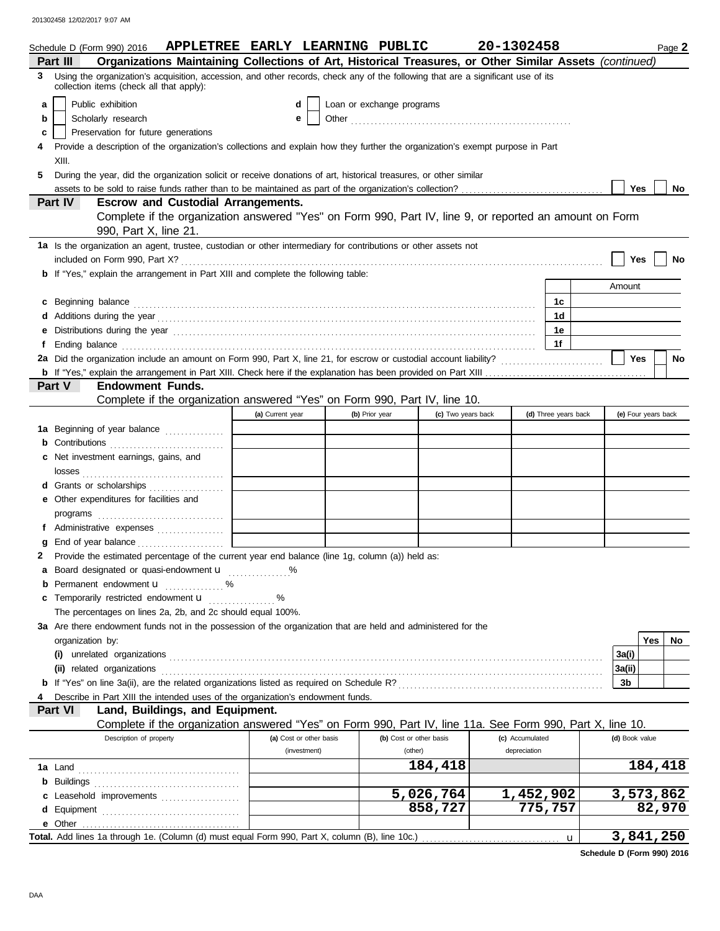|   | Schedule D (Form 990) 2016 APPLETREE EARLY LEARNING PUBLIC                                                                                                                                                                           |                         |                |                           | 20-1302458      |                      | Page 2              |  |  |  |
|---|--------------------------------------------------------------------------------------------------------------------------------------------------------------------------------------------------------------------------------------|-------------------------|----------------|---------------------------|-----------------|----------------------|---------------------|--|--|--|
|   | Organizations Maintaining Collections of Art, Historical Treasures, or Other Similar Assets (continued)<br>Part III                                                                                                                  |                         |                |                           |                 |                      |                     |  |  |  |
| 3 | Using the organization's acquisition, accession, and other records, check any of the following that are a significant use of its<br>collection items (check all that apply):                                                         |                         |                |                           |                 |                      |                     |  |  |  |
| a | Public exhibition                                                                                                                                                                                                                    |                         |                | Loan or exchange programs |                 |                      |                     |  |  |  |
| b | Scholarly research                                                                                                                                                                                                                   |                         |                |                           |                 |                      |                     |  |  |  |
| c | Preservation for future generations                                                                                                                                                                                                  |                         |                |                           |                 |                      |                     |  |  |  |
|   | Provide a description of the organization's collections and explain how they further the organization's exempt purpose in Part                                                                                                       |                         |                |                           |                 |                      |                     |  |  |  |
|   | XIII.                                                                                                                                                                                                                                |                         |                |                           |                 |                      |                     |  |  |  |
| 5 | During the year, did the organization solicit or receive donations of art, historical treasures, or other similar                                                                                                                    |                         |                |                           |                 |                      |                     |  |  |  |
|   |                                                                                                                                                                                                                                      |                         |                |                           |                 |                      | Yes<br><b>No</b>    |  |  |  |
|   | <b>Part IV</b><br><b>Escrow and Custodial Arrangements.</b>                                                                                                                                                                          |                         |                |                           |                 |                      |                     |  |  |  |
|   | Complete if the organization answered "Yes" on Form 990, Part IV, line 9, or reported an amount on Form                                                                                                                              |                         |                |                           |                 |                      |                     |  |  |  |
|   | 990, Part X, line 21.                                                                                                                                                                                                                |                         |                |                           |                 |                      |                     |  |  |  |
|   | 1a Is the organization an agent, trustee, custodian or other intermediary for contributions or other assets not                                                                                                                      |                         |                |                           |                 |                      |                     |  |  |  |
|   |                                                                                                                                                                                                                                      |                         |                |                           |                 |                      | Yes<br>No           |  |  |  |
|   | <b>b</b> If "Yes," explain the arrangement in Part XIII and complete the following table:                                                                                                                                            |                         |                |                           |                 |                      |                     |  |  |  |
|   |                                                                                                                                                                                                                                      |                         |                |                           |                 |                      | Amount              |  |  |  |
|   | c Beginning balance <b>contract the contract of the contract of the contract of the contract of the contract of the contract of the contract of the contract of the contract of the contract of the contract of the contract of </b> |                         |                |                           |                 | 1c                   |                     |  |  |  |
|   |                                                                                                                                                                                                                                      |                         |                |                           |                 | 1d                   |                     |  |  |  |
| е |                                                                                                                                                                                                                                      |                         |                |                           |                 | 1e                   |                     |  |  |  |
| f | Ending balance <b>construction and the construction of the construction</b> of the construction of the construction of the construction of the construction of the construction of the construction of the construction of the cons  |                         |                |                           |                 | 1f                   |                     |  |  |  |
|   | 2a Did the organization include an amount on Form 990, Part X, line 21, for escrow or custodial account liability?                                                                                                                   |                         |                |                           |                 |                      | <b>Yes</b><br>No    |  |  |  |
|   | <b>Endowment Funds.</b><br><b>Part V</b>                                                                                                                                                                                             |                         |                |                           |                 |                      |                     |  |  |  |
|   | Complete if the organization answered "Yes" on Form 990, Part IV, line 10.                                                                                                                                                           |                         |                |                           |                 |                      |                     |  |  |  |
|   |                                                                                                                                                                                                                                      | (a) Current year        | (b) Prior year | (c) Two years back        |                 | (d) Three years back | (e) Four years back |  |  |  |
|   | 1a Beginning of year balance                                                                                                                                                                                                         |                         |                |                           |                 |                      |                     |  |  |  |
|   |                                                                                                                                                                                                                                      |                         |                |                           |                 |                      |                     |  |  |  |
|   | c Net investment earnings, gains, and                                                                                                                                                                                                |                         |                |                           |                 |                      |                     |  |  |  |
|   |                                                                                                                                                                                                                                      |                         |                |                           |                 |                      |                     |  |  |  |
|   | d Grants or scholarships                                                                                                                                                                                                             |                         |                |                           |                 |                      |                     |  |  |  |
|   | e Other expenditures for facilities and                                                                                                                                                                                              |                         |                |                           |                 |                      |                     |  |  |  |
|   |                                                                                                                                                                                                                                      |                         |                |                           |                 |                      |                     |  |  |  |
|   | f Administrative expenses                                                                                                                                                                                                            |                         |                |                           |                 |                      |                     |  |  |  |
|   | End of year balance <i></i>                                                                                                                                                                                                          |                         |                |                           |                 |                      |                     |  |  |  |
|   | Provide the estimated percentage of the current year end balance (line 1g, column (a)) held as:                                                                                                                                      |                         |                |                           |                 |                      |                     |  |  |  |
|   |                                                                                                                                                                                                                                      |                         |                |                           |                 |                      |                     |  |  |  |
|   | <b>b</b> Permanent endowment <b>u</b> %                                                                                                                                                                                              |                         |                |                           |                 |                      |                     |  |  |  |
|   | c Temporarily restricted endowment <b>u</b>                                                                                                                                                                                          | %                       |                |                           |                 |                      |                     |  |  |  |
|   | The percentages on lines 2a, 2b, and 2c should equal 100%.                                                                                                                                                                           |                         |                |                           |                 |                      |                     |  |  |  |
|   | 3a Are there endowment funds not in the possession of the organization that are held and administered for the                                                                                                                        |                         |                |                           |                 |                      |                     |  |  |  |
|   | organization by:                                                                                                                                                                                                                     |                         |                |                           |                 |                      | Yes<br>No           |  |  |  |
|   |                                                                                                                                                                                                                                      |                         |                |                           |                 |                      | 3a(i)               |  |  |  |
|   | (ii) related organizations entertainment and a set of the contract of the contract or the contract or the contract or the contract or the contract or the contract or the contract or the contract or the contract or the cont       |                         |                |                           |                 |                      | 3a(ii)              |  |  |  |
|   |                                                                                                                                                                                                                                      |                         |                |                           |                 |                      | 3b                  |  |  |  |
|   | Describe in Part XIII the intended uses of the organization's endowment funds.                                                                                                                                                       |                         |                |                           |                 |                      |                     |  |  |  |
|   | Land, Buildings, and Equipment.<br>Part VI                                                                                                                                                                                           |                         |                |                           |                 |                      |                     |  |  |  |
|   | Complete if the organization answered "Yes" on Form 990, Part IV, line 11a. See Form 990, Part X, line 10.<br>Description of property                                                                                                | (a) Cost or other basis |                | (b) Cost or other basis   | (c) Accumulated |                      | (d) Book value      |  |  |  |
|   |                                                                                                                                                                                                                                      | (investment)            |                | (other)                   | depreciation    |                      |                     |  |  |  |
|   |                                                                                                                                                                                                                                      |                         |                | 184,418                   |                 |                      | 184,418             |  |  |  |
|   |                                                                                                                                                                                                                                      |                         |                |                           |                 |                      |                     |  |  |  |
|   | c Leasehold improvements                                                                                                                                                                                                             |                         |                | 5,026,764                 | 1,452,902       |                      | 3,573,862           |  |  |  |
| d |                                                                                                                                                                                                                                      |                         |                | 858,727                   |                 | 775,757              | 82,970              |  |  |  |
|   | e Other                                                                                                                                                                                                                              |                         |                |                           |                 |                      |                     |  |  |  |
|   | Total. Add lines 1a through 1e. (Column (d) must equal Form 990, Part X, column (B), line 10c.)                                                                                                                                      |                         |                |                           |                 | $\mathbf{u}$         | 3,841,250           |  |  |  |
|   |                                                                                                                                                                                                                                      |                         |                |                           |                 |                      |                     |  |  |  |

**Schedule D (Form 990) 2016**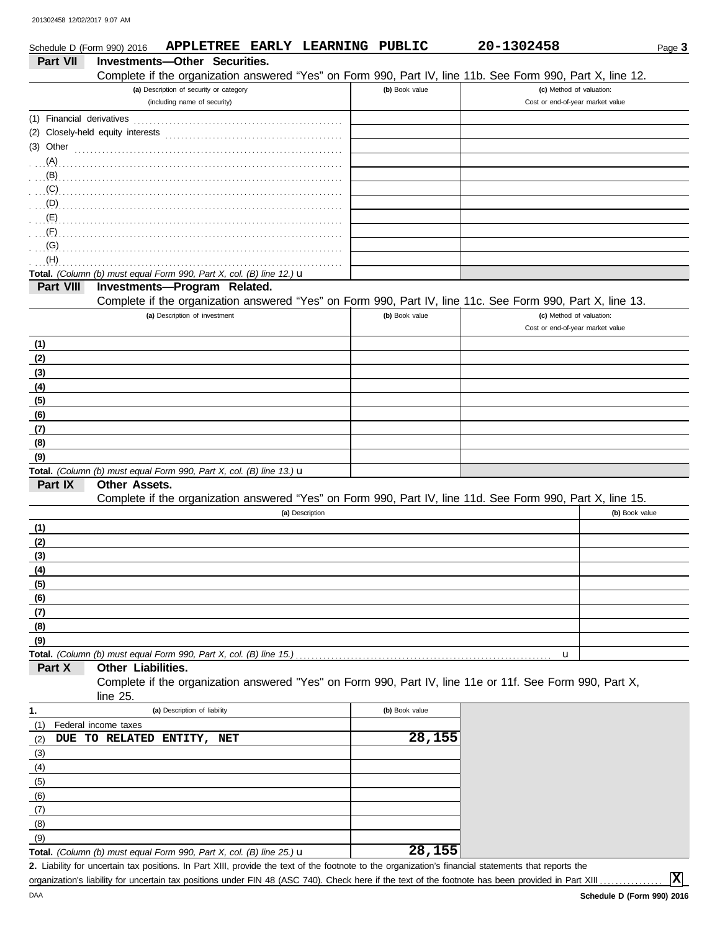|                           | APPLETREE EARLY LEARNING PUBLIC<br>Schedule D (Form 990) 2016                                                                                                                                                                                         |                | 20-1302458                       | Page 3         |
|---------------------------|-------------------------------------------------------------------------------------------------------------------------------------------------------------------------------------------------------------------------------------------------------|----------------|----------------------------------|----------------|
| Part VII                  | Investments-Other Securities.                                                                                                                                                                                                                         |                |                                  |                |
|                           | Complete if the organization answered "Yes" on Form 990, Part IV, line 11b. See Form 990, Part X, line 12.                                                                                                                                            |                |                                  |                |
|                           | (a) Description of security or category                                                                                                                                                                                                               | (b) Book value | (c) Method of valuation:         |                |
|                           | (including name of security)                                                                                                                                                                                                                          |                | Cost or end-of-year market value |                |
| (1) Financial derivatives |                                                                                                                                                                                                                                                       |                |                                  |                |
|                           | (2) Closely-held equity interests                                                                                                                                                                                                                     |                |                                  |                |
| (3) Other                 |                                                                                                                                                                                                                                                       |                |                                  |                |
|                           | $(A)$ and $(A)$ and $(A)$ and $(A)$ and $(A)$ and $(A)$ and $(A)$ and $(A)$ and $(A)$ and $(A)$ and $(A)$ and $(A)$ and $(A)$ and $(A)$ and $(A)$ and $(A)$ and $(A)$ and $(A)$ and $(A)$ and $(A)$ and $(A)$ and $(A)$ and $(A)$ and $(A)$ and $(A)$ |                |                                  |                |
|                           |                                                                                                                                                                                                                                                       |                |                                  |                |
|                           |                                                                                                                                                                                                                                                       |                |                                  |                |
|                           |                                                                                                                                                                                                                                                       |                |                                  |                |
|                           |                                                                                                                                                                                                                                                       |                |                                  |                |
| $\ldots$ (F)              |                                                                                                                                                                                                                                                       |                |                                  |                |
| $\ldots$ (G)              |                                                                                                                                                                                                                                                       |                |                                  |                |
| (H)                       |                                                                                                                                                                                                                                                       |                |                                  |                |
|                           | Total. (Column (b) must equal Form 990, Part X, col. (B) line 12.) $\mathbf u$                                                                                                                                                                        |                |                                  |                |
| Part VIII                 | Investments-Program Related.                                                                                                                                                                                                                          |                |                                  |                |
|                           | Complete if the organization answered "Yes" on Form 990, Part IV, line 11c. See Form 990, Part X, line 13.                                                                                                                                            |                |                                  |                |
|                           | (a) Description of investment                                                                                                                                                                                                                         | (b) Book value | (c) Method of valuation:         |                |
|                           |                                                                                                                                                                                                                                                       |                | Cost or end-of-year market value |                |
| (1)                       |                                                                                                                                                                                                                                                       |                |                                  |                |
| (2)                       |                                                                                                                                                                                                                                                       |                |                                  |                |
| (3)                       |                                                                                                                                                                                                                                                       |                |                                  |                |
| (4)                       |                                                                                                                                                                                                                                                       |                |                                  |                |
| (5)                       |                                                                                                                                                                                                                                                       |                |                                  |                |
| (6)                       |                                                                                                                                                                                                                                                       |                |                                  |                |
| (7)                       |                                                                                                                                                                                                                                                       |                |                                  |                |
| (8)                       |                                                                                                                                                                                                                                                       |                |                                  |                |
| (9)                       |                                                                                                                                                                                                                                                       |                |                                  |                |
|                           | Total. (Column (b) must equal Form 990, Part X, col. (B) line 13.) $\mathbf u$                                                                                                                                                                        |                |                                  |                |
| Part IX                   | Other Assets.                                                                                                                                                                                                                                         |                |                                  |                |
|                           | Complete if the organization answered "Yes" on Form 990, Part IV, line 11d. See Form 990, Part X, line 15.                                                                                                                                            |                |                                  |                |
|                           | (a) Description                                                                                                                                                                                                                                       |                |                                  | (b) Book value |
| (1)                       |                                                                                                                                                                                                                                                       |                |                                  |                |
| (2)                       |                                                                                                                                                                                                                                                       |                |                                  |                |
| (3)                       |                                                                                                                                                                                                                                                       |                |                                  |                |
| (4)                       |                                                                                                                                                                                                                                                       |                |                                  |                |
| (5)                       |                                                                                                                                                                                                                                                       |                |                                  |                |
| (6)                       |                                                                                                                                                                                                                                                       |                |                                  |                |
| (7)                       |                                                                                                                                                                                                                                                       |                |                                  |                |
| (8)                       |                                                                                                                                                                                                                                                       |                |                                  |                |
| (9)                       |                                                                                                                                                                                                                                                       |                |                                  |                |
|                           | Total. (Column (b) must equal Form 990, Part X, col. (B) line 15.)                                                                                                                                                                                    |                | u                                |                |
| Part X                    | Other Liabilities.                                                                                                                                                                                                                                    |                |                                  |                |
|                           | Complete if the organization answered "Yes" on Form 990, Part IV, line 11e or 11f. See Form 990, Part X,                                                                                                                                              |                |                                  |                |
|                           | line 25.                                                                                                                                                                                                                                              |                |                                  |                |
| 1.                        | (a) Description of liability                                                                                                                                                                                                                          | (b) Book value |                                  |                |
| (1)                       | Federal income taxes                                                                                                                                                                                                                                  |                |                                  |                |
| (2)                       | DUE TO RELATED ENTITY, NET                                                                                                                                                                                                                            | 28,155         |                                  |                |
| (3)                       |                                                                                                                                                                                                                                                       |                |                                  |                |
| (4)                       |                                                                                                                                                                                                                                                       |                |                                  |                |
| (5)                       |                                                                                                                                                                                                                                                       |                |                                  |                |
| (6)                       |                                                                                                                                                                                                                                                       |                |                                  |                |

**Total.** *(Column (b) must equal Form 990, Part X, col. (B) line 25.)* u  $(9)$ **28,155**

Liability for uncertain tax positions. In Part XIII, provide the text of the footnote to the organization's financial statements that reports the **2.**

organization's liability for uncertain tax positions under FIN 48 (ASC 740). Check here if the text of the footnote has been provided in Part XIII

**X**

(8) (7)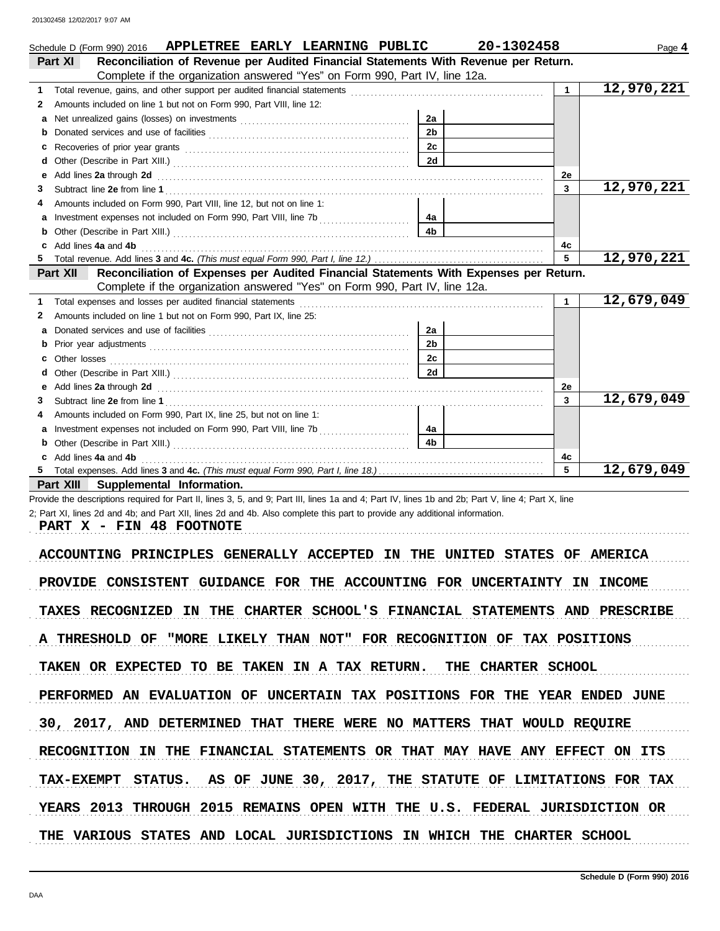|    | APPLETREE EARLY LEARNING PUBLIC<br>Schedule D (Form 990) 2016                                                                                                                                                                                                                                         |                      | 20-1302458              | Page 4         |
|----|-------------------------------------------------------------------------------------------------------------------------------------------------------------------------------------------------------------------------------------------------------------------------------------------------------|----------------------|-------------------------|----------------|
|    | Reconciliation of Revenue per Audited Financial Statements With Revenue per Return.<br>Part XI                                                                                                                                                                                                        |                      |                         |                |
|    | Complete if the organization answered "Yes" on Form 990, Part IV, line 12a.                                                                                                                                                                                                                           |                      | $\mathbf{1}$            | 12,970,221     |
| 1  | Total revenue, gains, and other support per audited financial statements                                                                                                                                                                                                                              |                      |                         |                |
| 2  | Amounts included on line 1 but not on Form 990, Part VIII, line 12:                                                                                                                                                                                                                                   |                      |                         |                |
| a  |                                                                                                                                                                                                                                                                                                       | 2a<br>2 <sub>b</sub> |                         |                |
| b  |                                                                                                                                                                                                                                                                                                       |                      |                         |                |
| c  |                                                                                                                                                                                                                                                                                                       | 2c                   |                         |                |
| d  |                                                                                                                                                                                                                                                                                                       | 2d                   |                         |                |
| е  |                                                                                                                                                                                                                                                                                                       |                      | 2e                      | 12,970,221     |
| 3  |                                                                                                                                                                                                                                                                                                       |                      | 3                       |                |
|    | Amounts included on Form 990, Part VIII, line 12, but not on line 1:                                                                                                                                                                                                                                  |                      |                         |                |
| a  | Investment expenses not included on Form 990, Part VIII, line 7b                                                                                                                                                                                                                                      | 4a                   |                         |                |
| b  |                                                                                                                                                                                                                                                                                                       | 4 <sub>b</sub>       |                         |                |
| C  | Add lines 4a and 4b                                                                                                                                                                                                                                                                                   |                      | 4c                      |                |
| 5. |                                                                                                                                                                                                                                                                                                       |                      | 5                       | 12,970,221     |
|    | Reconciliation of Expenses per Audited Financial Statements With Expenses per Return.<br>Part XII<br>Complete if the organization answered "Yes" on Form 990, Part IV, line 12a.                                                                                                                      |                      |                         |                |
|    | Total expenses and losses per audited financial statements                                                                                                                                                                                                                                            |                      | $\mathbf{1}$            | 12,679,049     |
| 1  |                                                                                                                                                                                                                                                                                                       |                      |                         |                |
| 2  | Amounts included on line 1 but not on Form 990, Part IX, line 25:                                                                                                                                                                                                                                     | 2a                   |                         |                |
| a  |                                                                                                                                                                                                                                                                                                       | 2 <sub>b</sub>       |                         |                |
| b  |                                                                                                                                                                                                                                                                                                       | 2c                   |                         |                |
| c  | Other losses <b>contracts</b> and <b>contracts</b> and <b>contracts</b> and <b>contracts</b> and <b>contracts</b> and <b>contracts</b> and <b>contracts</b> and <b>contracts</b> and <b>contracts</b> and <b>contracts</b> and <b>contracts</b> and <b>contracts</b> and <b>contracts</b> and <b></b> | 2d                   |                         |                |
| d  |                                                                                                                                                                                                                                                                                                       |                      |                         |                |
| е  | Add lines 2a through 2d <b>contained a contained a contained a contained a contained a contained a contained a contained a contained a contained a contained a contained a contained a contained a contained a contained a conta</b>                                                                  |                      | 2e<br>3                 | 12,679,049     |
| 3  |                                                                                                                                                                                                                                                                                                       |                      |                         |                |
| 4  | Amounts included on Form 990, Part IX, line 25, but not on line 1:                                                                                                                                                                                                                                    |                      |                         |                |
| a  | Investment expenses not included on Form 990, Part VIII, line 7b                                                                                                                                                                                                                                      | 4a<br>4 <sub>b</sub> |                         |                |
| b  |                                                                                                                                                                                                                                                                                                       |                      |                         |                |
|    | Add lines 4a and 4b                                                                                                                                                                                                                                                                                   |                      | 4c<br>5                 | 12,679,049     |
|    |                                                                                                                                                                                                                                                                                                       |                      |                         |                |
|    | Part XIII<br>Supplemental Information.<br>Provide the descriptions required for Part II, lines 3, 5, and 9; Part III, lines 1a and 4; Part IV, lines 1b and 2b; Part V, line 4; Part X, line                                                                                                          |                      |                         |                |
|    |                                                                                                                                                                                                                                                                                                       |                      |                         |                |
|    | 2; Part XI, lines 2d and 4b; and Part XII, lines 2d and 4b. Also complete this part to provide any additional information.<br>PART X - FIN 48 FOOTNOTE                                                                                                                                                |                      |                         |                |
|    |                                                                                                                                                                                                                                                                                                       |                      |                         |                |
|    |                                                                                                                                                                                                                                                                                                       |                      |                         |                |
|    | ACCOUNTING PRINCIPLES GENERALLY ACCEPTED                                                                                                                                                                                                                                                              |                      | IN THE UNITED STATES OF | <b>AMERICA</b> |
|    | PROVIDE CONSISTENT GUIDANCE FOR THE ACCOUNTING FOR UNCERTAINTY IN                                                                                                                                                                                                                                     |                      |                         | <b>INCOME</b>  |
|    |                                                                                                                                                                                                                                                                                                       |                      |                         |                |

TAXES RECOGNIZED IN THE CHARTER SCHOOL'S FINANCIAL STATEMENTS AND PRESCRIBE

A THRESHOLD OF "MORE LIKELY THAN NOT" FOR RECOGNITION OF TAX POSITIONS

TAKEN OR EXPECTED TO BE TAKEN IN A TAX RETURN. THE CHARTER SCHOOL

PERFORMED AN EVALUATION OF UNCERTAIN TAX POSITIONS FOR THE YEAR ENDED JUNE

30, 2017, AND DETERMINED THAT THERE WERE NO MATTERS THAT WOULD REQUIRE

RECOGNITION IN THE FINANCIAL STATEMENTS OR THAT MAY HAVE ANY EFFECT ON ITS

TAX-EXEMPT STATUS. AS OF JUNE 30, 2017, THE STATUTE OF LIMITATIONS FOR TAX

YEARS 2013 THROUGH 2015 REMAINS OPEN WITH THE U.S. FEDERAL JURISDICTION OR

THE VARIOUS STATES AND LOCAL JURISDICTIONS IN WHICH THE CHARTER SCHOOL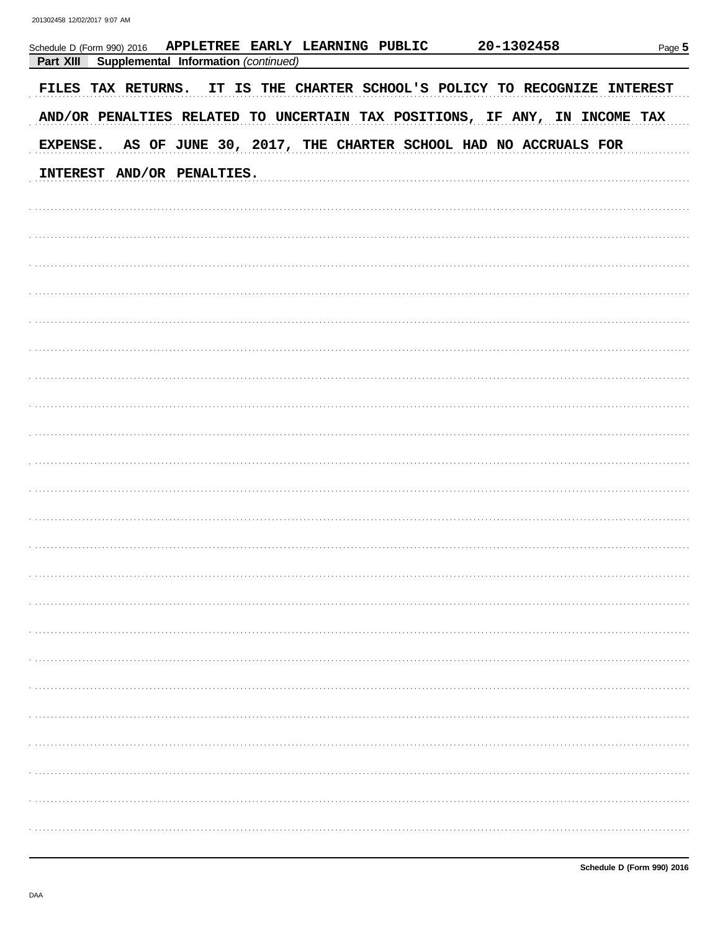| Schedule D (Form 990) 2016 |                    | APPLETREE EARLY LEARNING PUBLIC                                            |  |  | 20-1302458 |                                                         | Page 5 |
|----------------------------|--------------------|----------------------------------------------------------------------------|--|--|------------|---------------------------------------------------------|--------|
| Part XIII                  |                    | Supplemental Information (continued)                                       |  |  |            |                                                         |        |
|                            | FILES TAX RETURNS. |                                                                            |  |  |            | IT IS THE CHARTER SCHOOL'S POLICY TO RECOGNIZE INTEREST |        |
|                            |                    | AND/OR PENALTIES RELATED TO UNCERTAIN TAX POSITIONS, IF ANY, IN INCOME TAX |  |  |            |                                                         |        |
| <b>EXPENSE.</b>            |                    | AS OF JUNE 30, 2017, THE CHARTER SCHOOL HAD NO ACCRUALS FOR                |  |  |            |                                                         |        |
|                            |                    | INTEREST AND/OR PENALTIES.                                                 |  |  |            |                                                         |        |
|                            |                    |                                                                            |  |  |            |                                                         |        |
|                            |                    |                                                                            |  |  |            |                                                         |        |
|                            |                    |                                                                            |  |  |            |                                                         |        |
|                            |                    |                                                                            |  |  |            |                                                         |        |
|                            |                    |                                                                            |  |  |            |                                                         |        |
|                            |                    |                                                                            |  |  |            |                                                         |        |
|                            |                    |                                                                            |  |  |            |                                                         |        |
|                            |                    |                                                                            |  |  |            |                                                         |        |
|                            |                    |                                                                            |  |  |            |                                                         |        |
|                            |                    |                                                                            |  |  |            |                                                         |        |
|                            |                    |                                                                            |  |  |            |                                                         |        |
|                            |                    |                                                                            |  |  |            |                                                         |        |
|                            |                    |                                                                            |  |  |            |                                                         |        |
|                            |                    |                                                                            |  |  |            |                                                         |        |
|                            |                    |                                                                            |  |  |            |                                                         |        |
|                            |                    |                                                                            |  |  |            |                                                         |        |
|                            |                    |                                                                            |  |  |            |                                                         |        |
|                            |                    |                                                                            |  |  |            |                                                         |        |
|                            |                    |                                                                            |  |  |            |                                                         |        |
|                            |                    |                                                                            |  |  |            |                                                         |        |
|                            |                    |                                                                            |  |  |            |                                                         |        |
|                            |                    |                                                                            |  |  |            |                                                         |        |
|                            |                    |                                                                            |  |  |            |                                                         |        |
|                            |                    |                                                                            |  |  |            |                                                         |        |
|                            |                    |                                                                            |  |  |            |                                                         |        |
|                            |                    |                                                                            |  |  |            |                                                         |        |
|                            |                    |                                                                            |  |  |            |                                                         |        |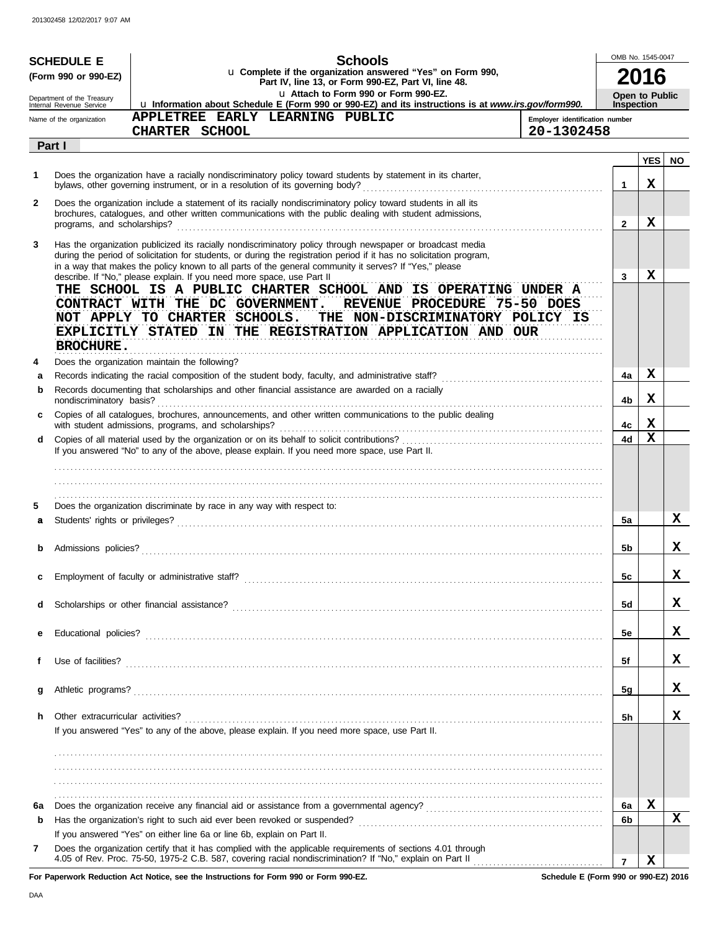|              | <b>SCHEDULE E</b><br>(Form 990 or 990-EZ)              | <b>Schools</b><br>u Complete if the organization answered "Yes" on Form 990,<br>Part IV, line 13, or Form 990-EZ, Part VI, line 48.                                                                                                                                                                                                          |                                | OMB No. 1545-0047                          |     |           |
|--------------|--------------------------------------------------------|----------------------------------------------------------------------------------------------------------------------------------------------------------------------------------------------------------------------------------------------------------------------------------------------------------------------------------------------|--------------------------------|--------------------------------------------|-----|-----------|
|              | Department of the Treasury<br>Internal Revenue Service | La Attach to Form 990 or Form 990-EZ.<br>u Information about Schedule E (Form 990 or 990-EZ) and its instructions is at www.irs.gov/form990.                                                                                                                                                                                                 |                                | <b>Open to Public</b><br><b>Inspection</b> |     |           |
|              | Name of the organization                               | APPLETREE EARLY LEARNING PUBLIC                                                                                                                                                                                                                                                                                                              | Employer identification number |                                            |     |           |
|              |                                                        | CHARTER SCHOOL                                                                                                                                                                                                                                                                                                                               | 20-1302458                     |                                            |     |           |
|              | Part I                                                 |                                                                                                                                                                                                                                                                                                                                              |                                |                                            | YES | <b>NO</b> |
| 1            |                                                        | Does the organization have a racially nondiscriminatory policy toward students by statement in its charter,                                                                                                                                                                                                                                  |                                | $\mathbf{1}$                               | X   |           |
| $\mathbf{2}$ | programs, and scholarships?                            | Does the organization include a statement of its racially nondiscriminatory policy toward students in all its<br>brochures, catalogues, and other written communications with the public dealing with student admissions,                                                                                                                    |                                | $\overline{2}$                             | X   |           |
| 3            |                                                        | Has the organization publicized its racially nondiscriminatory policy through newspaper or broadcast media<br>during the period of solicitation for students, or during the registration period if it has no solicitation program,<br>in a way that makes the policy known to all parts of the general community it serves? If "Yes," please |                                |                                            |     |           |
|              | <b>BROCHURE.</b>                                       | describe. If "No," please explain. If you need more space, use Part II<br>THE SCHOOL IS A PUBLIC CHARTER SCHOOL AND IS OPERATING UNDER A<br>CONTRACT WITH THE DC GOVERNMENT.<br>REVENUE PROCEDURE 75-50 DOES<br>NOT APPLY TO CHARTER SCHOOLS. THE NON-DISCRIMINATORY POLICY IS<br>EXPLICITLY STATED IN THE REGISTRATION APPLICATION AND OUR  |                                | 3                                          | х   |           |
| 4            |                                                        | Does the organization maintain the following?                                                                                                                                                                                                                                                                                                |                                |                                            |     |           |
| a<br>b       |                                                        | Records documenting that scholarships and other financial assistance are awarded on a racially                                                                                                                                                                                                                                               |                                | 4a                                         | X   |           |
|              | nondiscriminatory basis?                               |                                                                                                                                                                                                                                                                                                                                              |                                | 4b                                         | x   |           |
| C            |                                                        | Copies of all catalogues, brochures, announcements, and other written communications to the public dealing                                                                                                                                                                                                                                   |                                | 4c                                         | X   |           |
| d            |                                                        | If you answered "No" to any of the above, please explain. If you need more space, use Part II.                                                                                                                                                                                                                                               |                                | 4d                                         | X   |           |
| 5            |                                                        | Does the organization discriminate by race in any way with respect to:                                                                                                                                                                                                                                                                       |                                |                                            |     |           |
| a            |                                                        |                                                                                                                                                                                                                                                                                                                                              |                                | 5a                                         |     | x         |
|              |                                                        |                                                                                                                                                                                                                                                                                                                                              |                                | 5b                                         |     | x         |
|              |                                                        |                                                                                                                                                                                                                                                                                                                                              |                                | 5c                                         |     | 47        |
| d            |                                                        |                                                                                                                                                                                                                                                                                                                                              |                                | <b>5d</b>                                  |     | x         |
| е            |                                                        |                                                                                                                                                                                                                                                                                                                                              |                                | <b>5e</b>                                  |     | x         |
| f            |                                                        |                                                                                                                                                                                                                                                                                                                                              |                                | 5f                                         |     | x         |
| g            |                                                        |                                                                                                                                                                                                                                                                                                                                              |                                | 5g                                         |     | x         |
| h.           | Other extracurricular activities?                      | If you answered "Yes" to any of the above, please explain. If you need more space, use Part II.                                                                                                                                                                                                                                              |                                | 5h                                         |     | х         |
|              |                                                        |                                                                                                                                                                                                                                                                                                                                              |                                |                                            |     |           |
| 6а           |                                                        |                                                                                                                                                                                                                                                                                                                                              |                                | 6а                                         | X   |           |
| b            |                                                        |                                                                                                                                                                                                                                                                                                                                              |                                | 6b                                         |     | X         |
| 7            |                                                        | If you answered "Yes" on either line 6a or line 6b, explain on Part II.<br>Does the organization certify that it has complied with the applicable requirements of sections 4.01 through<br>4.05 of Rev. Proc. 75-50, 1975-2 C.B. 587, covering racial nondiscrimination? If "No," explain on Part II                                         |                                | $\overline{7}$                             | X   |           |

**For Paperwork Reduction Act Notice, see the Instructions for Form 990 or Form 990-EZ.**

**Schedule E (Form 990 or 990-EZ) 2016**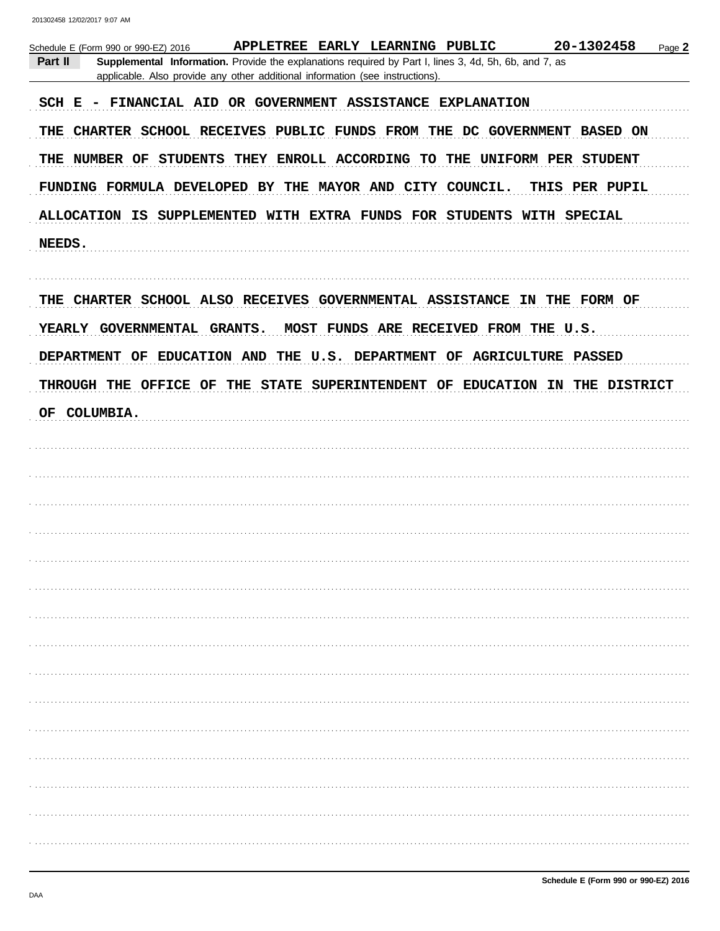| 20-1302458<br>APPLETREE EARLY LEARNING PUBLIC<br>Page 2<br>Schedule E (Form 990 or 990-EZ) 2016<br>Part II<br>Supplemental Information. Provide the explanations required by Part I, lines 3, 4d, 5h, 6b, and 7, as<br>applicable. Also provide any other additional information (see instructions). |
|------------------------------------------------------------------------------------------------------------------------------------------------------------------------------------------------------------------------------------------------------------------------------------------------------|
| SCH E - FINANCIAL AID OR GOVERNMENT ASSISTANCE EXPLANATION                                                                                                                                                                                                                                           |
| CHARTER SCHOOL RECEIVES PUBLIC FUNDS FROM THE DC GOVERNMENT BASED ON<br>THE                                                                                                                                                                                                                          |
| THE NUMBER OF STUDENTS THEY ENROLL ACCORDING TO THE UNIFORM PER STUDENT                                                                                                                                                                                                                              |
| FUNDING FORMULA DEVELOPED BY THE MAYOR AND CITY COUNCIL.<br>THIS PER PUPIL                                                                                                                                                                                                                           |
| ALLOCATION IS SUPPLEMENTED WITH EXTRA FUNDS FOR STUDENTS WITH SPECIAL                                                                                                                                                                                                                                |
| NEEDS.                                                                                                                                                                                                                                                                                               |
|                                                                                                                                                                                                                                                                                                      |
| THE CHARTER SCHOOL ALSO RECEIVES GOVERNMENTAL ASSISTANCE IN THE FORM OF                                                                                                                                                                                                                              |
| YEARLY GOVERNMENTAL GRANTS.<br>MOST FUNDS ARE RECEIVED FROM THE U.S.                                                                                                                                                                                                                                 |
| EDUCATION AND THE U.S. DEPARTMENT OF AGRICULTURE PASSED<br>DEPARTMENT OF                                                                                                                                                                                                                             |
| THROUGH THE OFFICE OF THE STATE SUPERINTENDENT OF EDUCATION IN THE DISTRICT                                                                                                                                                                                                                          |
| COLUMBIA.<br>OF                                                                                                                                                                                                                                                                                      |
|                                                                                                                                                                                                                                                                                                      |
|                                                                                                                                                                                                                                                                                                      |
|                                                                                                                                                                                                                                                                                                      |
|                                                                                                                                                                                                                                                                                                      |
|                                                                                                                                                                                                                                                                                                      |
|                                                                                                                                                                                                                                                                                                      |
|                                                                                                                                                                                                                                                                                                      |
|                                                                                                                                                                                                                                                                                                      |
|                                                                                                                                                                                                                                                                                                      |
|                                                                                                                                                                                                                                                                                                      |
|                                                                                                                                                                                                                                                                                                      |
|                                                                                                                                                                                                                                                                                                      |
|                                                                                                                                                                                                                                                                                                      |
|                                                                                                                                                                                                                                                                                                      |
|                                                                                                                                                                                                                                                                                                      |
|                                                                                                                                                                                                                                                                                                      |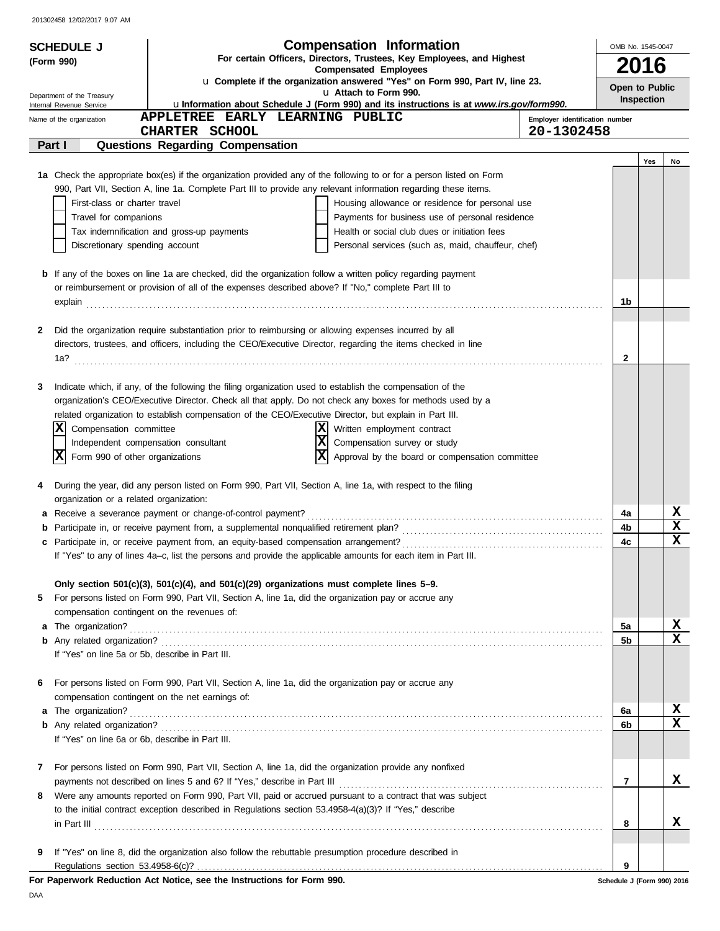| <b>Compensation Information</b><br><b>SCHEDULE J</b><br>For certain Officers, Directors, Trustees, Key Employees, and Highest                                                                                        |                                                                                                                                                     |                                                                                                                      |                                |                            | OMB No. 1545-0047 |                         |  |  |  |
|----------------------------------------------------------------------------------------------------------------------------------------------------------------------------------------------------------------------|-----------------------------------------------------------------------------------------------------------------------------------------------------|----------------------------------------------------------------------------------------------------------------------|--------------------------------|----------------------------|-------------------|-------------------------|--|--|--|
| (Form 990)                                                                                                                                                                                                           |                                                                                                                                                     | <b>Compensated Employees</b>                                                                                         |                                |                            | 2016              |                         |  |  |  |
|                                                                                                                                                                                                                      |                                                                                                                                                     | u Complete if the organization answered "Yes" on Form 990, Part IV, line 23.                                         |                                | Open to Public             |                   |                         |  |  |  |
| Department of the Treasury<br>Internal Revenue Service                                                                                                                                                               |                                                                                                                                                     | u Attach to Form 990.<br>ulnformation about Schedule J (Form 990) and its instructions is at www.irs.gov/form990.    |                                |                            | Inspection        |                         |  |  |  |
| Name of the organization                                                                                                                                                                                             | APPLETREE EARLY LEARNING PUBLIC                                                                                                                     |                                                                                                                      | Employer identification number |                            |                   |                         |  |  |  |
|                                                                                                                                                                                                                      | CHARTER SCHOOL                                                                                                                                      |                                                                                                                      | 20-1302458                     |                            |                   |                         |  |  |  |
| Part I                                                                                                                                                                                                               | Questions Regarding Compensation                                                                                                                    |                                                                                                                      |                                |                            |                   |                         |  |  |  |
|                                                                                                                                                                                                                      |                                                                                                                                                     |                                                                                                                      |                                |                            | Yes               | No                      |  |  |  |
|                                                                                                                                                                                                                      |                                                                                                                                                     | 1a Check the appropriate box(es) if the organization provided any of the following to or for a person listed on Form |                                |                            |                   |                         |  |  |  |
|                                                                                                                                                                                                                      |                                                                                                                                                     | 990, Part VII, Section A, line 1a. Complete Part III to provide any relevant information regarding these items.      |                                |                            |                   |                         |  |  |  |
| First-class or charter travel                                                                                                                                                                                        |                                                                                                                                                     | Housing allowance or residence for personal use                                                                      |                                |                            |                   |                         |  |  |  |
| Travel for companions                                                                                                                                                                                                |                                                                                                                                                     | Payments for business use of personal residence                                                                      |                                |                            |                   |                         |  |  |  |
|                                                                                                                                                                                                                      | Tax indemnification and gross-up payments                                                                                                           | Health or social club dues or initiation fees                                                                        |                                |                            |                   |                         |  |  |  |
| Discretionary spending account                                                                                                                                                                                       |                                                                                                                                                     | Personal services (such as, maid, chauffeur, chef)                                                                   |                                |                            |                   |                         |  |  |  |
|                                                                                                                                                                                                                      | <b>b</b> If any of the boxes on line 1a are checked, did the organization follow a written policy regarding payment                                 |                                                                                                                      |                                |                            |                   |                         |  |  |  |
|                                                                                                                                                                                                                      | or reimbursement or provision of all of the expenses described above? If "No," complete Part III to                                                 |                                                                                                                      |                                |                            |                   |                         |  |  |  |
| explain                                                                                                                                                                                                              |                                                                                                                                                     |                                                                                                                      |                                | 1b                         |                   |                         |  |  |  |
|                                                                                                                                                                                                                      |                                                                                                                                                     |                                                                                                                      |                                |                            |                   |                         |  |  |  |
| 2                                                                                                                                                                                                                    | Did the organization require substantiation prior to reimbursing or allowing expenses incurred by all                                               |                                                                                                                      |                                |                            |                   |                         |  |  |  |
|                                                                                                                                                                                                                      |                                                                                                                                                     | directors, trustees, and officers, including the CEO/Executive Director, regarding the items checked in line         |                                |                            |                   |                         |  |  |  |
| 1a?                                                                                                                                                                                                                  |                                                                                                                                                     |                                                                                                                      |                                | 2                          |                   |                         |  |  |  |
|                                                                                                                                                                                                                      |                                                                                                                                                     |                                                                                                                      |                                |                            |                   |                         |  |  |  |
| 3                                                                                                                                                                                                                    | Indicate which, if any, of the following the filing organization used to establish the compensation of the                                          |                                                                                                                      |                                |                            |                   |                         |  |  |  |
|                                                                                                                                                                                                                      |                                                                                                                                                     | organization's CEO/Executive Director. Check all that apply. Do not check any boxes for methods used by a            |                                |                            |                   |                         |  |  |  |
| ΙXΙ                                                                                                                                                                                                                  | related organization to establish compensation of the CEO/Executive Director, but explain in Part III.                                              | X                                                                                                                    |                                |                            |                   |                         |  |  |  |
| Compensation committee                                                                                                                                                                                               | Independent compensation consultant                                                                                                                 | Written employment contract<br>$ \mathbf{x} $<br>Compensation survey or study                                        |                                |                            |                   |                         |  |  |  |
| $\overline{\textbf{x}}$<br>Form 990 of other organizations                                                                                                                                                           |                                                                                                                                                     | X<br>Approval by the board or compensation committee                                                                 |                                |                            |                   |                         |  |  |  |
|                                                                                                                                                                                                                      |                                                                                                                                                     |                                                                                                                      |                                |                            |                   |                         |  |  |  |
|                                                                                                                                                                                                                      | During the year, did any person listed on Form 990, Part VII, Section A, line 1a, with respect to the filing                                        |                                                                                                                      |                                |                            |                   |                         |  |  |  |
| organization or a related organization:                                                                                                                                                                              |                                                                                                                                                     |                                                                                                                      |                                |                            |                   |                         |  |  |  |
|                                                                                                                                                                                                                      | a Receive a severance payment or change-of-control payment?                                                                                         |                                                                                                                      |                                | 4a                         |                   | X                       |  |  |  |
| b                                                                                                                                                                                                                    | Participate in, or receive payment from, a supplemental nonqualified retirement plan?                                                               |                                                                                                                      |                                | 4b                         |                   | X                       |  |  |  |
|                                                                                                                                                                                                                      |                                                                                                                                                     |                                                                                                                      |                                | 4c                         |                   | $\mathbf x$             |  |  |  |
|                                                                                                                                                                                                                      | If "Yes" to any of lines 4a-c, list the persons and provide the applicable amounts for each item in Part III.                                       |                                                                                                                      |                                |                            |                   |                         |  |  |  |
|                                                                                                                                                                                                                      |                                                                                                                                                     |                                                                                                                      |                                |                            |                   |                         |  |  |  |
|                                                                                                                                                                                                                      | Only section 501(c)(3), 501(c)(4), and 501(c)(29) organizations must complete lines $5-9$ .                                                         |                                                                                                                      |                                |                            |                   |                         |  |  |  |
| 5                                                                                                                                                                                                                    | For persons listed on Form 990, Part VII, Section A, line 1a, did the organization pay or accrue any<br>compensation contingent on the revenues of: |                                                                                                                      |                                |                            |                   |                         |  |  |  |
| a The organization?                                                                                                                                                                                                  |                                                                                                                                                     |                                                                                                                      |                                | 5a                         |                   | X                       |  |  |  |
|                                                                                                                                                                                                                      |                                                                                                                                                     |                                                                                                                      |                                | 5b                         |                   | $\mathbf{x}$            |  |  |  |
| If "Yes" on line 5a or 5b, describe in Part III.                                                                                                                                                                     |                                                                                                                                                     |                                                                                                                      |                                |                            |                   |                         |  |  |  |
|                                                                                                                                                                                                                      |                                                                                                                                                     |                                                                                                                      |                                |                            |                   |                         |  |  |  |
| 6                                                                                                                                                                                                                    | For persons listed on Form 990, Part VII, Section A, line 1a, did the organization pay or accrue any                                                |                                                                                                                      |                                |                            |                   |                         |  |  |  |
|                                                                                                                                                                                                                      | compensation contingent on the net earnings of:                                                                                                     |                                                                                                                      |                                |                            |                   |                         |  |  |  |
| a The organization?                                                                                                                                                                                                  |                                                                                                                                                     |                                                                                                                      |                                | 6a                         |                   | x                       |  |  |  |
|                                                                                                                                                                                                                      |                                                                                                                                                     |                                                                                                                      |                                | 6b                         |                   | $\overline{\mathbf{x}}$ |  |  |  |
| If "Yes" on line 6a or 6b, describe in Part III.                                                                                                                                                                     |                                                                                                                                                     |                                                                                                                      |                                |                            |                   |                         |  |  |  |
|                                                                                                                                                                                                                      |                                                                                                                                                     |                                                                                                                      |                                |                            |                   |                         |  |  |  |
| 7                                                                                                                                                                                                                    | For persons listed on Form 990, Part VII, Section A, line 1a, did the organization provide any nonfixed                                             |                                                                                                                      |                                | 7                          |                   | x                       |  |  |  |
| 8                                                                                                                                                                                                                    |                                                                                                                                                     |                                                                                                                      |                                |                            |                   |                         |  |  |  |
| Were any amounts reported on Form 990, Part VII, paid or accrued pursuant to a contract that was subject<br>to the initial contract exception described in Regulations section $53.4958-4(a)(3)?$ If "Yes," describe |                                                                                                                                                     |                                                                                                                      |                                |                            |                   |                         |  |  |  |
|                                                                                                                                                                                                                      |                                                                                                                                                     | $\ $ n Part III $\ $                                                                                                 |                                | 8                          |                   | x                       |  |  |  |
|                                                                                                                                                                                                                      |                                                                                                                                                     |                                                                                                                      |                                |                            |                   |                         |  |  |  |
| 9                                                                                                                                                                                                                    | If "Yes" on line 8, did the organization also follow the rebuttable presumption procedure described in                                              |                                                                                                                      |                                |                            |                   |                         |  |  |  |
|                                                                                                                                                                                                                      |                                                                                                                                                     |                                                                                                                      |                                | 9                          |                   |                         |  |  |  |
|                                                                                                                                                                                                                      | For Paperwork Reduction Act Notice, see the Instructions for Form 990.                                                                              |                                                                                                                      |                                | Schedule J (Form 990) 2016 |                   |                         |  |  |  |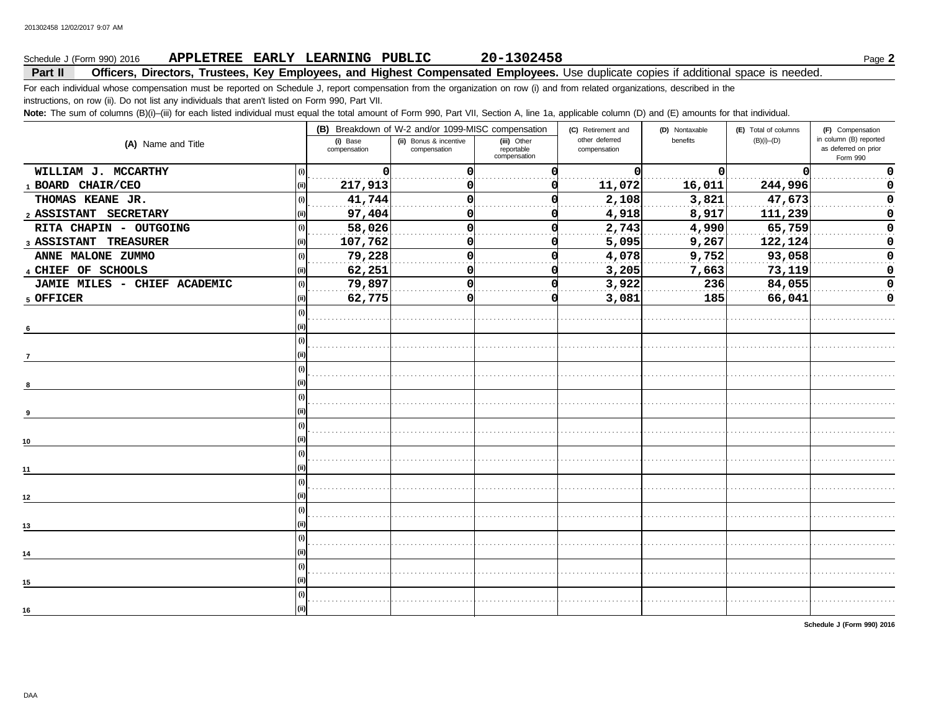### Schedule J (Form 990) 2016 Page **2 APPLETREE EARLY LEARNING PUBLIC 20-1302458**

#### Part II **Officers, Directors, Trustees, Key Employees, and Highest Compensated Employees. Use duplicate copies if additional space is needed.**

For each individual whose compensation must be reported on Schedule J, report compensation from the organization on row (i) and from related organizations, described in the instructions, on row (ii). Do not list any individuals that aren't listed on Form 990, Part VII.

Note: The sum of columns (B)(i)–(iii) for each listed individual must equal the total amount of Form 990, Part VII, Section A, line 1a, applicable column (D) and (E) amounts for that individual.

|                              |                          | (B) Breakdown of W-2 and/or 1099-MISC compensation |                                           | (C) Retirement and             | (D) Nontaxable | (E) Total of columns | (F) Compensation                                           |
|------------------------------|--------------------------|----------------------------------------------------|-------------------------------------------|--------------------------------|----------------|----------------------|------------------------------------------------------------|
| (A) Name and Title           | (i) Base<br>compensation | (ii) Bonus & incentive<br>compensation             | (iii) Other<br>reportable<br>compensation | other deferred<br>compensation | benefits       | $(B)(i)$ – $(D)$     | in column (B) reported<br>as deferred on prior<br>Form 990 |
| WILLIAM J. MCCARTHY          |                          |                                                    |                                           |                                |                |                      |                                                            |
| 1 BOARD CHAIR/CEO            | 217,913<br>(i)           |                                                    |                                           | 11,072                         | 16,011         | 244,996              |                                                            |
| THOMAS KEANE JR.             | 41,744<br>(i)            |                                                    |                                           | 2,108                          | 3,821          | 47,673               |                                                            |
| 2 ASSISTANT SECRETARY        | 97,404                   |                                                    |                                           | 4,918                          | 8,917          | 111,239              |                                                            |
| RITA CHAPIN - OUTGOING       | 58,026<br>(i)            |                                                    |                                           | 2,743                          | 4,990          | 65,759               |                                                            |
| 3 ASSISTANT TREASURER        | 107,762                  |                                                    |                                           | 5,095                          | 9,267          | 122,124              |                                                            |
| ANNE MALONE ZUMMO            | 79,228<br>(i)            |                                                    |                                           | 4,078                          | 9,752          | 93,058               |                                                            |
| 4 CHIEF OF SCHOOLS           | 62,251                   |                                                    |                                           | 3,205                          | 7,663          | 73,119               | 0                                                          |
| JAMIE MILES - CHIEF ACADEMIC | 79,897<br>(i)            |                                                    |                                           | 3,922                          | 236            | 84,055               | $\Omega$                                                   |
| 5 OFFICER                    | 62,775                   |                                                    |                                           | 3,081                          | 185            | 66,041               | $\Omega$                                                   |
|                              |                          |                                                    |                                           |                                |                |                      |                                                            |
|                              |                          |                                                    |                                           |                                |                |                      |                                                            |
|                              |                          |                                                    |                                           |                                |                |                      |                                                            |
| $\overline{7}$               |                          |                                                    |                                           |                                |                |                      |                                                            |
|                              |                          |                                                    |                                           |                                |                |                      |                                                            |
|                              |                          |                                                    |                                           |                                |                |                      |                                                            |
|                              |                          |                                                    |                                           |                                |                |                      |                                                            |
|                              |                          |                                                    |                                           |                                |                |                      |                                                            |
|                              |                          |                                                    |                                           |                                |                |                      |                                                            |
| 10                           |                          |                                                    |                                           |                                |                |                      |                                                            |
|                              |                          |                                                    |                                           |                                |                |                      |                                                            |
| 11                           |                          |                                                    |                                           |                                |                |                      |                                                            |
|                              |                          |                                                    |                                           |                                |                |                      |                                                            |
| 12                           |                          |                                                    |                                           |                                |                |                      |                                                            |
|                              |                          |                                                    |                                           |                                |                |                      |                                                            |
| 13                           |                          |                                                    |                                           |                                |                |                      |                                                            |
|                              |                          |                                                    |                                           |                                |                |                      |                                                            |
| 14                           |                          |                                                    |                                           |                                |                |                      |                                                            |
|                              |                          |                                                    |                                           |                                |                |                      |                                                            |
| 15                           |                          |                                                    |                                           |                                |                |                      |                                                            |
|                              |                          |                                                    |                                           |                                |                |                      |                                                            |
| 16                           |                          |                                                    |                                           |                                |                |                      |                                                            |
|                              |                          |                                                    |                                           |                                |                |                      |                                                            |

**Schedule J (Form 990) 2016**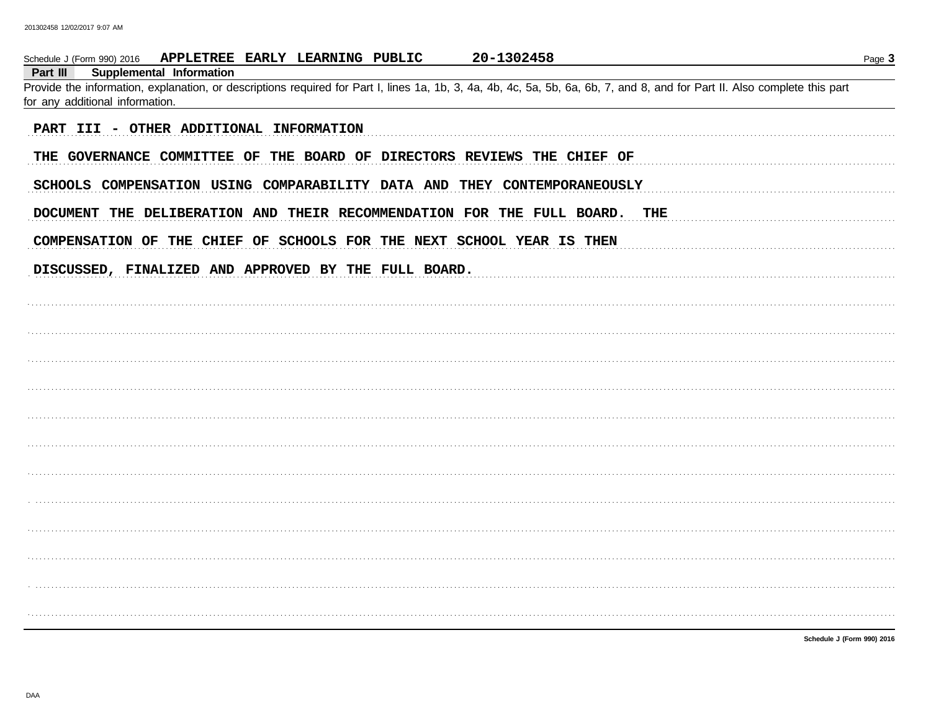| 20-1302458<br>APPLETREE EARLY LEARNING PUBLIC<br>Schedule J (Form 990) 2016                                                                                                | Page 3                     |
|----------------------------------------------------------------------------------------------------------------------------------------------------------------------------|----------------------------|
| Supplemental Information<br>Part III                                                                                                                                       |                            |
| Provide the information, explanation, or descriptions required for Part I, lines 1a, 1b, 3, 4a, 4b, 4c, 5a, 5b, 6a, 6b, 7, and 8, and for Part II. Also complete this part |                            |
| for any additional information.                                                                                                                                            |                            |
| PART III - OTHER ADDITIONAL INFORMATION                                                                                                                                    |                            |
| THE GOVERNANCE COMMITTEE OF THE BOARD OF DIRECTORS REVIEWS THE CHIEF OF                                                                                                    |                            |
| SCHOOLS COMPENSATION USING COMPARABILITY DATA AND THEY CONTEMPORANEOUSLY                                                                                                   |                            |
| DOCUMENT THE DELIBERATION AND THEIR RECOMMENDATION FOR THE FULL BOARD.                                                                                                     | THE                        |
| COMPENSATION OF THE CHIEF OF SCHOOLS FOR THE NEXT SCHOOL YEAR IS THEN                                                                                                      |                            |
| DISCUSSED, FINALIZED AND APPROVED BY THE FULL BOARD.                                                                                                                       |                            |
|                                                                                                                                                                            |                            |
|                                                                                                                                                                            |                            |
|                                                                                                                                                                            |                            |
|                                                                                                                                                                            |                            |
|                                                                                                                                                                            |                            |
|                                                                                                                                                                            |                            |
|                                                                                                                                                                            |                            |
|                                                                                                                                                                            |                            |
|                                                                                                                                                                            |                            |
|                                                                                                                                                                            |                            |
|                                                                                                                                                                            |                            |
|                                                                                                                                                                            |                            |
|                                                                                                                                                                            |                            |
|                                                                                                                                                                            | Schedule J (Form 990) 2016 |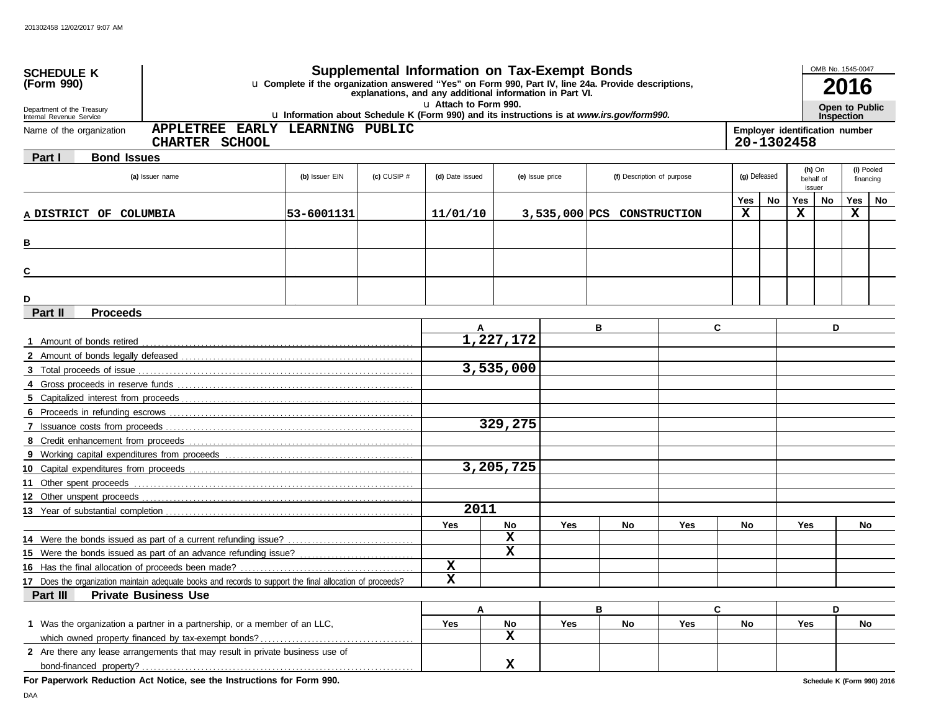| <b>SCHEDULE K</b>                |                                                                                                           |                       |               | <b>Supplemental Information on Tax-Exempt Bonds</b> |                                                                                                                                                              |                            |   |                            |     |          |              |                                              |                       | OMB No. 1545-0047 |                         |  |  |
|----------------------------------|-----------------------------------------------------------------------------------------------------------|-----------------------|---------------|-----------------------------------------------------|--------------------------------------------------------------------------------------------------------------------------------------------------------------|----------------------------|---|----------------------------|-----|----------|--------------|----------------------------------------------|-----------------------|-------------------|-------------------------|--|--|
| (Form 990)                       |                                                                                                           |                       |               |                                                     | u Complete if the organization answered "Yes" on Form 990, Part IV, line 24a. Provide descriptions, explanations, and any additional information in Part VI. |                            |   |                            |     |          |              |                                              | 2016                  |                   |                         |  |  |
| Department of the Treasury       |                                                                                                           |                       |               |                                                     | u Attach to Form 990.<br>u Information about Schedule K (Form 990) and its instructions is at www.irs.gov/form990.                                           |                            |   |                            |     |          |              |                                              | <b>Open to Public</b> |                   |                         |  |  |
| Internal Revenue Service         |                                                                                                           |                       |               |                                                     |                                                                                                                                                              |                            |   |                            |     |          |              |                                              | <b>Inspection</b>     |                   |                         |  |  |
| Name of the organization         | <b>APPLETREE</b><br>CHARTER SCHOOL                                                                        | EARLY LEARNING PUBLIC |               |                                                     |                                                                                                                                                              |                            |   |                            |     |          |              | Employer identification number<br>20-1302458 |                       |                   |                         |  |  |
| Part I<br><b>Bond Issues</b>     |                                                                                                           |                       |               |                                                     |                                                                                                                                                              |                            |   |                            |     |          |              |                                              |                       |                   |                         |  |  |
|                                  | (a) Issuer name                                                                                           | (b) Issuer EIN        | (c) CUSIP $#$ | (d) Date issued                                     |                                                                                                                                                              | (e) Issue price            |   | (f) Description of purpose |     |          | (g) Defeased |                                              | $(h)$ On<br>behalf of |                   | (i) Pooled<br>financing |  |  |
|                                  |                                                                                                           |                       |               |                                                     |                                                                                                                                                              |                            |   |                            |     |          |              |                                              | issuer                |                   |                         |  |  |
| A DISTRICT OF COLUMBIA           |                                                                                                           | 53-6001131            |               | 11/01/10                                            |                                                                                                                                                              | 3,535,000 PCS CONSTRUCTION |   |                            |     | Yes<br>X | No           | Yes<br>X                                     | No                    | Yes<br>х          | No                      |  |  |
| В                                |                                                                                                           |                       |               |                                                     |                                                                                                                                                              |                            |   |                            |     |          |              |                                              |                       |                   |                         |  |  |
| С                                |                                                                                                           |                       |               |                                                     |                                                                                                                                                              |                            |   |                            |     |          |              |                                              |                       |                   |                         |  |  |
|                                  |                                                                                                           |                       |               |                                                     |                                                                                                                                                              |                            |   |                            |     |          |              |                                              |                       |                   |                         |  |  |
| D                                |                                                                                                           |                       |               |                                                     |                                                                                                                                                              |                            |   |                            |     |          |              |                                              |                       |                   |                         |  |  |
| Part II<br><b>Proceeds</b>       |                                                                                                           |                       |               |                                                     |                                                                                                                                                              |                            |   |                            |     |          |              |                                              |                       |                   |                         |  |  |
|                                  |                                                                                                           |                       |               | A                                                   | 1,227,172                                                                                                                                                    |                            | в |                            |     | C        |              |                                              | D                     |                   |                         |  |  |
|                                  |                                                                                                           |                       |               |                                                     |                                                                                                                                                              |                            |   |                            |     |          |              |                                              |                       |                   |                         |  |  |
| <b>3</b> Total proceeds of issue |                                                                                                           |                       |               |                                                     | 3,535,000                                                                                                                                                    |                            |   |                            |     |          |              |                                              |                       |                   |                         |  |  |
|                                  |                                                                                                           |                       |               |                                                     |                                                                                                                                                              |                            |   |                            |     |          |              |                                              |                       |                   |                         |  |  |
|                                  |                                                                                                           |                       |               |                                                     |                                                                                                                                                              |                            |   |                            |     |          |              |                                              |                       |                   |                         |  |  |
|                                  |                                                                                                           |                       |               |                                                     |                                                                                                                                                              |                            |   |                            |     |          |              |                                              |                       |                   |                         |  |  |
| 7 Issuance costs from proceeds.  |                                                                                                           |                       |               | 329,275                                             |                                                                                                                                                              |                            |   |                            |     |          |              |                                              |                       |                   |                         |  |  |
|                                  |                                                                                                           |                       |               |                                                     |                                                                                                                                                              |                            |   |                            |     |          |              |                                              |                       |                   |                         |  |  |
|                                  |                                                                                                           |                       |               |                                                     |                                                                                                                                                              |                            |   |                            |     |          |              |                                              |                       |                   |                         |  |  |
|                                  |                                                                                                           |                       |               |                                                     | 3,205,725                                                                                                                                                    |                            |   |                            |     |          |              |                                              |                       |                   |                         |  |  |
|                                  |                                                                                                           |                       |               |                                                     |                                                                                                                                                              |                            |   |                            |     |          |              |                                              |                       |                   |                         |  |  |
|                                  |                                                                                                           |                       |               |                                                     |                                                                                                                                                              |                            |   |                            |     |          |              |                                              |                       |                   |                         |  |  |
|                                  |                                                                                                           |                       |               | 2011                                                |                                                                                                                                                              |                            |   |                            |     |          |              |                                              |                       |                   |                         |  |  |
|                                  |                                                                                                           |                       |               | Yes                                                 | No                                                                                                                                                           | Yes                        |   | No                         | Yes | No       |              | Yes                                          |                       | No                |                         |  |  |
|                                  |                                                                                                           |                       |               |                                                     | x                                                                                                                                                            |                            |   |                            |     |          |              |                                              |                       |                   |                         |  |  |
|                                  | 15 Were the bonds issued as part of an advance refunding issue?                                           |                       |               |                                                     | $\mathbf X$                                                                                                                                                  |                            |   |                            |     |          |              |                                              |                       |                   |                         |  |  |
|                                  |                                                                                                           |                       |               | x                                                   |                                                                                                                                                              |                            |   |                            |     |          |              |                                              |                       |                   |                         |  |  |
|                                  | 17 Does the organization maintain adequate books and records to support the final allocation of proceeds? |                       |               | X                                                   |                                                                                                                                                              |                            |   |                            |     |          |              |                                              |                       |                   |                         |  |  |
| Part III                         | <b>Private Business Use</b>                                                                               |                       |               |                                                     |                                                                                                                                                              |                            |   |                            |     |          |              |                                              |                       |                   |                         |  |  |
|                                  |                                                                                                           |                       |               | А                                                   |                                                                                                                                                              |                            | B |                            |     | C        |              |                                              | D                     |                   |                         |  |  |
|                                  | 1 Was the organization a partner in a partnership, or a member of an LLC,                                 |                       |               | Yes                                                 | <b>No</b>                                                                                                                                                    | Yes                        |   | No                         | Yes | No       |              | Yes                                          |                       | No                |                         |  |  |
|                                  | which owned property financed by tax-exempt bonds?                                                        |                       |               |                                                     | $\mathbf X$                                                                                                                                                  |                            |   |                            |     |          |              |                                              |                       |                   |                         |  |  |
|                                  | 2 Are there any lease arrangements that may result in private business use of                             |                       |               |                                                     |                                                                                                                                                              |                            |   |                            |     |          |              |                                              |                       |                   |                         |  |  |
|                                  |                                                                                                           |                       |               |                                                     | $\mathbf X$                                                                                                                                                  |                            |   |                            |     |          |              |                                              |                       |                   |                         |  |  |

**For Paperwork Reduction Act Notice, see the Instructions for Form 990.**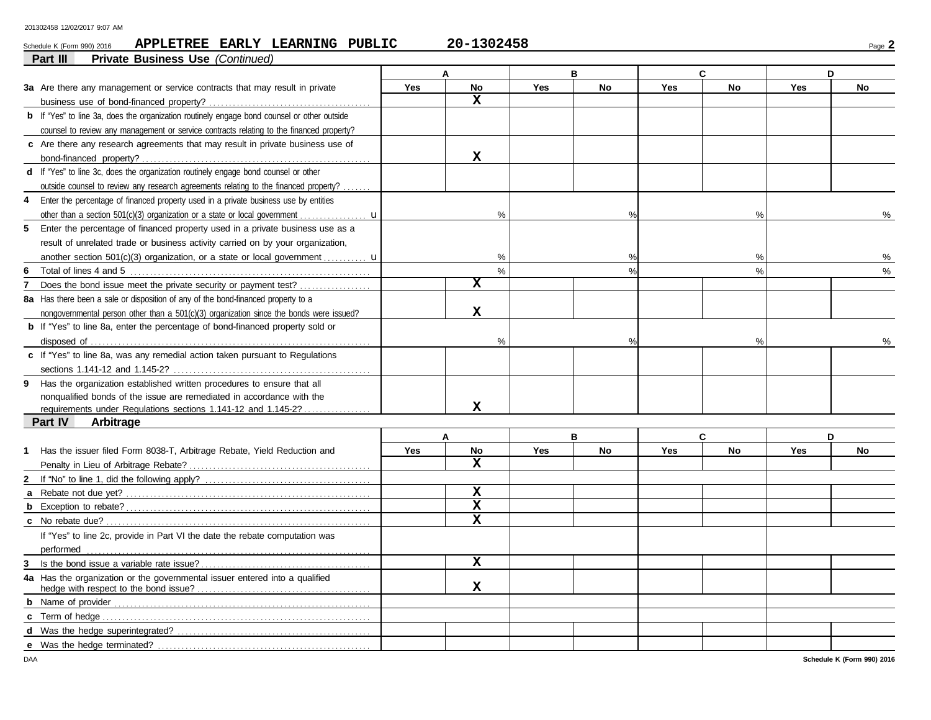#### Schedule K (Form 990) 2016 Page **2 APPLETREE EARLY LEARNING PUBLIC 20-1302458**

|              | Part III<br>Private Business Use (Continued)                                                       |            |                         |            |               |            |              |            |           |
|--------------|----------------------------------------------------------------------------------------------------|------------|-------------------------|------------|---------------|------------|--------------|------------|-----------|
|              |                                                                                                    |            | Δ                       |            | B             |            | $\mathbf c$  |            | D         |
|              | 3a Are there any management or service contracts that may result in private                        | <b>Yes</b> | <b>No</b>               | <b>Yes</b> | No            | <b>Yes</b> | No           | <b>Yes</b> | <b>No</b> |
|              |                                                                                                    |            | X                       |            |               |            |              |            |           |
|              | <b>b</b> If "Yes" to line 3a, does the organization routinely engage bond counsel or other outside |            |                         |            |               |            |              |            |           |
|              | counsel to review any management or service contracts relating to the financed property?           |            |                         |            |               |            |              |            |           |
|              | c Are there any research agreements that may result in private business use of                     |            |                         |            |               |            |              |            |           |
|              |                                                                                                    |            | x                       |            |               |            |              |            |           |
|              | d If "Yes" to line 3c, does the organization routinely engage bond counsel or other                |            |                         |            |               |            |              |            |           |
|              | outside counsel to review any research agreements relating to the financed property?               |            |                         |            |               |            |              |            |           |
| 4            | Enter the percentage of financed property used in a private business use by entities               |            |                         |            |               |            |              |            |           |
|              |                                                                                                    |            | %                       |            | %             |            | %            |            | %         |
|              | 5 Enter the percentage of financed property used in a private business use as a                    |            |                         |            |               |            |              |            |           |
|              | result of unrelated trade or business activity carried on by your organization,                    |            |                         |            |               |            |              |            |           |
|              | another section $501(c)(3)$ organization, or a state or local government                           |            | %                       |            | %             |            | %            |            | %         |
| 6            |                                                                                                    |            | $\%$                    |            | $\frac{0}{0}$ |            | $\%$         |            | $\%$      |
| 7            | Does the bond issue meet the private security or payment test?                                     |            | $\overline{\mathbf{x}}$ |            |               |            |              |            |           |
|              | 8a Has there been a sale or disposition of any of the bond-financed property to a                  |            |                         |            |               |            |              |            |           |
|              | nonqovernmental person other than a $501(c)(3)$ organization since the bonds were issued?          |            | $\mathbf X$             |            |               |            |              |            |           |
|              | <b>b</b> If "Yes" to line 8a, enter the percentage of bond-financed property sold or               |            |                         |            |               |            |              |            |           |
|              |                                                                                                    |            | %                       |            | $\frac{0}{0}$ |            | %            |            | %         |
|              | c If "Yes" to line 8a, was any remedial action taken pursuant to Regulations                       |            |                         |            |               |            |              |            |           |
|              |                                                                                                    |            |                         |            |               |            |              |            |           |
|              | 9 Has the organization established written procedures to ensure that all                           |            |                         |            |               |            |              |            |           |
|              | nonqualified bonds of the issue are remediated in accordance with the                              |            |                         |            |               |            |              |            |           |
|              | requirements under Regulations sections 1.141-12 and 1.145-2?                                      |            | x                       |            |               |            |              |            |           |
|              | <b>Part IV</b><br>Arbitrage                                                                        |            |                         |            |               |            |              |            |           |
|              |                                                                                                    |            | A                       |            | B             |            | $\mathbf{C}$ |            | D         |
| 1.           | Has the issuer filed Form 8038-T, Arbitrage Rebate, Yield Reduction and                            | <b>Yes</b> | No                      | <b>Yes</b> | No            | <b>Yes</b> | No           | <b>Yes</b> | <b>No</b> |
|              |                                                                                                    |            | X                       |            |               |            |              |            |           |
| $\mathbf{2}$ |                                                                                                    |            |                         |            |               |            |              |            |           |
|              |                                                                                                    |            | X                       |            |               |            |              |            |           |
|              |                                                                                                    |            | $\mathbf x$             |            |               |            |              |            |           |
|              |                                                                                                    |            | X                       |            |               |            |              |            |           |
|              | If "Yes" to line 2c, provide in Part VI the date the rebate computation was                        |            |                         |            |               |            |              |            |           |
|              |                                                                                                    |            |                         |            |               |            |              |            |           |
| 3            |                                                                                                    |            | $\mathbf x$             |            |               |            |              |            |           |
|              | 4a Has the organization or the governmental issuer entered into a qualified                        |            | x                       |            |               |            |              |            |           |
|              |                                                                                                    |            |                         |            |               |            |              |            |           |
|              |                                                                                                    |            |                         |            |               |            |              |            |           |
|              |                                                                                                    |            |                         |            |               |            |              |            |           |
|              | <b>e</b> Was the hedge terminated?                                                                 |            |                         |            |               |            |              |            |           |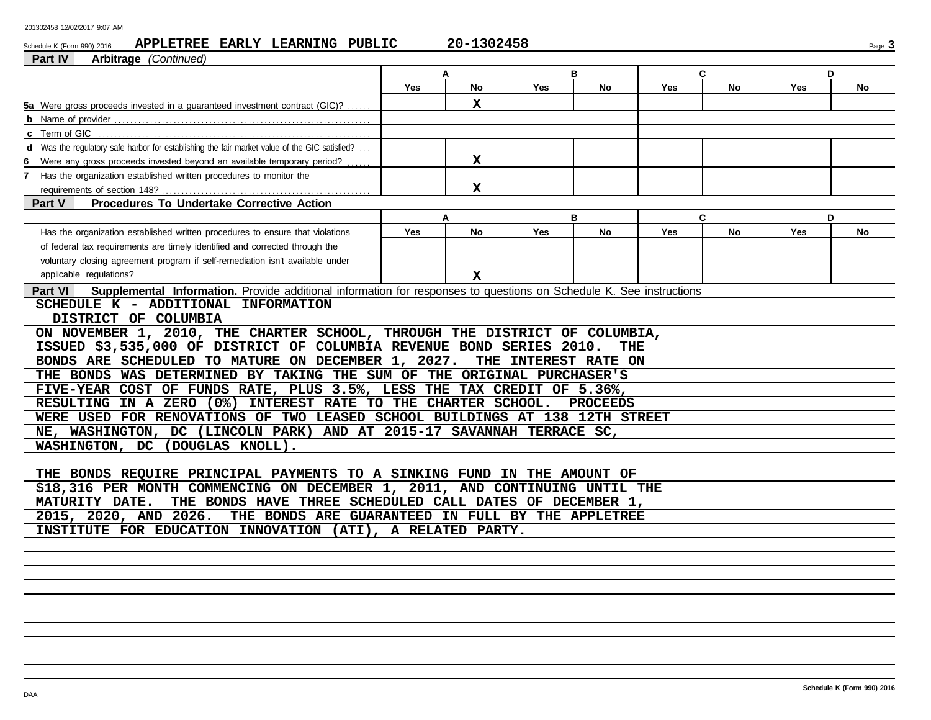#### Schedule K (Form 990) 2016 Page **3 APPLETREE EARLY LEARNING PUBLIC 20-1302458**

| Part IV<br>Arbitrage (Continued)                                                                                                       |       | A               |                          | B               |            | C            | D          |           |
|----------------------------------------------------------------------------------------------------------------------------------------|-------|-----------------|--------------------------|-----------------|------------|--------------|------------|-----------|
|                                                                                                                                        | Yes   | <b>No</b>       | Yes                      | No              | <b>Yes</b> | <b>No</b>    | <b>Yes</b> | No        |
| 5a Were gross proceeds invested in a guaranteed investment contract (GIC)?                                                             |       | $\mathbf{x}$    |                          |                 |            |              |            |           |
| b Name of provider<br><u>manual contracts</u>                                                                                          |       |                 |                          |                 |            |              |            |           |
|                                                                                                                                        |       |                 |                          |                 |            |              |            |           |
| Was the regulatory safe harbor for establishing the fair market value of the GIC satisfied?<br>d                                       |       |                 |                          |                 |            |              |            |           |
| Were any gross proceeds invested beyond an available temporary period?<br>6                                                            |       | $\mathbf{x}$    |                          |                 |            |              |            |           |
| 7 Has the organization established written procedures to monitor the                                                                   |       |                 |                          |                 |            |              |            |           |
|                                                                                                                                        |       | X               |                          |                 |            |              |            |           |
| Procedures To Undertake Corrective Action<br><b>Part V</b>                                                                             |       |                 |                          |                 |            |              |            |           |
|                                                                                                                                        |       | A               |                          | B               |            | $\mathbf{C}$ | D          |           |
| Has the organization established written procedures to ensure that violations                                                          | Yes   | No              | <b>Yes</b>               | <b>No</b>       | Yes        | No           | <b>Yes</b> | <b>No</b> |
| of federal tax requirements are timely identified and corrected through the                                                            |       |                 |                          |                 |            |              |            |           |
| voluntary closing agreement program if self-remediation isn't available under                                                          |       |                 |                          |                 |            |              |            |           |
| applicable regulations?                                                                                                                |       | x               |                          |                 |            |              |            |           |
| Supplemental Information. Provide additional information for responses to questions on Schedule K. See instructions<br>Part VI         |       |                 |                          |                 |            |              |            |           |
| SCHEDULE K - ADDITIONAL INFORMATION                                                                                                    |       |                 |                          |                 |            |              |            |           |
| DISTRICT OF COLUMBIA                                                                                                                   |       |                 |                          |                 |            |              |            |           |
| ON NOVEMBER 1, 2010, THE CHARTER SCHOOL, THROUGH THE DISTRICT OF COLUMBIA,                                                             |       |                 |                          |                 |            |              |            |           |
| ISSUED \$3,535,000 OF DISTRICT OF COLUMBIA REVENUE BOND SERIES                                                                         |       |                 |                          | 2010.<br>THE    |            |              |            |           |
| BONDS ARE SCHEDULED TO MATURE ON DECEMBER 1,                                                                                           | 2027. |                 | THE INTEREST RATE ON     |                 |            |              |            |           |
| THE BONDS WAS DETERMINED BY TAKING THE SUM OF                                                                                          |       |                 | THE ORIGINAL PURCHASER'S |                 |            |              |            |           |
| FIVE-YEAR COST OF FUNDS RATE, PLUS 3.5%, LESS THE TAX CREDIT OF 5.36%,<br>INTEREST RATE TO THE<br>RESULTING IN A<br><b>ZERO</b><br>(0) |       | CHARTER SCHOOL. |                          | <b>PROCEEDS</b> |            |              |            |           |
| WERE USED FOR RENOVATIONS OF TWO LEASED SCHOOL BUILDINGS AT 138 12TH STREET                                                            |       |                 |                          |                 |            |              |            |           |
| NE, WASHINGTON, DC (LINCOLN PARK) AND AT 2015-17 SAVANNAH TERRACE SC,                                                                  |       |                 |                          |                 |            |              |            |           |
| (DOUGLAS KNOLL).<br>WASHINGTON, DC                                                                                                     |       |                 |                          |                 |            |              |            |           |
|                                                                                                                                        |       |                 |                          |                 |            |              |            |           |
| THE BONDS REQUIRE PRINCIPAL PAYMENTS TO A SINKING FUND IN THE AMOUNT OF                                                                |       |                 |                          |                 |            |              |            |           |
| \$18,316 PER MONTH COMMENCING ON DECEMBER 1, 2011, AND CONTINUING UNTIL THE                                                            |       |                 |                          |                 |            |              |            |           |
| THE BONDS HAVE THREE SCHEDULED CALL DATES OF DECEMBER 1,<br>MATURITY DATE.                                                             |       |                 |                          |                 |            |              |            |           |
| 2015, 2020, AND 2026.<br>THE BONDS ARE GUARANTEED IN FULL BY THE APPLETREE                                                             |       |                 |                          |                 |            |              |            |           |
| INSTITUTE FOR EDUCATION INNOVATION (ATI), A RELATED PARTY.                                                                             |       |                 |                          |                 |            |              |            |           |
|                                                                                                                                        |       |                 |                          |                 |            |              |            |           |
|                                                                                                                                        |       |                 |                          |                 |            |              |            |           |
|                                                                                                                                        |       |                 |                          |                 |            |              |            |           |
|                                                                                                                                        |       |                 |                          |                 |            |              |            |           |

DAA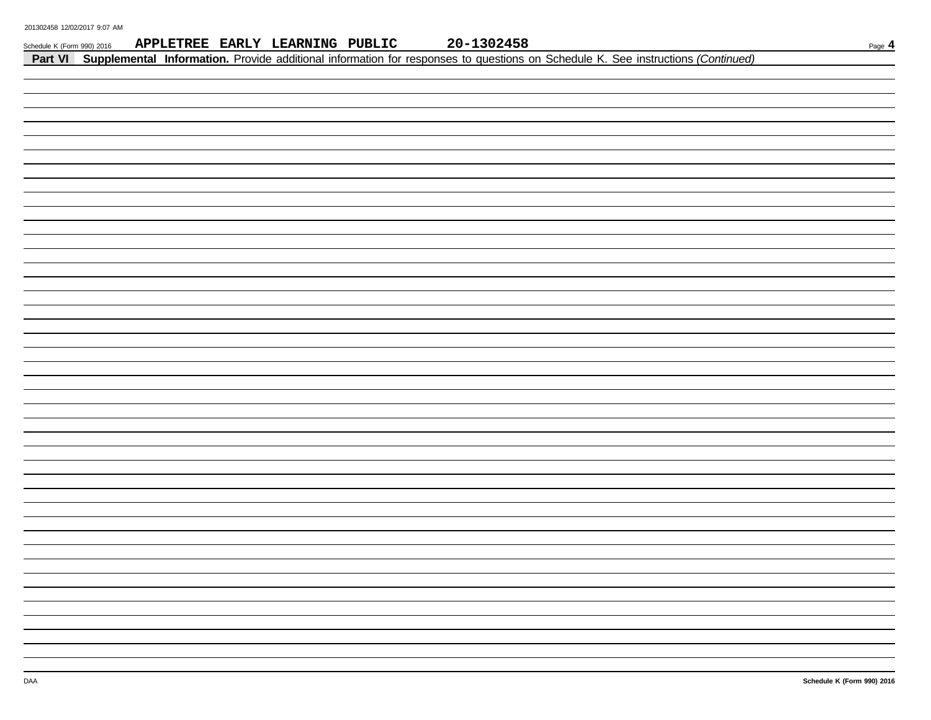| Schedule K (Form 990) 2016 APPLETREE EARLY LEARNING PUBLIC 20-1302458<br>Part VI Supplemental Information. Provide additional information for responses to questions on Schedule K. See instructions <i>(Continued)</i> |  |  |  |  |  | Page 4 |
|-------------------------------------------------------------------------------------------------------------------------------------------------------------------------------------------------------------------------|--|--|--|--|--|--------|
|                                                                                                                                                                                                                         |  |  |  |  |  |        |
|                                                                                                                                                                                                                         |  |  |  |  |  |        |
|                                                                                                                                                                                                                         |  |  |  |  |  |        |
|                                                                                                                                                                                                                         |  |  |  |  |  |        |
|                                                                                                                                                                                                                         |  |  |  |  |  |        |
|                                                                                                                                                                                                                         |  |  |  |  |  |        |
|                                                                                                                                                                                                                         |  |  |  |  |  |        |
|                                                                                                                                                                                                                         |  |  |  |  |  |        |
|                                                                                                                                                                                                                         |  |  |  |  |  |        |
|                                                                                                                                                                                                                         |  |  |  |  |  |        |
|                                                                                                                                                                                                                         |  |  |  |  |  |        |
|                                                                                                                                                                                                                         |  |  |  |  |  |        |
|                                                                                                                                                                                                                         |  |  |  |  |  |        |
|                                                                                                                                                                                                                         |  |  |  |  |  |        |
|                                                                                                                                                                                                                         |  |  |  |  |  |        |
|                                                                                                                                                                                                                         |  |  |  |  |  |        |
|                                                                                                                                                                                                                         |  |  |  |  |  |        |
|                                                                                                                                                                                                                         |  |  |  |  |  |        |
|                                                                                                                                                                                                                         |  |  |  |  |  |        |
|                                                                                                                                                                                                                         |  |  |  |  |  |        |
|                                                                                                                                                                                                                         |  |  |  |  |  |        |
|                                                                                                                                                                                                                         |  |  |  |  |  |        |
|                                                                                                                                                                                                                         |  |  |  |  |  |        |
|                                                                                                                                                                                                                         |  |  |  |  |  |        |
|                                                                                                                                                                                                                         |  |  |  |  |  |        |
|                                                                                                                                                                                                                         |  |  |  |  |  |        |
|                                                                                                                                                                                                                         |  |  |  |  |  |        |
|                                                                                                                                                                                                                         |  |  |  |  |  |        |
|                                                                                                                                                                                                                         |  |  |  |  |  |        |
|                                                                                                                                                                                                                         |  |  |  |  |  |        |
|                                                                                                                                                                                                                         |  |  |  |  |  |        |
|                                                                                                                                                                                                                         |  |  |  |  |  |        |
|                                                                                                                                                                                                                         |  |  |  |  |  |        |
|                                                                                                                                                                                                                         |  |  |  |  |  |        |
|                                                                                                                                                                                                                         |  |  |  |  |  |        |
|                                                                                                                                                                                                                         |  |  |  |  |  |        |
|                                                                                                                                                                                                                         |  |  |  |  |  |        |
|                                                                                                                                                                                                                         |  |  |  |  |  |        |
|                                                                                                                                                                                                                         |  |  |  |  |  |        |
|                                                                                                                                                                                                                         |  |  |  |  |  |        |
|                                                                                                                                                                                                                         |  |  |  |  |  |        |
|                                                                                                                                                                                                                         |  |  |  |  |  |        |
|                                                                                                                                                                                                                         |  |  |  |  |  |        |
|                                                                                                                                                                                                                         |  |  |  |  |  |        |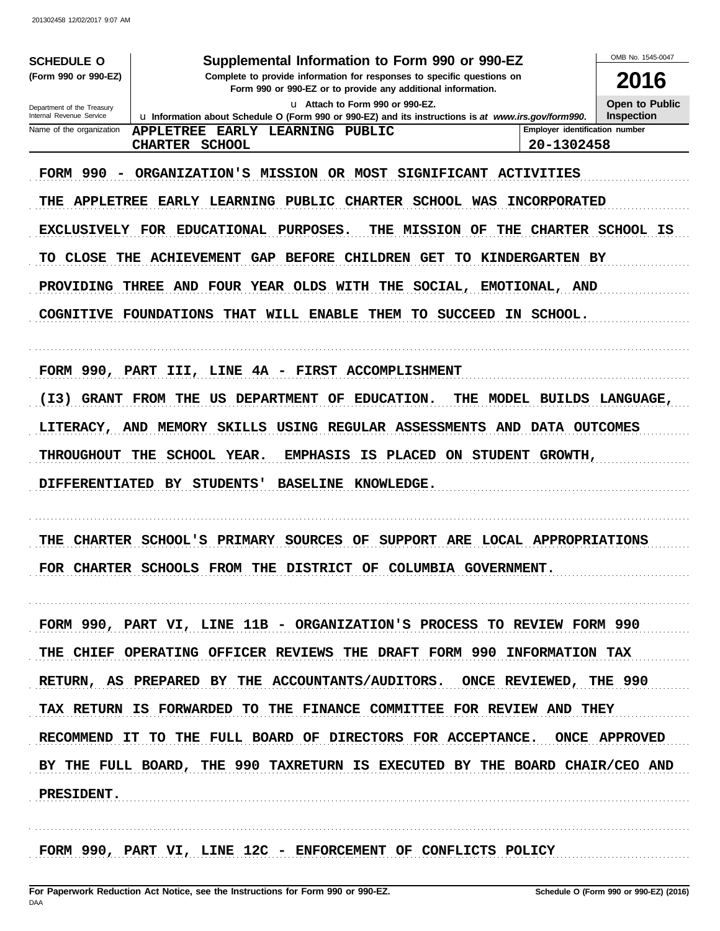| <b>SCHEDULE O</b><br>(Form 990 or 990-EZ)              | Supplemental Information to Form 990 or 990-EZ<br>Complete to provide information for responses to specific questions on                      | OMB No. 1545-0047<br>2016<br><b>Open to Public</b> |                   |
|--------------------------------------------------------|-----------------------------------------------------------------------------------------------------------------------------------------------|----------------------------------------------------|-------------------|
| Department of the Treasury<br>Internal Revenue Service | u Attach to Form 990 or 990-EZ.<br><b>u Information about Schedule O (Form 990 or 990-EZ) and its instructions is at www.irs.gov/form990.</b> |                                                    | <b>Inspection</b> |
| Name of the organization                               | APPLETREE EARLY LEARNING PUBLIC                                                                                                               | Employer identification number                     |                   |
|                                                        | <b>SCHOOL</b><br><b>CHARTER</b>                                                                                                               | 20-1302458                                         |                   |
| <b>FORM 990</b>                                        | ORGANIZATION'S MISSION<br>OR MOST<br><b>SIGNIFICANT</b>                                                                                       | <b>ACTIVITIES</b>                                  |                   |
| <b>APPLETREE</b><br>THE                                | <b>EARLY LEARNING</b><br>PUBLIC<br><b>CHARTER</b><br>SCHOOL WAS                                                                               | <b>INCORPORATED</b>                                |                   |
| <b>EXCLUSIVELY</b>                                     | FOR EDUCATIONAL<br><b>PURPOSES.</b><br>THE<br><b>MISSION</b><br>OF<br>THE                                                                     | CHARTER                                            | SCHOOL IS         |
| CLOSE THE<br>TO.                                       | <b>ACHIEVEMENT</b><br>GAP<br><b>BEFORE</b><br><b>CHILDREN</b><br><b>GET</b><br>TO.                                                            | KINDERGARTEN BY                                    |                   |
| <b>PROVIDING</b>                                       | <b>THREE AND</b><br><b>FOUR YEAR OLDS WITH THE</b><br>SOCIAL,                                                                                 | EMOTIONAL, AND                                     |                   |
|                                                        | <b>COGNITIVE FOUNDATIONS THAT WILL ENABLE</b><br>THEM<br>TO.<br><b>SUCCEED</b><br>IN.                                                         | SCHOOL.                                            |                   |
| FORM 990, PART III,                                    | <b>LINE</b><br><b>FIRST</b><br><b>ACCOMPLISHMENT</b><br>4A                                                                                    |                                                    |                   |
| (I3)<br><b>GRANT</b>                                   | FROM<br>THE<br>US<br><b>DEPARTMENT</b><br>EDUCATION.<br>OF<br>THE                                                                             | MODEL BUILDS                                       | <b>LANGUAGE,</b>  |
| LITERACY,                                              | AND<br><b>MEMORY</b><br><b>SKILLS</b><br>USING REGULAR ASSESSMENTS<br>AND                                                                     | DATA OUTCOMES                                      |                   |
| <b>THROUGHOUT</b>                                      | THE<br>SCHOOL YEAR.<br><b>EMPHASIS</b><br>IS.<br>PLACED ON<br><b>STUDENT</b>                                                                  | GROWTH,                                            |                   |
| <b>DIFFERENTIATED</b>                                  | BY<br><b>STUDENTS'</b><br><b>BASELINE</b><br>KNOWLEDGE.                                                                                       |                                                    |                   |
| <b>CHARTER</b><br>THE                                  | SCHOOL'S<br><b>PRIMARY</b><br><b>SOURCES</b><br>OF<br><b>SUPPORT</b><br>ARE                                                                   | LOCAL APPROPRIATIONS                               |                   |
| <b>CHARTER</b><br>FOR                                  | <b>SCHOOLS FROM</b><br><b>DISTRICT</b><br>COLUMBIA<br><b>GOVERNMENT.</b><br>-THE<br>OF                                                        |                                                    |                   |
|                                                        | FORM 990, PART VI, LINE 11B - ORGANIZATION'S PROCESS TO REVIEW FORM 990                                                                       |                                                    |                   |
|                                                        | THE CHIEF OPERATING OFFICER REVIEWS THE DRAFT FORM 990 INFORMATION TAX                                                                        |                                                    |                   |
|                                                        | RETURN, AS PREPARED BY THE ACCOUNTANTS/AUDITORS. ONCE REVIEWED, THE 990                                                                       |                                                    |                   |
|                                                        | TAX RETURN IS FORWARDED TO THE FINANCE COMMITTEE FOR REVIEW AND THEY                                                                          |                                                    |                   |
|                                                        | RECOMMEND IT TO THE FULL BOARD OF DIRECTORS FOR ACCEPTANCE. ONCE APPROVED                                                                     |                                                    |                   |
|                                                        | BY THE FULL BOARD, THE 990 TAXRETURN IS EXECUTED BY THE BOARD CHAIR/CEO AND                                                                   |                                                    |                   |
| PRESIDENT.                                             |                                                                                                                                               |                                                    |                   |
|                                                        |                                                                                                                                               |                                                    |                   |

FORM 990, PART VI, LINE 12C - ENFORCEMENT OF CONFLICTS POLICY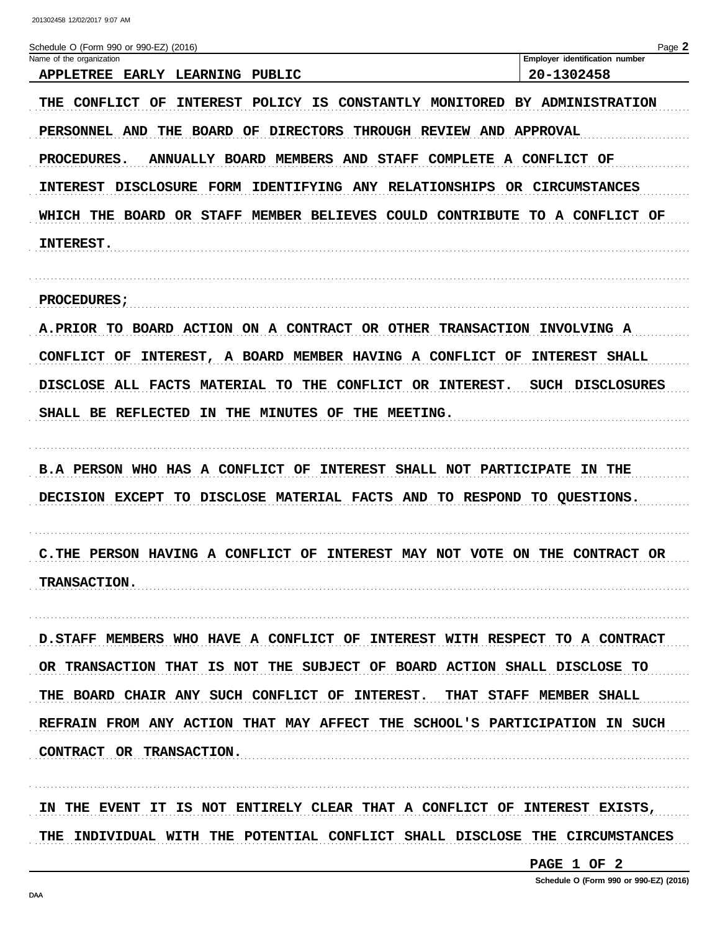| Schedule O (Form 990 or 990-EZ) (2016)<br>Name of the organization            | Page 2<br>Employer identification number         |
|-------------------------------------------------------------------------------|--------------------------------------------------|
| APPLETREE EARLY LEARNING PUBLIC                                               | 20-1302458                                       |
| THE CONFLICT OF<br><b>INTEREST</b>                                            | POLICY IS CONSTANTLY MONITORED BY ADMINISTRATION |
| THE BOARD OF DIRECTORS THROUGH REVIEW AND APPROVAL<br>PERSONNEL AND           |                                                  |
| ANNUALLY BOARD MEMBERS AND STAFF COMPLETE A CONFLICT OF<br><b>PROCEDURES.</b> |                                                  |
| <b>INTEREST DISCLOSURE FORM</b><br>IDENTIFYING ANY RELATIONSHIPS              | OR CIRCUMSTANCES                                 |
| WHICH THE BOARD OR STAFF MEMBER BELIEVES COULD CONTRIBUTE TO A CONFLICT OF    |                                                  |
| <b>INTEREST.</b>                                                              |                                                  |
|                                                                               |                                                  |
| <b>PROCEDURES;</b>                                                            |                                                  |
| A.PRIOR TO BOARD ACTION ON A CONTRACT OR OTHER TRANSACTION INVOLVING A        |                                                  |
| INTEREST, A BOARD MEMBER HAVING A CONFLICT OF<br><b>CONFLICT</b><br>OF        | INTEREST SHALL                                   |
| DISCLOSE ALL FACTS MATERIAL<br>THE<br>CONFLICT OR INTEREST.<br>TO .           | SUCH DISCLOSURES                                 |
| SHALL BE REFLECTED IN THE MINUTES OF THE MEETING.                             |                                                  |
|                                                                               |                                                  |
| B.A PERSON WHO HAS A CONFLICT OF                                              | INTEREST SHALL NOT PARTICIPATE IN THE            |
| DECISION EXCEPT<br>TO DISCLOSE MATERIAL FACTS AND TO RESPOND TO QUESTIONS.    |                                                  |
| C.THE PERSON HAVING A CONFLICT OF INTEREST MAY NOT VOTE ON THE CONTRACT OR    |                                                  |
| TRANSACTION.                                                                  |                                                  |
|                                                                               |                                                  |
| D. STAFF MEMBERS WHO HAVE A CONFLICT OF INTEREST WITH RESPECT TO A CONTRACT   |                                                  |
| OR TRANSACTION THAT IS NOT THE SUBJECT OF BOARD ACTION SHALL DISCLOSE TO      |                                                  |
| THE BOARD CHAIR ANY SUCH CONFLICT OF INTEREST. THAT STAFF MEMBER SHALL        |                                                  |
| REFRAIN FROM ANY ACTION THAT MAY AFFECT THE SCHOOL'S PARTICIPATION IN SUCH    |                                                  |
| CONTRACT OR TRANSACTION.                                                      |                                                  |

IN THE EVENT IT IS NOT ENTIRELY CLEAR THAT A CONFLICT OF INTEREST EXISTS, THE INDIVIDUAL WITH THE POTENTIAL CONFLICT SHALL DISCLOSE THE CIRCUMSTANCES

PAGE 1 OF 2

Schedule O (Form 990 or 990-EZ) (2016)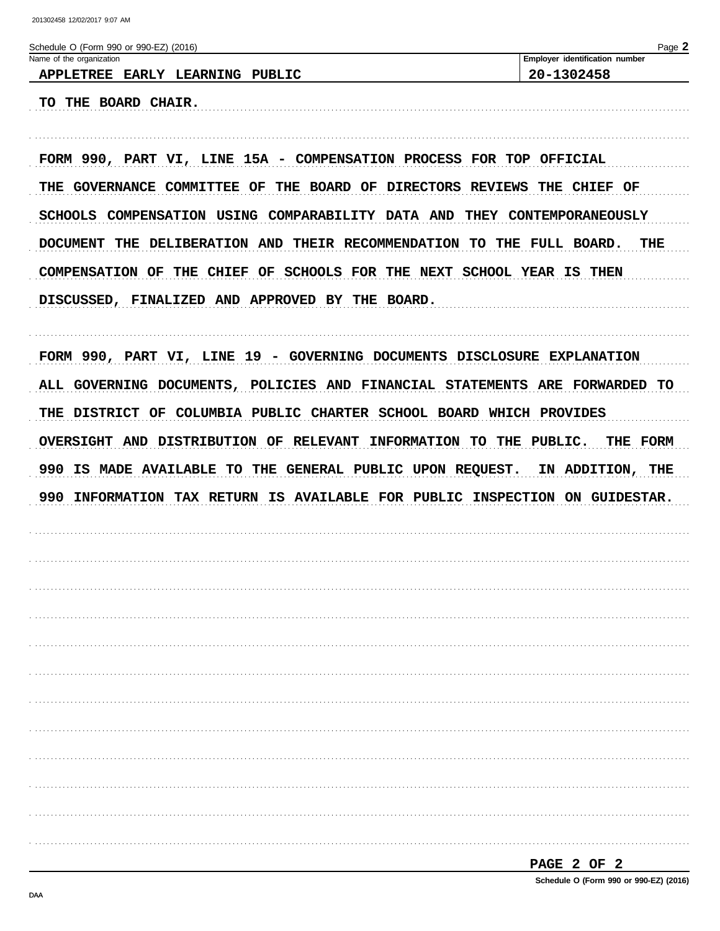| Name of the organization<br>APPLETREE EARLY LEARNING PUBLIC                    | Employer identification number<br>20-1302458   |
|--------------------------------------------------------------------------------|------------------------------------------------|
| TO THE BOARD CHAIR.                                                            |                                                |
|                                                                                |                                                |
| FORM 990, PART VI, LINE 15A - COMPENSATION PROCESS FOR TOP OFFICIAL            |                                                |
| THE BOARD OF DIRECTORS REVIEWS<br>THE GOVERNANCE COMMITTEE OF                  | THE CHIEF OF                                   |
| SCHOOLS COMPENSATION USING COMPARABILITY DATA AND THEY CONTEMPORANEOUSLY       |                                                |
| THE DELIBERATION AND<br><b>DOCUMENT</b>                                        | THEIR RECOMMENDATION TO THE FULL BOARD.<br>THE |
| <b>COMPENSATION OF</b><br><b>THE CHIEF</b><br>OF.                              | SCHOOLS FOR THE NEXT SCHOOL YEAR IS THEN       |
| DISCUSSED, FINALIZED AND APPROVED BY THE BOARD.                                |                                                |
|                                                                                |                                                |
| FORM 990, PART VI, LINE 19 - GOVERNING DOCUMENTS DISCLOSURE EXPLANATION        |                                                |
| ALL GOVERNING DOCUMENTS, POLICIES AND FINANCIAL STATEMENTS ARE FORWARDED TO    |                                                |
| THE DISTRICT OF COLUMBIA PUBLIC CHARTER SCHOOL BOARD WHICH PROVIDES            |                                                |
| OVERSIGHT AND DISTRIBUTION OF RELEVANT                                         | INFORMATION TO THE<br>PUBLIC.<br>THE FORM      |
| 990 IS MADE AVAILABLE TO THE<br>GENERAL PUBLIC UPON REQUEST.                   | IN ADDITION, THE                               |
| 990<br>INFORMATION TAX RETURN IS AVAILABLE FOR PUBLIC INSPECTION ON GUIDESTAR. |                                                |
|                                                                                |                                                |
|                                                                                |                                                |
|                                                                                |                                                |
|                                                                                |                                                |
|                                                                                |                                                |
|                                                                                |                                                |
|                                                                                |                                                |
|                                                                                |                                                |
|                                                                                |                                                |
|                                                                                |                                                |
|                                                                                |                                                |
|                                                                                | PAGE 2 OF 2                                    |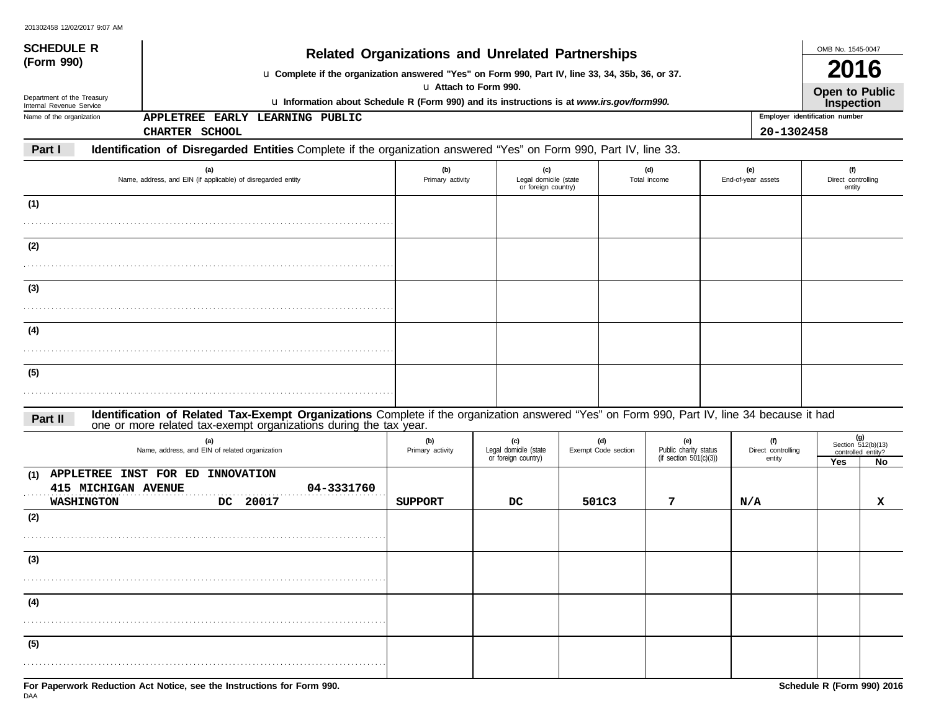| <b>SCHEDULE R</b>                                                   | <b>Related Organizations and Unrelated Partnerships</b>                                                                                     |                                                                                                  |                                                     |  |       |                            |                              |  |                           | OMB No. 1545-0047<br>2016           |                                          |  |  |
|---------------------------------------------------------------------|---------------------------------------------------------------------------------------------------------------------------------------------|--------------------------------------------------------------------------------------------------|-----------------------------------------------------|--|-------|----------------------------|------------------------------|--|---------------------------|-------------------------------------|------------------------------------------|--|--|
| (Form 990)                                                          |                                                                                                                                             | u Complete if the organization answered "Yes" on Form 990, Part IV, line 33, 34, 35b, 36, or 37. |                                                     |  |       |                            |                              |  |                           |                                     |                                          |  |  |
| Department of the Treasury<br>Internal Revenue Service              | u Attach to Form 990.<br>Lu Information about Schedule R (Form 990) and its instructions is at www.irs.gov/form990.                         |                                                                                                  |                                                     |  |       |                            |                              |  |                           |                                     |                                          |  |  |
| Name of the organization<br>APPLETREE EARLY LEARNING PUBLIC         |                                                                                                                                             |                                                                                                  |                                                     |  |       |                            |                              |  |                           | Employer identification number      |                                          |  |  |
|                                                                     | CHARTER SCHOOL                                                                                                                              |                                                                                                  |                                                     |  |       |                            |                              |  | 20-1302458                |                                     |                                          |  |  |
| Part I                                                              | Identification of Disregarded Entities Complete if the organization answered "Yes" on Form 990, Part IV, line 33.                           |                                                                                                  |                                                     |  |       |                            |                              |  |                           |                                     |                                          |  |  |
| (a)<br>Name, address, and EIN (if applicable) of disregarded entity |                                                                                                                                             | (b)<br>Primary activity                                                                          | (c)<br>Legal domicile (state<br>or foreign country) |  |       |                            | (d)<br>Total income          |  | (e)<br>End-of-year assets | (f)<br>Direct controlling<br>entity |                                          |  |  |
| (1)                                                                 |                                                                                                                                             |                                                                                                  |                                                     |  |       |                            |                              |  |                           |                                     |                                          |  |  |
|                                                                     |                                                                                                                                             |                                                                                                  |                                                     |  |       |                            |                              |  |                           |                                     |                                          |  |  |
| (2)                                                                 |                                                                                                                                             |                                                                                                  |                                                     |  |       |                            |                              |  |                           |                                     |                                          |  |  |
|                                                                     |                                                                                                                                             |                                                                                                  |                                                     |  |       |                            |                              |  |                           |                                     |                                          |  |  |
| (3)                                                                 |                                                                                                                                             |                                                                                                  |                                                     |  |       |                            |                              |  |                           |                                     |                                          |  |  |
|                                                                     |                                                                                                                                             |                                                                                                  |                                                     |  |       |                            |                              |  |                           |                                     |                                          |  |  |
| (4)                                                                 |                                                                                                                                             |                                                                                                  |                                                     |  |       |                            |                              |  |                           |                                     |                                          |  |  |
|                                                                     |                                                                                                                                             |                                                                                                  |                                                     |  |       |                            |                              |  |                           |                                     |                                          |  |  |
| (5)                                                                 |                                                                                                                                             |                                                                                                  |                                                     |  |       |                            |                              |  |                           |                                     |                                          |  |  |
|                                                                     |                                                                                                                                             |                                                                                                  |                                                     |  |       |                            |                              |  |                           |                                     |                                          |  |  |
|                                                                     | Identification of Related Tax-Exempt Organizations Complete if the organization answered "Yes" on Form 990, Part IV, line 34 because it had |                                                                                                  |                                                     |  |       |                            |                              |  |                           |                                     |                                          |  |  |
| Part II                                                             | one or more related tax-exempt organizations during the tax year.                                                                           |                                                                                                  |                                                     |  |       |                            |                              |  |                           |                                     | (g)                                      |  |  |
|                                                                     | (a)<br>Name, address, and EIN of related organization                                                                                       | (b)<br>Primary activity                                                                          | (c)<br>Legal domicile (state                        |  |       | (d)<br>Exempt Code section | (e)<br>Public charity status |  | (f)<br>Direct controlling |                                     | Section 512(b)(13)<br>controlled entity? |  |  |
| (1)                                                                 | APPLETREE INST FOR ED INNOVATION                                                                                                            |                                                                                                  | or foreign country)                                 |  |       |                            | (if section $501(c)(3)$ )    |  | entity                    | Yes                                 | No                                       |  |  |
| 415 MICHIGAN AVENUE                                                 | 04-3331760                                                                                                                                  |                                                                                                  |                                                     |  |       |                            |                              |  |                           |                                     |                                          |  |  |
| <b>WASHINGTON</b>                                                   | 20017<br>DC                                                                                                                                 | <b>SUPPORT</b>                                                                                   | DC                                                  |  | 501C3 |                            | 7                            |  | N/A                       |                                     | x                                        |  |  |
| (2)                                                                 |                                                                                                                                             |                                                                                                  |                                                     |  |       |                            |                              |  |                           |                                     |                                          |  |  |
|                                                                     |                                                                                                                                             |                                                                                                  |                                                     |  |       |                            |                              |  |                           |                                     |                                          |  |  |
| (3)                                                                 |                                                                                                                                             |                                                                                                  |                                                     |  |       |                            |                              |  |                           |                                     |                                          |  |  |
|                                                                     |                                                                                                                                             |                                                                                                  |                                                     |  |       |                            |                              |  |                           |                                     |                                          |  |  |
| (4)                                                                 |                                                                                                                                             |                                                                                                  |                                                     |  |       |                            |                              |  |                           |                                     |                                          |  |  |
|                                                                     |                                                                                                                                             |                                                                                                  |                                                     |  |       |                            |                              |  |                           |                                     |                                          |  |  |
| (5)                                                                 |                                                                                                                                             |                                                                                                  |                                                     |  |       |                            |                              |  |                           |                                     |                                          |  |  |
|                                                                     |                                                                                                                                             |                                                                                                  |                                                     |  |       |                            |                              |  |                           |                                     |                                          |  |  |
|                                                                     |                                                                                                                                             |                                                                                                  |                                                     |  |       |                            |                              |  |                           |                                     |                                          |  |  |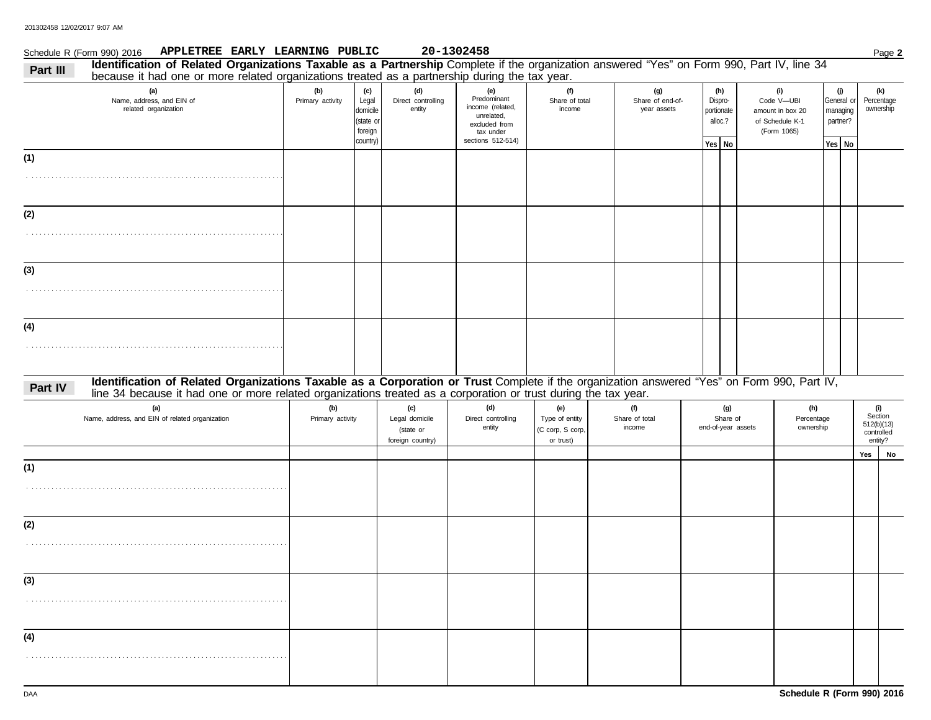#### Schedule R (Form 990) 2016 Page **2 APPLETREE EARLY LEARNING PUBLIC 20-1302458 Part III Identification of Related Organizations Taxable as a Partnership Complete if the organization answered "Yes" on Form 990, Part IV, line 34**

| <b>Part III</b><br>because it had one or more related organizations treated as a partnership during the tax year.                                                                                                                        |                         |                                                  |                                                        |                                                                                                         |                                                        |                                        |                                         |                                                                         |                                           |     |                                                       |
|------------------------------------------------------------------------------------------------------------------------------------------------------------------------------------------------------------------------------------------|-------------------------|--------------------------------------------------|--------------------------------------------------------|---------------------------------------------------------------------------------------------------------|--------------------------------------------------------|----------------------------------------|-----------------------------------------|-------------------------------------------------------------------------|-------------------------------------------|-----|-------------------------------------------------------|
| (a)<br>Name, address, and EIN of<br>related organization                                                                                                                                                                                 | (b)<br>Primary activity | (c)<br>Legal<br>domicile<br>(state or<br>foreign | (d)<br>Direct controlling<br>entity                    | (e)<br>Predominant<br>income (related,<br>unrelated,<br>excluded from<br>tax under<br>sections 512-514) | (f)<br>Share of total<br>income                        | (g)<br>Share of end-of-<br>year assets | (h)<br>Dispro-<br>portionate<br>alloc.? | (i)<br>Code V-UBI<br>amount in box 20<br>of Schedule K-1<br>(Form 1065) | (j)<br>General or<br>managing<br>partner? |     | (k)<br>Percentage<br>ownership                        |
|                                                                                                                                                                                                                                          |                         | country)                                         |                                                        |                                                                                                         |                                                        |                                        | Yes No                                  |                                                                         | Yes No                                    |     |                                                       |
| (1)                                                                                                                                                                                                                                      |                         |                                                  |                                                        |                                                                                                         |                                                        |                                        |                                         |                                                                         |                                           |     |                                                       |
|                                                                                                                                                                                                                                          |                         |                                                  |                                                        |                                                                                                         |                                                        |                                        |                                         |                                                                         |                                           |     |                                                       |
| (2)                                                                                                                                                                                                                                      |                         |                                                  |                                                        |                                                                                                         |                                                        |                                        |                                         |                                                                         |                                           |     |                                                       |
|                                                                                                                                                                                                                                          |                         |                                                  |                                                        |                                                                                                         |                                                        |                                        |                                         |                                                                         |                                           |     |                                                       |
| (3)                                                                                                                                                                                                                                      |                         |                                                  |                                                        |                                                                                                         |                                                        |                                        |                                         |                                                                         |                                           |     |                                                       |
|                                                                                                                                                                                                                                          |                         |                                                  |                                                        |                                                                                                         |                                                        |                                        |                                         |                                                                         |                                           |     |                                                       |
|                                                                                                                                                                                                                                          |                         |                                                  |                                                        |                                                                                                         |                                                        |                                        |                                         |                                                                         |                                           |     |                                                       |
| (4)                                                                                                                                                                                                                                      |                         |                                                  |                                                        |                                                                                                         |                                                        |                                        |                                         |                                                                         |                                           |     |                                                       |
|                                                                                                                                                                                                                                          |                         |                                                  |                                                        |                                                                                                         |                                                        |                                        |                                         |                                                                         |                                           |     |                                                       |
| Identification of Related Organizations Taxable as a Corporation or Trust Complete if the organization answered "Yes" on Form 990, Part IV, line 34 because it had one or more related organizations treated as a corporation<br>Part IV |                         |                                                  |                                                        |                                                                                                         |                                                        |                                        |                                         |                                                                         |                                           |     |                                                       |
| (a)<br>Name, address, and EIN of related organization                                                                                                                                                                                    | (b)<br>Primary activity |                                                  | (c)<br>Legal domicile<br>(state or<br>foreign country) | (d)<br>Direct controlling<br>entity                                                                     | (e)<br>Type of entity<br>(C corp, S corp,<br>or trust) | (f)<br>Share of total<br>income        | (g)<br>Share of<br>end-of-year assets   | (h)<br>Percentage<br>ownership                                          |                                           |     | (i)<br>Section<br>512(b)(13)<br>controlled<br>entity? |
|                                                                                                                                                                                                                                          |                         |                                                  |                                                        |                                                                                                         |                                                        |                                        |                                         |                                                                         |                                           | Yes | No                                                    |
| (1)                                                                                                                                                                                                                                      |                         |                                                  |                                                        |                                                                                                         |                                                        |                                        |                                         |                                                                         |                                           |     |                                                       |
|                                                                                                                                                                                                                                          |                         |                                                  |                                                        |                                                                                                         |                                                        |                                        |                                         |                                                                         |                                           |     |                                                       |
|                                                                                                                                                                                                                                          |                         |                                                  |                                                        |                                                                                                         |                                                        |                                        |                                         |                                                                         |                                           |     |                                                       |
| (2)                                                                                                                                                                                                                                      |                         |                                                  |                                                        |                                                                                                         |                                                        |                                        |                                         |                                                                         |                                           |     |                                                       |
|                                                                                                                                                                                                                                          |                         |                                                  |                                                        |                                                                                                         |                                                        |                                        |                                         |                                                                         |                                           |     |                                                       |
| (3)                                                                                                                                                                                                                                      |                         |                                                  |                                                        |                                                                                                         |                                                        |                                        |                                         |                                                                         |                                           |     |                                                       |
|                                                                                                                                                                                                                                          |                         |                                                  |                                                        |                                                                                                         |                                                        |                                        |                                         |                                                                         |                                           |     |                                                       |
|                                                                                                                                                                                                                                          |                         |                                                  |                                                        |                                                                                                         |                                                        |                                        |                                         |                                                                         |                                           |     |                                                       |
| (4)                                                                                                                                                                                                                                      |                         |                                                  |                                                        |                                                                                                         |                                                        |                                        |                                         |                                                                         |                                           |     |                                                       |
|                                                                                                                                                                                                                                          |                         |                                                  |                                                        |                                                                                                         |                                                        |                                        |                                         |                                                                         |                                           |     |                                                       |
|                                                                                                                                                                                                                                          |                         |                                                  |                                                        |                                                                                                         |                                                        |                                        |                                         |                                                                         |                                           |     |                                                       |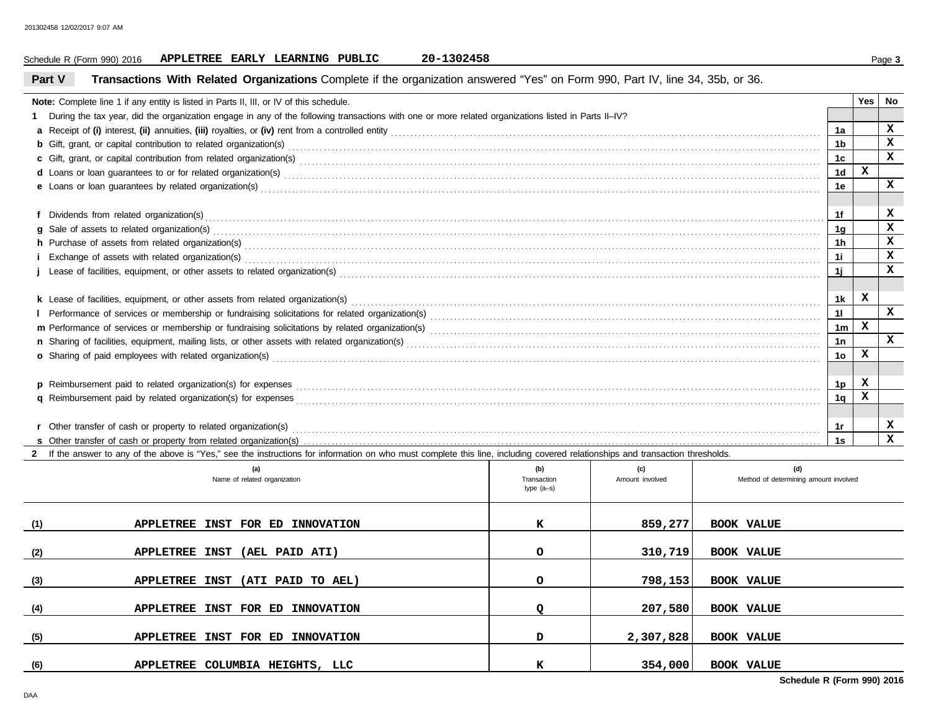#### **Part V Transactions With Related Organizations** Complete if the organization answered "Yes" on Form 990, Part IV, line 34, 35b, or 36. Schedule R (Form 990) 2016 Page **3 APPLETREE EARLY LEARNING PUBLIC 20-1302458 Note:** Complete line 1 if any entity is listed in Parts II, III, or IV of this schedule. **1** During the tax year, did the organization engage in any of the following transactions with one or more related organizations listed in Parts II–IV? a Receipt of (i) interest, (ii) annuities, (iii) royalties, or (iv) rent from a controlled entity *controlled entity controlled entity* and the second of the second of the second of the second of the second of the second o **b** Gift, grant, or capital contribution to related organization(s) **c** Gift, grant, or capital contribution from related organization(s) **d** Loans or loan guarantees to or for related organization(s) **e** Loans or loan guarantees by related organization(s) **f** Dividends from related organization(s) **g** Sale of assets to related organization(s) **h** Purchase of assets from related organization(s) **i** Exchange of assets with related organization(s) **j** Lease of facilities, equipment, or other assets to related organization(s) k Lease of facilities, equipment, or other assets from related organization(s) with the content of the content of the content of the content of the content of the content of the content of the content of the content of the **l** Performance of services or membership or fundraising solicitations for related organization(s) **m** Performance of services or membership or fundraising solicitations by related organization(s) n Sharing of facilities, equipment, mailing lists, or other assets with related organization(s) www.web.com/www.web.com/www.web.com/www.web/www.web/www.web/www.web/www.web/www.web/www.web/www.web/www.web/www.web/www.web/ww  $\bullet$  Sharing of paid employees with related organization(s) with construction construction construction construction construction constrained by  $\bullet$  Sharing of paid employees with related organization(s) with constructio **p** Reimbursement paid to related organization(s) for expenses **q** Reimbursement paid by related organization(s) for expenses . . . . . . . . . . . . . . . . . . . . . . . . . . . . . . . . . . . . . . . . . . . . . . . . . . . . . . . . . . . . . . . . . . . . . . . . . . . . . . . . . . . . . . . . . . . . . . . . . . . . . . . . . . . . . . . . . . . . . . . . . . . . . . . . . . . . . **s** Other transfer of cash or property from related organization(s) . . . . . . . . . . . . . . . . . . . . . . . . . . . . . . . . . . . . . . . . . . . . . . . . . . . . . . . . . . . . . . . . . . . . . . . . . . . . . . . . . . . . . . . . . . . . . . . . . . . . . . . . . . . . . . . . . . . . . . . . . . . . . . . . . . . . . . . . . . . . . . . . . . . . . . . . . . . . . . . . . . . . . . . . . . . . . . . . . . . . . . . . . . . . . . . . . . . . . . . . . . . . . . . . . . . . . . . . . . . . . . . . . . . . . . . . . . . . . . . . . . . . . . . . . . . . . . . . . . . . . . . . . . . . . . . . . . . . . . . . . . . . . . . . . . . . . . . . . . . . . . . . . . . . . . . . . . . . . . . . . . . . . . . . . . . . . . . . . . . . . . . . . . . . . . . . . . . . . . . . . . . . . . . . . . . . . . . . . . . . . . . . . . . . . . . . . . . . . . . . . . . . . . . . . . . . . . . . . . . . . . . . . . . . . . . . . . . . . . . . . . . . . . . . . . . . . . . . . . . . . . . . . . . . . . . . . . . . . . . . . . . . . . . . . . . . . . . . . . . . . . . . . . . . . . . . . . . . . . . . . . . . . . . . . . . . . . . . . . . . . . . . . . . . . . . . . . . . . . . . . . . . . . . . . . . . . . . . . . . . . . . . . . . . . . . . . . . . . . . . . . . . . . . . . . . . . . . . . . . . . . . . . . . . . . . . . . . . . . . . . . . . . . . . . . . . . . . . . . . . . . . . . . . . . . . . . . . . . . Other transfer of cash or property to related organization(s) . . . . . . . . . . . . . . . . . . . . . . . . . . . . . . . . . . . . . . . . . . . . . . . . . . . . . . . . . . . . . . . . . . . . . . . . . . . . . . . . . . . . . . . . . . . . . . . . . . . . . . . . . . . . . . . . . . . . . . . . . . . . . . . . . . . . . . **r 1r 1a 1b 1c 1d 1e 1f 1g 1h 1i 1j 1k 1l 1m 1n 1o 1p 1q 1s Yes No 2** If the answer to any of the above is "Yes," see the instructions for information on who must complete this line, including covered relationships and transaction thresholds. Name of related organization **Transaction** Transaction **Transaction** Transaction type (a–s) Amount involved **(a) (b) (c) (1) (2) (3) (4) (5) (6) (d)** Method of determining amount involved **X X X X X X X X X X X X X X X X X X X APPLETREE INST FOR ED INNOVATION K 859,277 BOOK VALUE APPLETREE INST (AEL PAID ATI) O 310,719 BOOK VALUE APPLETREE INST (ATI PAID TO AEL) O 798,153 BOOK VALUE APPLETREE INST FOR ED INNOVATION Q 207,580 BOOK VALUE APPLETREE INST FOR ED INNOVATION D 2,307,828 BOOK VALUE APPLETREE COLUMBIA HEIGHTS, LLC K 354,000 BOOK VALUE**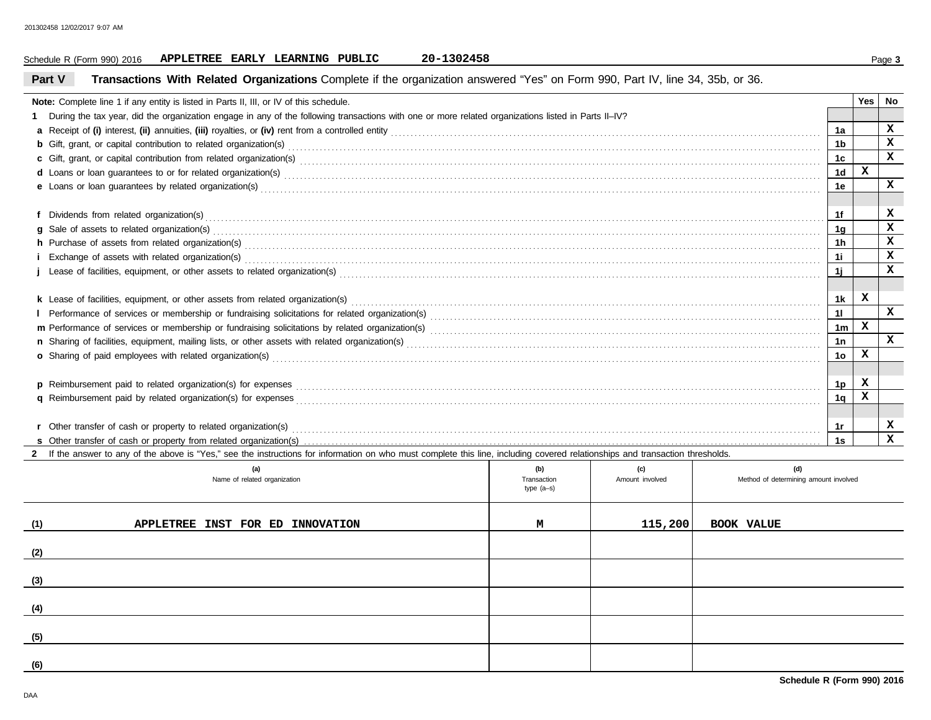|        | 20-1302458<br>APPLETREE EARLY LEARNING PUBLIC<br>Schedule R (Form 990) 2016                                                                                                                                                    |              |                 |                                       |                |     | Page 3      |  |  |
|--------|--------------------------------------------------------------------------------------------------------------------------------------------------------------------------------------------------------------------------------|--------------|-----------------|---------------------------------------|----------------|-----|-------------|--|--|
| Part V | Transactions With Related Organizations Complete if the organization answered "Yes" on Form 990, Part IV, line 34, 35b, or 36.                                                                                                 |              |                 |                                       |                |     |             |  |  |
|        | Note: Complete line 1 if any entity is listed in Parts II, III, or IV of this schedule.                                                                                                                                        |              |                 |                                       |                | Yes | No          |  |  |
|        | 1 During the tax year, did the organization engage in any of the following transactions with one or more related organizations listed in Parts II–IV?                                                                          |              |                 |                                       |                |     |             |  |  |
|        |                                                                                                                                                                                                                                |              |                 |                                       |                |     |             |  |  |
|        | b Gift, grant, or capital contribution to related organization(s) encourance contained and contained and contribution to related organization(s) encourance and contained and contained and contained and contained and contai |              |                 |                                       | 1b             |     | x           |  |  |
|        | c Gift, grant, or capital contribution from related organization(s) encourse the content of content of content of the contribution from related organization(s) encourse the content of content of content of content of conte |              |                 |                                       | 1c             |     | $\mathbf x$ |  |  |
|        | d Loans or loan guarantees to or for related organization(s) encourance contained and contained a contained and contained a contact the contact or for related organization(s) encourance contact the contact of contact or fo |              |                 |                                       | 1d             | x   |             |  |  |
|        |                                                                                                                                                                                                                                |              |                 |                                       | 1e             |     | x           |  |  |
|        |                                                                                                                                                                                                                                |              |                 |                                       |                |     |             |  |  |
|        |                                                                                                                                                                                                                                |              |                 |                                       | 1f             |     | x           |  |  |
|        |                                                                                                                                                                                                                                |              |                 |                                       | 1q             |     | x           |  |  |
|        | h Purchase of assets from related organization(s) with an intervention control or control or control or control or control or control or control or control or control or control or control or control or control or control  |              |                 |                                       | 1h             |     | x           |  |  |
|        | i Exchange of assets with related organization(s) exchange that contains a substantial container and a set of assets with related organization(s) exchange of assets with related organization(s)                              |              |                 |                                       | 1i.            |     | $\mathbf x$ |  |  |
|        | j Lease of facilities, equipment, or other assets to related organization(s) enconverse contained and contained and contained and contained and contained and contained and contained and contained and contained and containe |              |                 |                                       | 1i             |     | X           |  |  |
|        |                                                                                                                                                                                                                                |              |                 |                                       |                |     |             |  |  |
|        |                                                                                                                                                                                                                                |              |                 |                                       | 1k             | x   |             |  |  |
|        |                                                                                                                                                                                                                                |              |                 |                                       | 11             |     | x           |  |  |
|        |                                                                                                                                                                                                                                |              |                 |                                       |                |     |             |  |  |
|        |                                                                                                                                                                                                                                |              |                 |                                       |                |     |             |  |  |
|        |                                                                                                                                                                                                                                |              |                 |                                       |                |     |             |  |  |
|        |                                                                                                                                                                                                                                |              |                 |                                       | 1 <sub>o</sub> |     |             |  |  |
|        | p Reimbursement paid to related organization(s) for expenses                                                                                                                                                                   |              |                 |                                       | 1p             | x   |             |  |  |
|        | q Reimbursement paid by related organization(s) for expenses entity and contain an according to the system of Reimbursement paid by related organization(s) for expenses                                                       |              |                 |                                       | 1q             | x   |             |  |  |
|        |                                                                                                                                                                                                                                |              |                 |                                       |                |     |             |  |  |
|        |                                                                                                                                                                                                                                |              |                 |                                       | 1r             |     | x           |  |  |
|        |                                                                                                                                                                                                                                |              |                 |                                       | 1s             |     | x           |  |  |
|        | 2 If the answer to any of the above is "Yes," see the instructions for information on who must complete this line, including covered relationships and transaction thresholds.                                                 |              |                 |                                       |                |     |             |  |  |
|        | (a)                                                                                                                                                                                                                            | (b)          | (c)             | (d)                                   |                |     |             |  |  |
|        | Name of related organization                                                                                                                                                                                                   | Transaction  | Amount involved | Method of determining amount involved |                |     |             |  |  |
|        |                                                                                                                                                                                                                                | type $(a-s)$ |                 |                                       |                |     |             |  |  |
|        |                                                                                                                                                                                                                                |              |                 |                                       |                |     |             |  |  |
| (1)    | APPLETREE INST FOR ED INNOVATION                                                                                                                                                                                               | М            | 115,200         | <b>BOOK VALUE</b>                     |                |     |             |  |  |
|        |                                                                                                                                                                                                                                |              |                 |                                       |                |     |             |  |  |
| (2)    |                                                                                                                                                                                                                                |              |                 |                                       |                |     |             |  |  |
|        |                                                                                                                                                                                                                                |              |                 |                                       |                |     |             |  |  |
| (3)    |                                                                                                                                                                                                                                |              |                 |                                       |                |     |             |  |  |
|        |                                                                                                                                                                                                                                |              |                 |                                       |                |     |             |  |  |
| (4)    |                                                                                                                                                                                                                                |              |                 |                                       |                |     |             |  |  |
|        |                                                                                                                                                                                                                                |              |                 |                                       |                |     |             |  |  |
| (5)    |                                                                                                                                                                                                                                |              |                 |                                       |                |     |             |  |  |
|        |                                                                                                                                                                                                                                |              |                 |                                       |                |     |             |  |  |
| (6)    |                                                                                                                                                                                                                                |              |                 |                                       |                |     |             |  |  |

DAA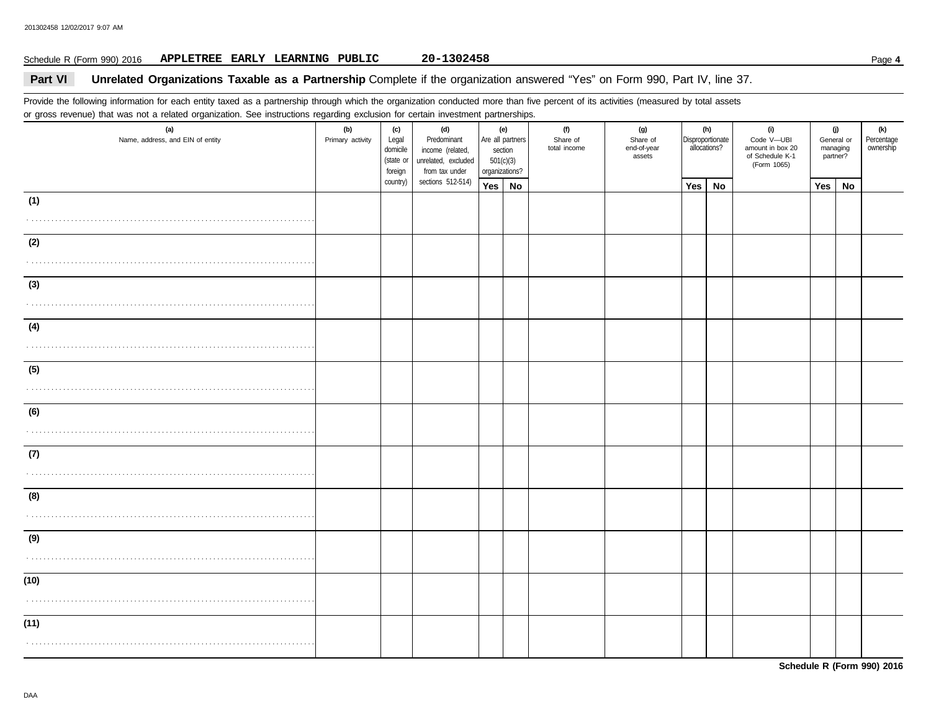#### Schedule R (Form 990) 2016 Page **4 APPLETREE EARLY LEARNING PUBLIC 20-1302458**

#### **Part VI** Unrelated Organizations Taxable as a Partnership Complete if the organization answered "Yes" on Form 990, Part IV, line 37.

Provide the following information for each entity taxed as a partnership through which the organization conducted more than five percent of its activities (measured by total assets or gross revenue) that was not a related organization. See instructions regarding exclusion for certain investment partnerships.

| (a)<br>Name, address, and EIN of entity | (b)<br>Primary activity | (c)<br>Legal<br>domicile<br>(state or<br>foreign | (d)<br>Predominant<br>income (related,<br>unrelated, excluded<br>from tax under |          |  | (e)<br>Are all partners<br>section<br>501(c)(3)<br>organizations? |  | (f)<br>Share of<br>total income | (g)<br>Share of<br>end-of-year<br>assets |  | (h)<br>Disproportionate<br>allocations? | (i)<br>Code V-UBI<br>amount in box 20<br>of Schedule K-1<br>(Form 1065) | managing<br>partner? | (j)<br>General or | (k)<br>Percentage<br>ownership |
|-----------------------------------------|-------------------------|--------------------------------------------------|---------------------------------------------------------------------------------|----------|--|-------------------------------------------------------------------|--|---------------------------------|------------------------------------------|--|-----------------------------------------|-------------------------------------------------------------------------|----------------------|-------------------|--------------------------------|
|                                         |                         | country)                                         | sections 512-514)                                                               | Yes   No |  |                                                                   |  | Yes                             | <b>No</b>                                |  | Yes                                     | <b>No</b>                                                               |                      |                   |                                |
| (1)                                     |                         |                                                  |                                                                                 |          |  |                                                                   |  |                                 |                                          |  |                                         |                                                                         |                      |                   |                                |
| (2)                                     |                         |                                                  |                                                                                 |          |  |                                                                   |  |                                 |                                          |  |                                         |                                                                         |                      |                   |                                |
| (3)                                     |                         |                                                  |                                                                                 |          |  |                                                                   |  |                                 |                                          |  |                                         |                                                                         |                      |                   |                                |
| (4)                                     |                         |                                                  |                                                                                 |          |  |                                                                   |  |                                 |                                          |  |                                         |                                                                         |                      |                   |                                |
| (5)                                     |                         |                                                  |                                                                                 |          |  |                                                                   |  |                                 |                                          |  |                                         |                                                                         |                      |                   |                                |
| (6)                                     |                         |                                                  |                                                                                 |          |  |                                                                   |  |                                 |                                          |  |                                         |                                                                         |                      |                   |                                |
| (7)                                     |                         |                                                  |                                                                                 |          |  |                                                                   |  |                                 |                                          |  |                                         |                                                                         |                      |                   |                                |
| (8)                                     |                         |                                                  |                                                                                 |          |  |                                                                   |  |                                 |                                          |  |                                         |                                                                         |                      |                   |                                |
| (9)                                     |                         |                                                  |                                                                                 |          |  |                                                                   |  |                                 |                                          |  |                                         |                                                                         |                      |                   |                                |
| (10)                                    |                         |                                                  |                                                                                 |          |  |                                                                   |  |                                 |                                          |  |                                         |                                                                         |                      |                   |                                |
| (11)                                    |                         |                                                  |                                                                                 |          |  |                                                                   |  |                                 |                                          |  |                                         |                                                                         |                      |                   |                                |